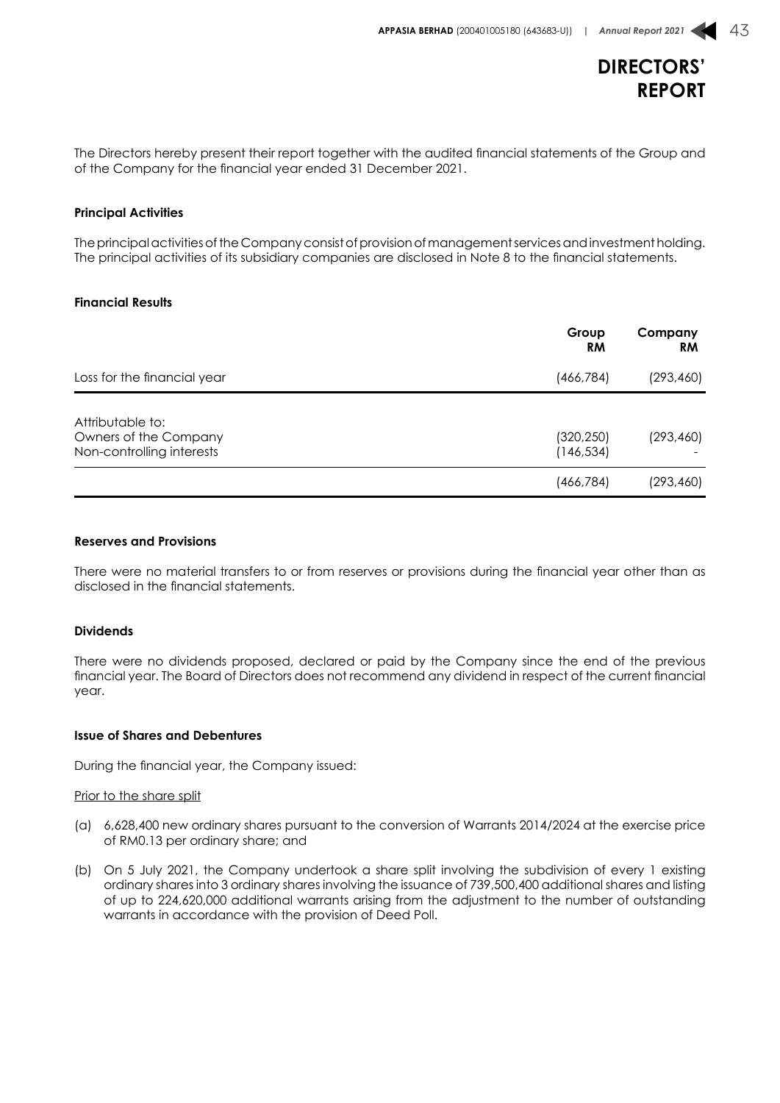

The Directors hereby present their report together with the audited financial statements of the Group and of the Company for the financial year ended 31 December 2021.

#### **Principal Activities**

The principal activities of the Company consist of provision of management services and investment holding. The principal activities of its subsidiary companies are disclosed in Note 8 to the financial statements.

#### **Financial Results**

|                                                                        | Group<br><b>RM</b>       | Company<br><b>RM</b> |
|------------------------------------------------------------------------|--------------------------|----------------------|
| Loss for the financial year                                            | (466, 784)               | (293, 460)           |
| Attributable to:<br>Owners of the Company<br>Non-controlling interests | (320, 250)<br>(146, 534) | (293, 460)           |
|                                                                        | (466,784)                | (293, 460)           |

#### **Reserves and Provisions**

There were no material transfers to or from reserves or provisions during the financial year other than as disclosed in the financial statements.

#### **Dividends**

There were no dividends proposed, declared or paid by the Company since the end of the previous financial year. The Board of Directors does not recommend any dividend in respect of the current financial year.

#### **Issue of Shares and Debentures**

During the financial year, the Company issued:

#### Prior to the share split

- (a) 6,628,400 new ordinary shares pursuant to the conversion of Warrants 2014/2024 at the exercise price of RM0.13 per ordinary share; and
- (b) On 5 July 2021, the Company undertook a share split involving the subdivision of every 1 existing ordinary shares into 3 ordinary shares involving the issuance of 739,500,400 additional shares and listing of up to 224,620,000 additional warrants arising from the adjustment to the number of outstanding warrants in accordance with the provision of Deed Poll.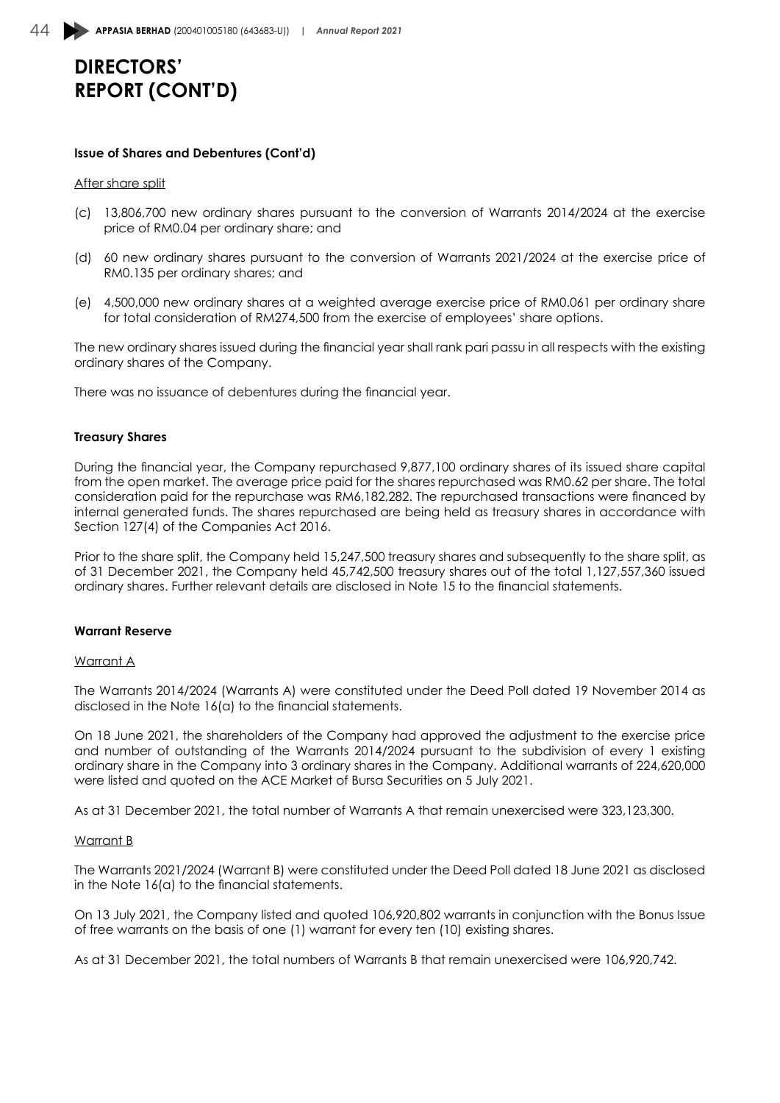#### **Issue of Shares and Debentures (Cont'd)**

#### After share split

- (c) 13,806,700 new ordinary shares pursuant to the conversion of Warrants 2014/2024 at the exercise price of RM0.04 per ordinary share; and
- (d) 60 new ordinary shares pursuant to the conversion of Warrants 2021/2024 at the exercise price of RM0.135 per ordinary shares; and
- (e) 4,500,000 new ordinary shares at a weighted average exercise price of RM0.061 per ordinary share for total consideration of RM274,500 from the exercise of employees' share options.

The new ordinary shares issued during the financial year shall rank pari passu in all respects with the existing ordinary shares of the Company.

There was no issuance of debentures during the financial year.

#### **Treasury Shares**

During the financial year, the Company repurchased 9,877,100 ordinary shares of its issued share capital from the open market. The average price paid for the shares repurchased was RM0.62 per share. The total consideration paid for the repurchase was RM6,182,282. The repurchased transactions were financed by internal generated funds. The shares repurchased are being held as treasury shares in accordance with Section 127(4) of the Companies Act 2016.

Prior to the share split, the Company held 15,247,500 treasury shares and subsequently to the share split, as of 31 December 2021, the Company held 45,742,500 treasury shares out of the total 1,127,557,360 issued ordinary shares. Further relevant details are disclosed in Note 15 to the financial statements.

#### **Warrant Reserve**

#### Warrant A

The Warrants 2014/2024 (Warrants A) were constituted under the Deed Poll dated 19 November 2014 as disclosed in the Note 16(a) to the financial statements.

On 18 June 2021, the shareholders of the Company had approved the adjustment to the exercise price and number of outstanding of the Warrants 2014/2024 pursuant to the subdivision of every 1 existing ordinary share in the Company into 3 ordinary shares in the Company. Additional warrants of 224,620,000 were listed and quoted on the ACE Market of Bursa Securities on 5 July 2021.

As at 31 December 2021, the total number of Warrants A that remain unexercised were 323,123,300.

#### Warrant B

The Warrants 2021/2024 (Warrant B) were constituted under the Deed Poll dated 18 June 2021 as disclosed in the Note 16(a) to the financial statements.

On 13 July 2021, the Company listed and quoted 106,920,802 warrants in conjunction with the Bonus Issue of free warrants on the basis of one (1) warrant for every ten (10) existing shares.

As at 31 December 2021, the total numbers of Warrants B that remain unexercised were 106,920,742.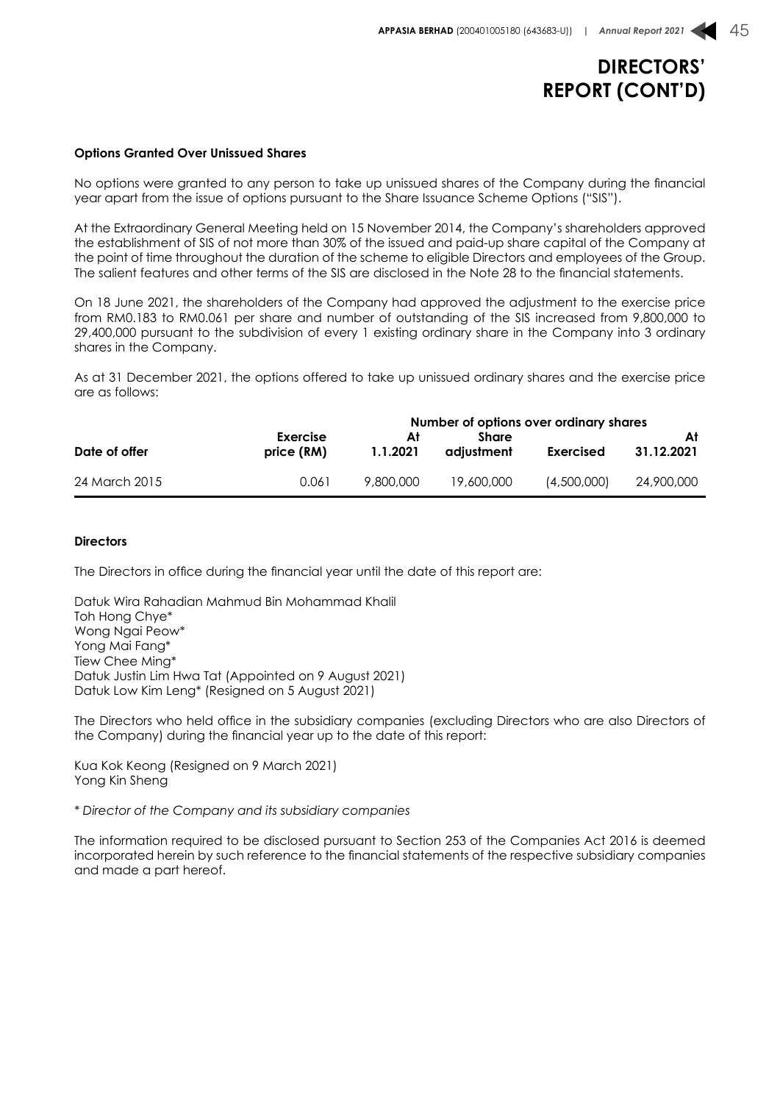#### **Options Granted Over Unissued Shares**

No options were granted to any person to take up unissued shares of the Company during the financial year apart from the issue of options pursuant to the Share Issuance Scheme Options ("SIS").

At the Extraordinary General Meeting held on 15 November 2014, the Company's shareholders approved the establishment of SIS of not more than 30% of the issued and paid-up share capital of the Company at the point of time throughout the duration of the scheme to eligible Directors and employees of the Group. The salient features and other terms of the SIS are disclosed in the Note 28 to the financial statements.

On 18 June 2021, the shareholders of the Company had approved the adjustment to the exercise price from RM0.183 to RM0.061 per share and number of outstanding of the SIS increased from 9,800,000 to 29,400,000 pursuant to the subdivision of every 1 existing ordinary share in the Company into 3 ordinary shares in the Company.

As at 31 December 2021, the options offered to take up unissued ordinary shares and the exercise price are as follows:

|               |            |           | Number of options over ordinary shares |                  |            |
|---------------|------------|-----------|----------------------------------------|------------------|------------|
|               | Exercise   | Αt        | Share                                  |                  |            |
| Date of offer | price (RM) | 1.1.2021  | adiustment                             | <b>Exercised</b> | 31.12.2021 |
| 24 March 2015 | 0.061      | 9.800.000 | 19,600,000                             | (4.500.000)      | 24,900,000 |

#### **Directors**

The Directors in office during the financial year until the date of this report are:

Datuk Wira Rahadian Mahmud Bin Mohammad Khalil Toh Hong Chye\* Wong Ngai Peow\* Yong Mai Fang\* Tiew Chee Ming\* Datuk Justin Lim Hwa Tat (Appointed on 9 August 2021) Datuk Low Kim Leng\* (Resigned on 5 August 2021)

The Directors who held office in the subsidiary companies (excluding Directors who are also Directors of the Company) during the financial year up to the date of this report:

Kua Kok Keong (Resigned on 9 March 2021) Yong Kin Sheng

*\* Director of the Company and its subsidiary companies*

The information required to be disclosed pursuant to Section 253 of the Companies Act 2016 is deemed incorporated herein by such reference to the financial statements of the respective subsidiary companies and made a part hereof.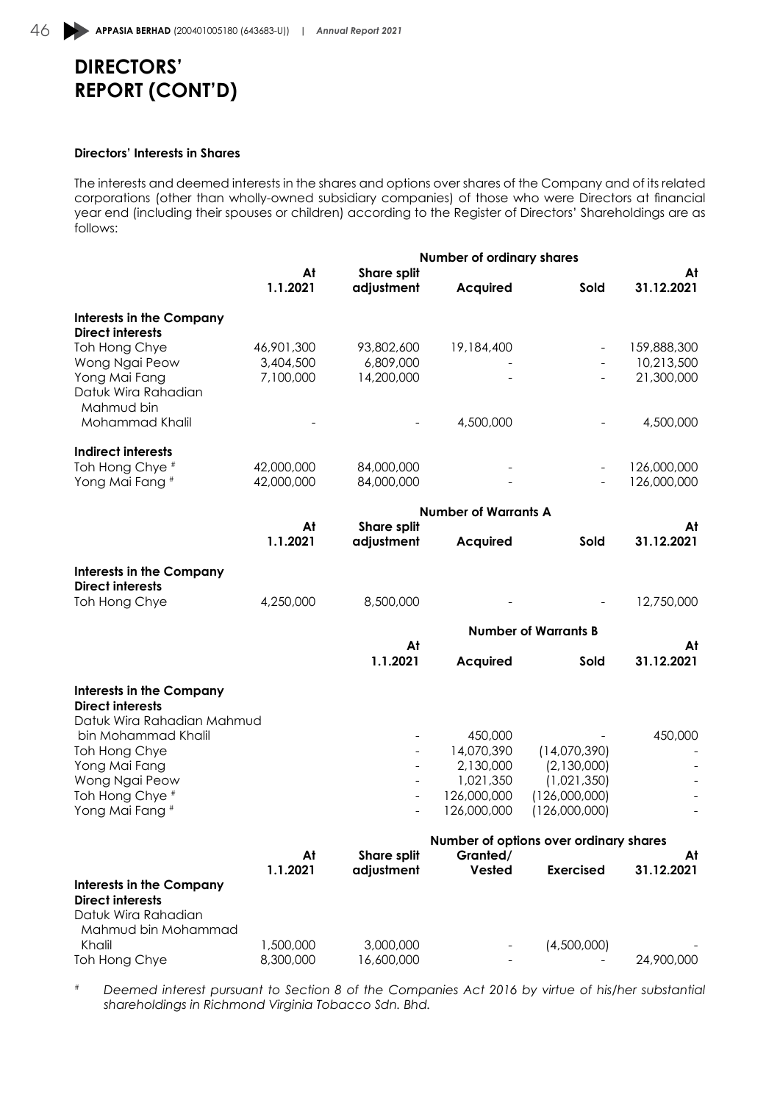#### **Directors' Interests in Shares**

The interests and deemed interests in the shares and options over shares of the Company and of its related corporations (other than wholly-owned subsidiary companies) of those who were Directors at financial year end (including their spouses or children) according to the Register of Directors' Shareholdings are as follows:

|                                                            |                |                                  | Number of ordinary shares   |                                        |                  |
|------------------------------------------------------------|----------------|----------------------------------|-----------------------------|----------------------------------------|------------------|
|                                                            | At<br>1.1.2021 | <b>Share split</b><br>adjustment | <b>Acquired</b>             | Sold                                   | At<br>31.12.2021 |
| <b>Interests in the Company</b><br><b>Direct interests</b> |                |                                  |                             |                                        |                  |
| Toh Hong Chye                                              | 46,901,300     | 93,802,600                       | 19,184,400                  |                                        | 159,888,300      |
| Wong Ngai Peow                                             | 3,404,500      | 6,809,000                        |                             |                                        | 10,213,500       |
| Yong Mai Fang                                              | 7,100,000      | 14,200,000                       |                             |                                        | 21,300,000       |
| Datuk Wira Rahadian                                        |                |                                  |                             |                                        |                  |
| Mahmud bin                                                 |                |                                  |                             |                                        |                  |
| Mohammad Khalil                                            |                |                                  | 4,500,000                   |                                        | 4,500,000        |
| <b>Indirect interests</b>                                  |                |                                  |                             |                                        |                  |
| Toh Hong Chye <sup>#</sup>                                 | 42,000,000     | 84,000,000                       |                             |                                        | 126,000,000      |
| Yong Mai Fang <sup>#</sup>                                 | 42,000,000     | 84,000,000                       |                             |                                        | 126,000,000      |
|                                                            |                |                                  | <b>Number of Warrants A</b> |                                        |                  |
|                                                            | At             | <b>Share split</b>               |                             |                                        | At               |
|                                                            | 1.1.2021       | adjustment                       | <b>Acquired</b>             | Sold                                   | 31.12.2021       |
| <b>Interests in the Company</b>                            |                |                                  |                             |                                        |                  |
| <b>Direct interests</b>                                    |                |                                  |                             |                                        |                  |
| Toh Hong Chye                                              | 4,250,000      | 8,500,000                        |                             |                                        | 12,750,000       |
|                                                            |                |                                  |                             | <b>Number of Warrants B</b>            |                  |
|                                                            |                | At<br>1.1.2021                   | <b>Acquired</b>             | Sold                                   | At<br>31.12.2021 |
|                                                            |                |                                  |                             |                                        |                  |
| <b>Interests in the Company</b>                            |                |                                  |                             |                                        |                  |
| <b>Direct interests</b><br>Datuk Wira Rahadian Mahmud      |                |                                  |                             |                                        |                  |
| bin Mohammad Khalil                                        |                |                                  | 450,000                     |                                        | 450,000          |
| Toh Hong Chye                                              |                |                                  | 14,070,390                  | (14,070,390)                           |                  |
| Yong Mai Fang                                              |                |                                  | 2,130,000                   | (2,130,000)                            |                  |
| Wong Ngai Peow                                             |                |                                  | 1,021,350                   | (1,021,350)                            |                  |
| Toh Hong Chye <sup>#</sup>                                 |                |                                  | 126,000,000                 | (126,000,000)                          |                  |
| Yong Mai Fang <sup>#</sup>                                 |                |                                  | 126,000,000                 | (126,000,000)                          |                  |
|                                                            |                |                                  |                             | Number of options over ordinary shares |                  |
|                                                            | At             | <b>Share split</b>               | Granted/                    |                                        | At               |
| <b>Interests in the Company</b>                            | 1.1.2021       | adjustment                       | Vested                      | <b>Exercised</b>                       | 31.12.2021       |
| <b>Direct interests</b>                                    |                |                                  |                             |                                        |                  |
| Datuk Wira Rahadian                                        |                |                                  |                             |                                        |                  |
| Mahmud bin Mohammad                                        |                |                                  |                             |                                        |                  |
| Khalil                                                     | 1,500,000      | 3,000,000                        |                             | (4,500,000)                            |                  |
| Toh Hong Chye                                              | 8,300,000      | 16,600,000                       |                             |                                        | 24,900,000       |

*# Deemed interest pursuant to Section 8 of the Companies Act 2016 by virtue of his/her substantial shareholdings in Richmond Virginia Tobacco Sdn. Bhd.*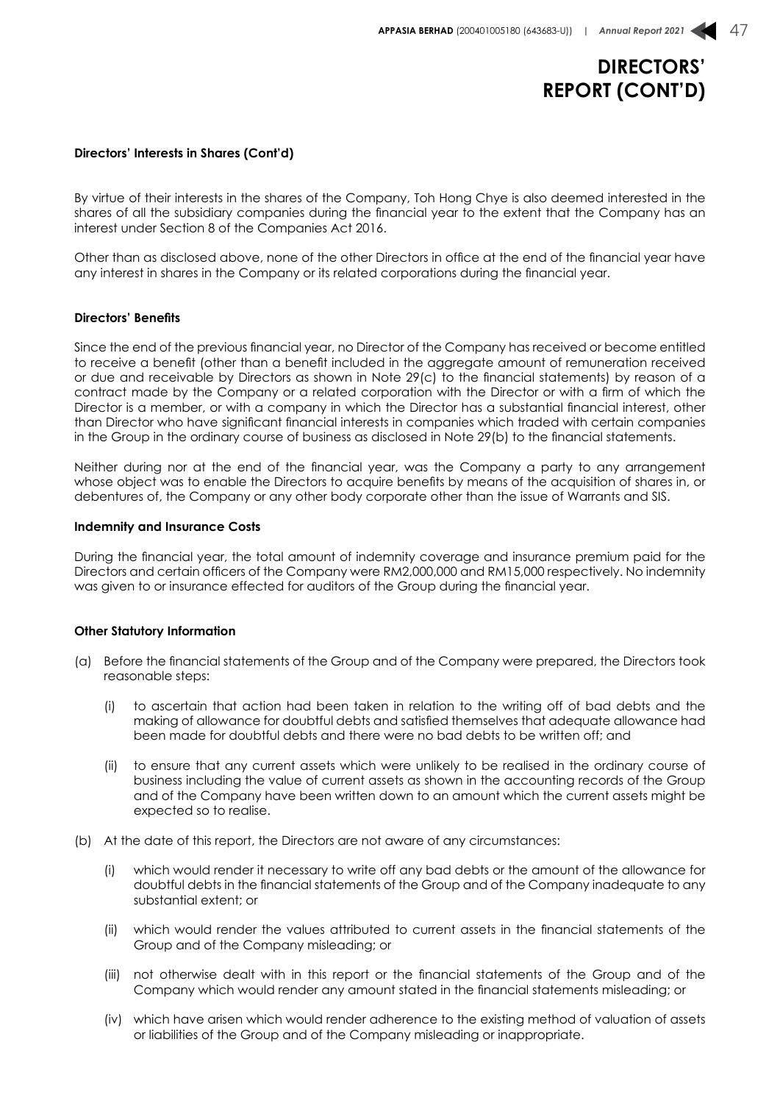#### **Directors' Interests in Shares (Cont'd)**

By virtue of their interests in the shares of the Company, Toh Hong Chye is also deemed interested in the shares of all the subsidiary companies during the financial year to the extent that the Company has an interest under Section 8 of the Companies Act 2016.

Other than as disclosed above, none of the other Directors in office at the end of the financial year have any interest in shares in the Company or its related corporations during the financial year.

#### **Directors' Benefits**

Since the end of the previous financial year, no Director of the Company has received or become entitled to receive a benefit (other than a benefit included in the aggregate amount of remuneration received or due and receivable by Directors as shown in Note 29(c) to the financial statements) by reason of a contract made by the Company or a related corporation with the Director or with a firm of which the Director is a member, or with a company in which the Director has a substantial financial interest, other than Director who have significant financial interests in companies which traded with certain companies in the Group in the ordinary course of business as disclosed in Note 29(b) to the financial statements.

Neither during nor at the end of the financial year, was the Company a party to any arrangement whose object was to enable the Directors to acquire benefits by means of the acquisition of shares in, or debentures of, the Company or any other body corporate other than the issue of Warrants and SIS.

#### **Indemnity and Insurance Costs**

During the financial year, the total amount of indemnity coverage and insurance premium paid for the Directors and certain officers of the Company were RM2,000,000 and RM15,000 respectively. No indemnity was given to or insurance effected for auditors of the Group during the financial year.

#### **Other Statutory Information**

- (a) Before the financial statements of the Group and of the Company were prepared, the Directors took reasonable steps:
	- (i) to ascertain that action had been taken in relation to the writing off of bad debts and the making of allowance for doubtful debts and satisfied themselves that adequate allowance had been made for doubtful debts and there were no bad debts to be written off; and
	- (ii) to ensure that any current assets which were unlikely to be realised in the ordinary course of business including the value of current assets as shown in the accounting records of the Group and of the Company have been written down to an amount which the current assets might be expected so to realise.
- (b) At the date of this report, the Directors are not aware of any circumstances:
	- (i) which would render it necessary to write off any bad debts or the amount of the allowance for doubtful debts in the financial statements of the Group and of the Company inadequate to any substantial extent; or
	- (ii) which would render the values attributed to current assets in the financial statements of the Group and of the Company misleading; or
	- (iii) not otherwise dealt with in this report or the financial statements of the Group and of the Company which would render any amount stated in the financial statements misleading; or
	- (iv) which have arisen which would render adherence to the existing method of valuation of assets or liabilities of the Group and of the Company misleading or inappropriate.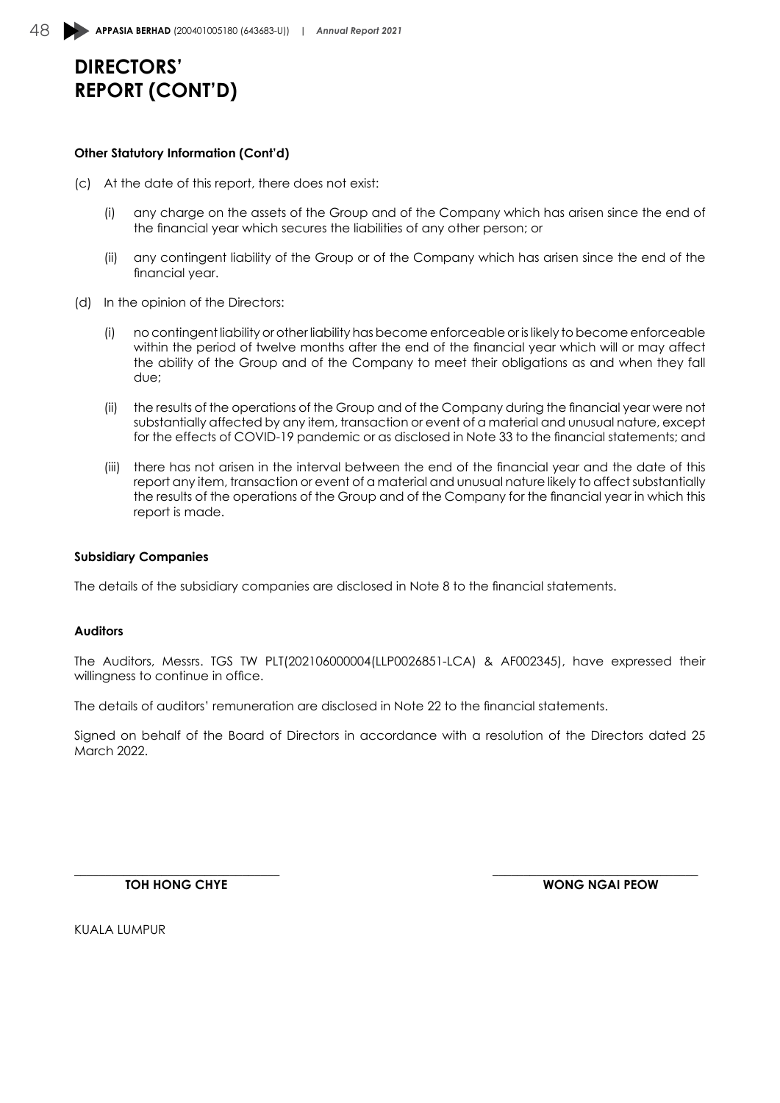#### **Other Statutory Information (Cont'd)**

- (c) At the date of this report, there does not exist:
	- (i) any charge on the assets of the Group and of the Company which has arisen since the end of the financial year which secures the liabilities of any other person; or
	- (ii) any contingent liability of the Group or of the Company which has arisen since the end of the financial year.
- (d) In the opinion of the Directors:
	- (i) no contingent liability or other liability has become enforceable or is likely to become enforceable within the period of twelve months after the end of the financial year which will or may affect the ability of the Group and of the Company to meet their obligations as and when they fall due;
	- (ii) the results of the operations of the Group and of the Company during the financial year were not substantially affected by any item, transaction or event of a material and unusual nature, except for the effects of COVID-19 pandemic or as disclosed in Note 33 to the financial statements; and
	- (iii) there has not arisen in the interval between the end of the financial year and the date of this report any item, transaction or event of a material and unusual nature likely to affect substantially the results of the operations of the Group and of the Company for the financial year in which this report is made.

#### **Subsidiary Companies**

The details of the subsidiary companies are disclosed in Note 8 to the financial statements.

#### **Auditors**

The Auditors, Messrs. TGS TW PLT(202106000004(LLP0026851-LCA) & AF002345), have expressed their willingness to continue in office.

The details of auditors' remuneration are disclosed in Note 22 to the financial statements.

Signed on behalf of the Board of Directors in accordance with a resolution of the Directors dated 25 March 2022.

 $\overline{\phantom{a}}$  , and the contribution of the contribution of the contribution of the contribution of the contribution of the contribution of the contribution of the contribution of the contribution of the contribution of the **TOH HONG CHYE WONG NGAI PEOW**

KUALA LUMPUR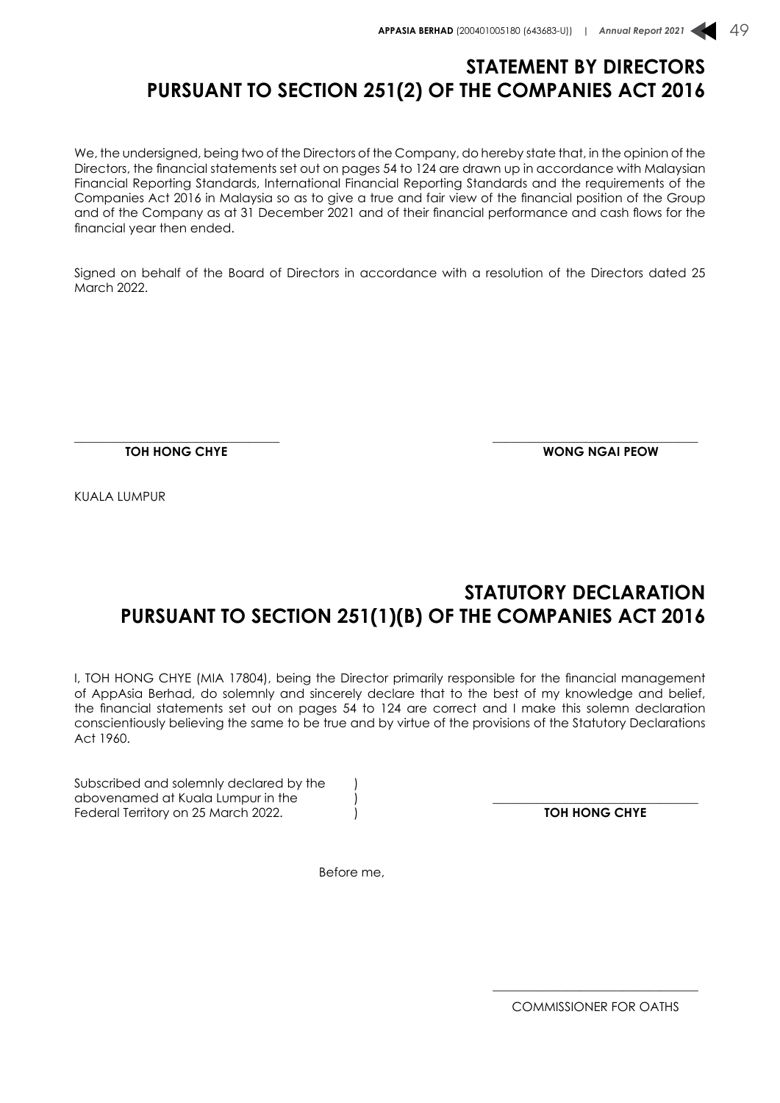### **STATEMENT BY DIRECTORS PURSUANT TO SECTION 251(2) OF THE COMPANIES ACT 2016**

We, the undersigned, being two of the Directors of the Company, do hereby state that, in the opinion of the Directors, the financial statements set out on pages 54 to 124 are drawn up in accordance with Malaysian Financial Reporting Standards, International Financial Reporting Standards and the requirements of the Companies Act 2016 in Malaysia so as to give a true and fair view of the financial position of the Group and of the Company as at 31 December 2021 and of their financial performance and cash flows for the financial year then ended.

Signed on behalf of the Board of Directors in accordance with a resolution of the Directors dated 25 March 2022.

 $\overline{\phantom{a}}$  , and the contribution of the contribution of the contribution of the contribution of the contribution of the contribution of the contribution of the contribution of the contribution of the contribution of the

**TOH HONG CHYE WONG NGAI PEOW**

KUALA LUMPUR

## **STATUTORY DECLARATION PURSUANT TO SECTION 251(1)(B) OF THE COMPANIES ACT 2016**

I, TOH HONG CHYE (MIA 17804), being the Director primarily responsible for the financial management of AppAsia Berhad, do solemnly and sincerely declare that to the best of my knowledge and belief, the financial statements set out on pages 54 to 124 are correct and I make this solemn declaration conscientiously believing the same to be true and by virtue of the provisions of the Statutory Declarations Act 1960.

Subscribed and solemnly declared by the abovenamed at Kuala Lumpur in the  $\overline{a}$  abovenamed at Kuala Lumpur in the  $\overline{a}$  and  $\overline{a}$  and  $\overline{a}$  and  $\overline{a}$  and  $\overline{a}$  and  $\overline{a}$  and  $\overline{a}$  and  $\overline{a}$  and  $\overline{a}$  and  $\overline{a}$  and  $\overline{a}$  and  $\$ Federal Territory on 25 March 2022.

Before me,

\_\_\_\_\_\_\_\_\_\_\_\_\_\_\_\_\_\_\_\_\_\_\_\_\_\_\_\_\_\_\_\_\_

COMMISSIONER FOR OATHS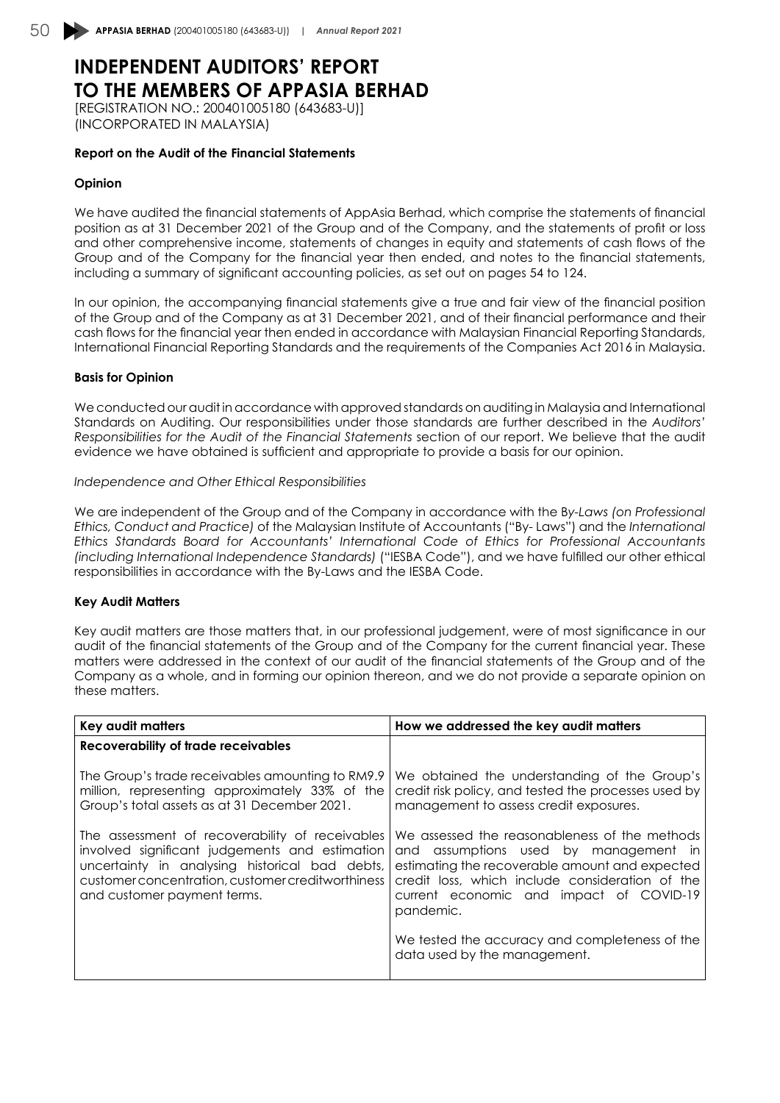# **INDEPENDENT AUDITORS' REPORT TO THE MEMBERS OF APPASIA BERHAD**

[REGISTRATION NO.: 200401005180 (643683-U)] (INCORPORATED IN MALAYSIA)

#### **Report on the Audit of the Financial Statements**

#### **Opinion**

We have audited the financial statements of AppAsia Berhad, which comprise the statements of financial position as at 31 December 2021 of the Group and of the Company, and the statements of profit or loss and other comprehensive income, statements of changes in equity and statements of cash flows of the Group and of the Company for the financial year then ended, and notes to the financial statements, including a summary of significant accounting policies, as set out on pages 54 to 124.

In our opinion, the accompanying financial statements give a true and fair view of the financial position of the Group and of the Company as at 31 December 2021, and of their financial performance and their cash flows for the financial year then ended in accordance with Malaysian Financial Reporting Standards, International Financial Reporting Standards and the requirements of the Companies Act 2016 in Malaysia.

#### **Basis for Opinion**

We conducted our audit in accordance with approved standards on auditing in Malaysia and International Standards on Auditing. Our responsibilities under those standards are further described in the *Auditors' Responsibilities for the Audit of the Financial Statements* section of our report. We believe that the audit evidence we have obtained is sufficient and appropriate to provide a basis for our opinion.

#### *Independence and Other Ethical Responsibilities*

We are independent of the Group and of the Company in accordance with the B*y-Laws (on Professional Ethics, Conduct and Practice)* of the Malaysian Institute of Accountants ("By- Laws") and the *International Ethics Standards Board for Accountants' International Code of Ethics for Professional Accountants (including International Independence Standards)* ("IESBA Code"), and we have fulfilled our other ethical responsibilities in accordance with the By-Laws and the IESBA Code.

#### **Key Audit Matters**

Key audit matters are those matters that, in our professional judgement, were of most significance in our audit of the financial statements of the Group and of the Company for the current financial year. These matters were addressed in the context of our audit of the financial statements of the Group and of the Company as a whole, and in forming our opinion thereon, and we do not provide a separate opinion on these matters.

| Key audit matters                                                                                                                                                                                                                       | How we addressed the key audit matters                                                                                                                                                                                                              |
|-----------------------------------------------------------------------------------------------------------------------------------------------------------------------------------------------------------------------------------------|-----------------------------------------------------------------------------------------------------------------------------------------------------------------------------------------------------------------------------------------------------|
| <b>Recoverability of trade receivables</b>                                                                                                                                                                                              |                                                                                                                                                                                                                                                     |
| The Group's trade receivables amounting to RM9.9<br>million, representing approximately 33% of the<br>Group's total assets as at 31 December 2021.                                                                                      | We obtained the understanding of the Group's<br>credit risk policy, and tested the processes used by<br>management to assess credit exposures.                                                                                                      |
| The assessment of recoverability of receivables<br>involved significant judgements and estimation<br>uncertainty in analysing historical bad debts,<br>customer concentration, customer creditworthiness<br>and customer payment terms. | We assessed the reasonableness of the methods<br>and assumptions used by management in<br>estimating the recoverable amount and expected<br>credit loss, which include consideration of the<br>current economic and impact of COVID-19<br>pandemic. |
|                                                                                                                                                                                                                                         | We tested the accuracy and completeness of the<br>data used by the management.                                                                                                                                                                      |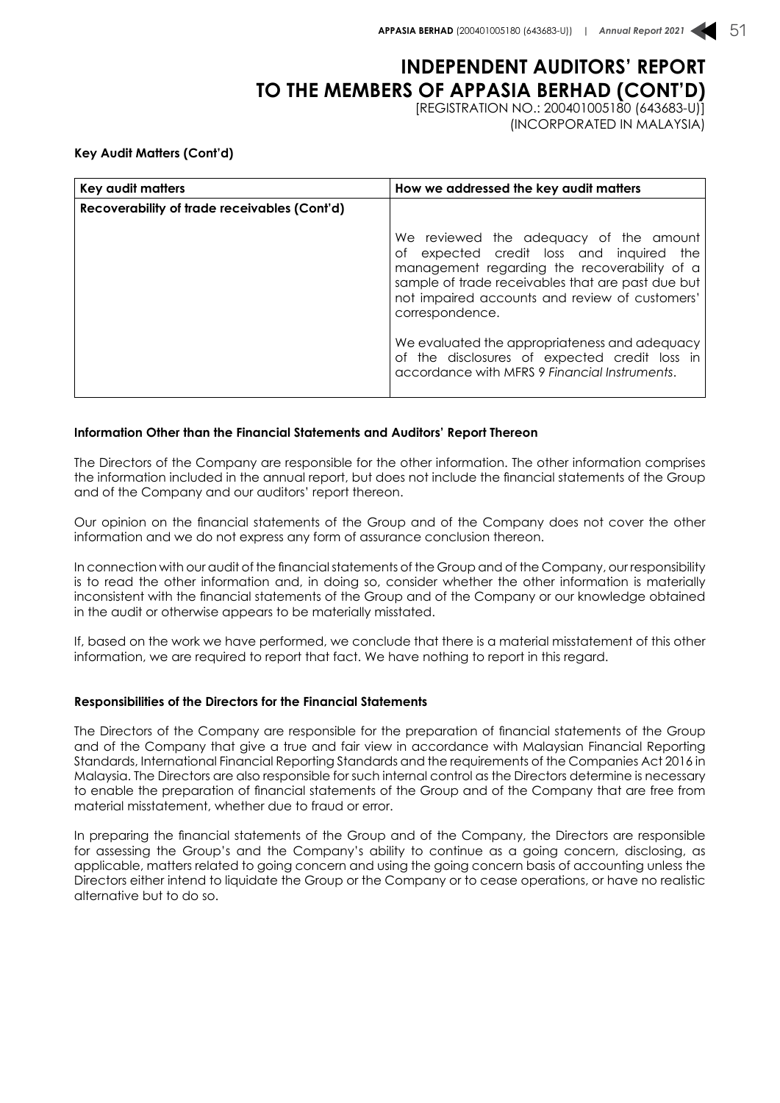# **INDEPENDENT AUDITORS' REPORT TO THE MEMBERS OF APPASIA BERHAD (CONT'D)**

[REGISTRATION NO.: 200401005180 (643683-U)] (INCORPORATED IN MALAYSIA)

**Key Audit Matters (Cont'd)**

| Key audit matters                                   | How we addressed the key audit matters                                                                                                                                                                                                                                                                                                                                                                             |
|-----------------------------------------------------|--------------------------------------------------------------------------------------------------------------------------------------------------------------------------------------------------------------------------------------------------------------------------------------------------------------------------------------------------------------------------------------------------------------------|
| <b>Recoverability of trade receivables (Cont'd)</b> |                                                                                                                                                                                                                                                                                                                                                                                                                    |
|                                                     | We reviewed the adequacy of the amount<br>of expected credit loss and inquired<br>the<br>management regarding the recoverability of a<br>sample of trade receivables that are past due but<br>not impaired accounts and review of customers'<br>correspondence.<br>We evaluated the appropriateness and adequacy<br>of the disclosures of expected credit loss in<br>accordance with MFRS 9 Financial Instruments. |

#### **Information Other than the Financial Statements and Auditors' Report Thereon**

The Directors of the Company are responsible for the other information. The other information comprises the information included in the annual report, but does not include the financial statements of the Group and of the Company and our auditors' report thereon.

Our opinion on the financial statements of the Group and of the Company does not cover the other information and we do not express any form of assurance conclusion thereon.

In connection with our audit of the financial statements of the Group and of the Company, our responsibility is to read the other information and, in doing so, consider whether the other information is materially inconsistent with the financial statements of the Group and of the Company or our knowledge obtained in the audit or otherwise appears to be materially misstated.

If, based on the work we have performed, we conclude that there is a material misstatement of this other information, we are required to report that fact. We have nothing to report in this regard.

#### **Responsibilities of the Directors for the Financial Statements**

The Directors of the Company are responsible for the preparation of financial statements of the Group and of the Company that give a true and fair view in accordance with Malaysian Financial Reporting Standards, International Financial Reporting Standards and the requirements of the Companies Act 2016 in Malaysia. The Directors are also responsible for such internal control as the Directors determine is necessary to enable the preparation of financial statements of the Group and of the Company that are free from material misstatement, whether due to fraud or error.

In preparing the financial statements of the Group and of the Company, the Directors are responsible for assessing the Group's and the Company's ability to continue as a going concern, disclosing, as applicable, matters related to going concern and using the going concern basis of accounting unless the Directors either intend to liquidate the Group or the Company or to cease operations, or have no realistic alternative but to do so.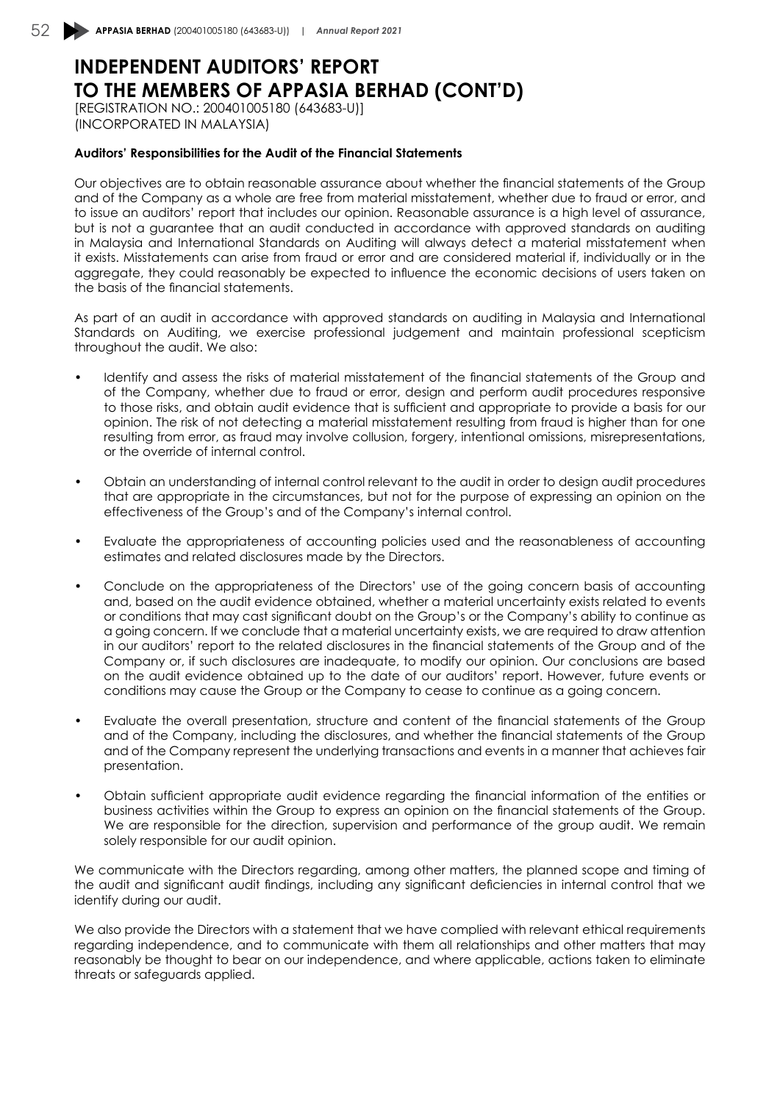# **INDEPENDENT AUDITORS' REPORT TO THE MEMBERS OF APPASIA BERHAD (CONT'D)**

[REGISTRATION NO.: 200401005180 (643683-U)] (INCORPORATED IN MALAYSIA)

#### **Auditors' Responsibilities for the Audit of the Financial Statements**

Our objectives are to obtain reasonable assurance about whether the financial statements of the Group and of the Company as a whole are free from material misstatement, whether due to fraud or error, and to issue an auditors' report that includes our opinion. Reasonable assurance is a high level of assurance, but is not a guarantee that an audit conducted in accordance with approved standards on auditing in Malaysia and International Standards on Auditing will always detect a material misstatement when it exists. Misstatements can arise from fraud or error and are considered material if, individually or in the aggregate, they could reasonably be expected to influence the economic decisions of users taken on the basis of the financial statements.

As part of an audit in accordance with approved standards on auditing in Malaysia and International Standards on Auditing, we exercise professional judgement and maintain professional scepticism throughout the audit. We also:

- Identify and assess the risks of material misstatement of the financial statements of the Group and of the Company, whether due to fraud or error, design and perform audit procedures responsive to those risks, and obtain audit evidence that is sufficient and appropriate to provide a basis for our opinion. The risk of not detecting a material misstatement resulting from fraud is higher than for one resulting from error, as fraud may involve collusion, forgery, intentional omissions, misrepresentations, or the override of internal control.
- Obtain an understanding of internal control relevant to the audit in order to design audit procedures that are appropriate in the circumstances, but not for the purpose of expressing an opinion on the effectiveness of the Group's and of the Company's internal control.
- Evaluate the appropriateness of accounting policies used and the reasonableness of accounting estimates and related disclosures made by the Directors.
- Conclude on the appropriateness of the Directors' use of the going concern basis of accounting and, based on the audit evidence obtained, whether a material uncertainty exists related to events or conditions that may cast significant doubt on the Group's or the Company's ability to continue as a going concern. If we conclude that a material uncertainty exists, we are required to draw attention in our auditors' report to the related disclosures in the financial statements of the Group and of the Company or, if such disclosures are inadequate, to modify our opinion. Our conclusions are based on the audit evidence obtained up to the date of our auditors' report. However, future events or conditions may cause the Group or the Company to cease to continue as a going concern.
- Evaluate the overall presentation, structure and content of the financial statements of the Group and of the Company, including the disclosures, and whether the financial statements of the Group and of the Company represent the underlying transactions and events in a manner that achieves fair presentation.
- Obtain sufficient appropriate audit evidence regarding the financial information of the entities or business activities within the Group to express an opinion on the financial statements of the Group. We are responsible for the direction, supervision and performance of the group audit. We remain solely responsible for our audit opinion.

We communicate with the Directors regarding, among other matters, the planned scope and timing of the audit and significant audit findings, including any significant deficiencies in internal control that we identify during our audit.

We also provide the Directors with a statement that we have complied with relevant ethical requirements regarding independence, and to communicate with them all relationships and other matters that may reasonably be thought to bear on our independence, and where applicable, actions taken to eliminate threats or safeguards applied.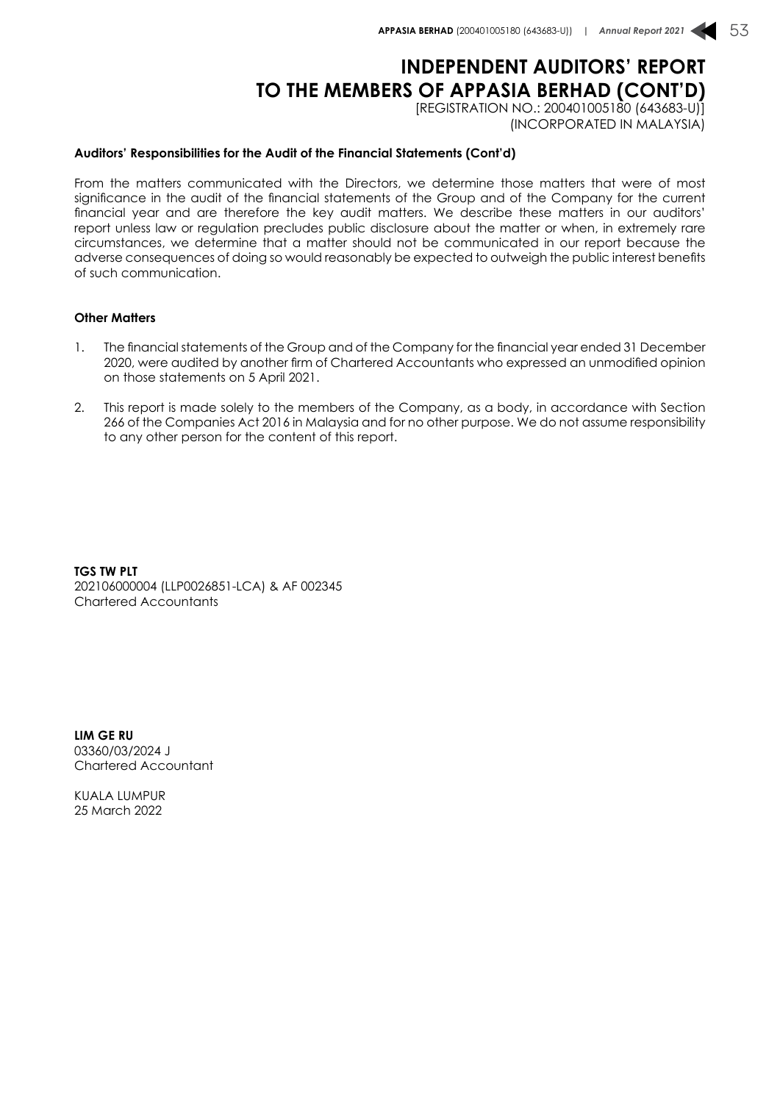## **INDEPENDENT AUDITORS' REPORT TO THE MEMBERS OF APPASIA BERHAD (CONT'D)**

[REGISTRATION NO.: 200401005180 (643683-U)] (INCORPORATED IN MALAYSIA)

#### **Auditors' Responsibilities for the Audit of the Financial Statements (Cont'd)**

From the matters communicated with the Directors, we determine those matters that were of most significance in the audit of the financial statements of the Group and of the Company for the current financial year and are therefore the key audit matters. We describe these matters in our auditors' report unless law or regulation precludes public disclosure about the matter or when, in extremely rare circumstances, we determine that a matter should not be communicated in our report because the adverse consequences of doing so would reasonably be expected to outweigh the public interest benefits of such communication.

#### **Other Matters**

- 1. The financial statements of the Group and of the Company for the financial year ended 31 December 2020, were audited by another firm of Chartered Accountants who expressed an unmodified opinion on those statements on 5 April 2021.
- 2. This report is made solely to the members of the Company, as a body, in accordance with Section 266 of the Companies Act 2016 in Malaysia and for no other purpose. We do not assume responsibility to any other person for the content of this report.

**TGS TW PLT** 202106000004 (LLP0026851-LCA) & AF 002345 Chartered Accountants

**LIM GE RU** 03360/03/2024 J Chartered Accountant

KUALA LUMPUR 25 March 2022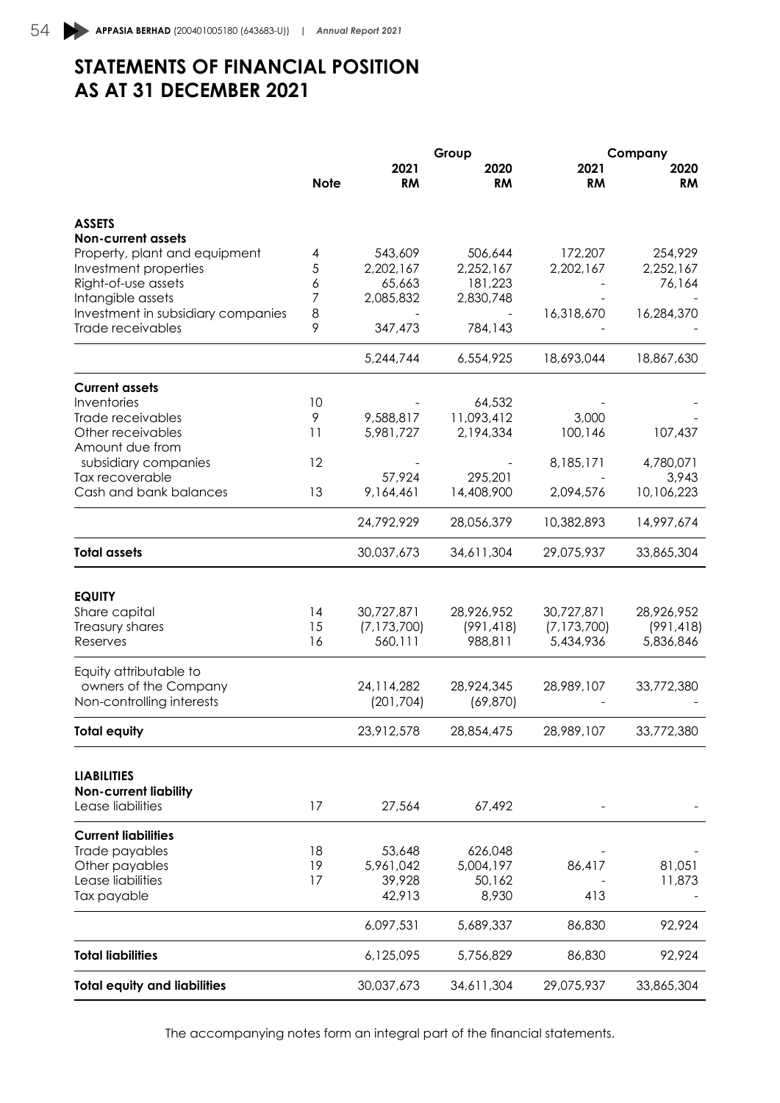# **STATEMENTS OF FINANCIAL POSITION AS AT 31 DECEMBER 2021**

|                                     |             |               | Group      |               | Company    |
|-------------------------------------|-------------|---------------|------------|---------------|------------|
|                                     |             | 2021          | 2020       | 2021          | 2020       |
|                                     | <b>Note</b> | <b>RM</b>     | <b>RM</b>  | <b>RM</b>     | RM         |
| <b>ASSETS</b>                       |             |               |            |               |            |
| <b>Non-current assets</b>           |             |               |            |               |            |
| Property, plant and equipment       | 4           | 543,609       | 506,644    | 172,207       | 254,929    |
| Investment properties               | 5           | 2,202,167     | 2,252,167  | 2,202,167     | 2,252,167  |
| Right-of-use assets                 | 6           | 65,663        | 181,223    |               | 76,164     |
| Intangible assets                   | 7           | 2,085,832     | 2,830,748  |               |            |
| Investment in subsidiary companies  | 8           |               |            | 16,318,670    | 16,284,370 |
| Trade receivables                   | 9           | 347,473       | 784,143    |               |            |
|                                     |             | 5,244,744     | 6,554,925  | 18,693,044    | 18,867,630 |
| <b>Current assets</b>               |             |               |            |               |            |
| Inventories                         | 10          |               | 64,532     |               |            |
| Trade receivables                   | 9           | 9,588,817     | 11,093,412 | 3,000         |            |
| Other receivables                   | 11          | 5,981,727     | 2,194,334  | 100,146       | 107,437    |
| Amount due from                     |             |               |            |               |            |
| subsidiary companies                | 12          |               |            | 8,185,171     | 4,780,071  |
| Tax recoverable                     |             | 57,924        | 295,201    |               | 3,943      |
| Cash and bank balances              | 13          | 9,164,461     | 14,408,900 | 2,094,576     | 10,106,223 |
|                                     |             | 24,792,929    | 28,056,379 | 10,382,893    | 14,997,674 |
| <b>Total assets</b>                 |             | 30,037,673    | 34,611,304 | 29,075,937    | 33,865,304 |
|                                     |             |               |            |               |            |
| <b>EQUITY</b>                       |             |               |            |               |            |
| Share capital                       | 14          | 30,727,871    | 28,926,952 | 30,727,871    | 28,926,952 |
| Treasury shares<br>Reserves         | 15<br>16    | (7, 173, 700) | (991, 418) | (7, 173, 700) | (991, 418) |
|                                     |             | 560,111       | 988,811    | 5,434,936     | 5,836,846  |
| Equity attributable to              |             |               |            |               |            |
| owners of the Company               |             | 24, 114, 282  | 28,924,345 | 28,989,107    | 33,772,380 |
| Non-controlling interests           |             | (201, 704)    | (69, 870)  |               |            |
| <b>Total equity</b>                 |             | 23,912,578    | 28,854,475 | 28,989,107    | 33,772,380 |
|                                     |             |               |            |               |            |
| <b>LIABILITIES</b>                  |             |               |            |               |            |
| <b>Non-current liability</b>        |             |               |            |               |            |
| Lease liabilities                   | 17          | 27,564        | 67,492     |               |            |
| <b>Current liabilities</b>          |             |               |            |               |            |
| Trade payables                      | 18          | 53,648        | 626,048    |               |            |
| Other payables                      | 19          | 5,961,042     | 5,004,197  | 86,417        | 81,051     |
| Lease liabilities                   | 17          | 39,928        | 50,162     |               | 11,873     |
| Tax payable                         |             | 42,913        | 8,930      | 413           |            |
|                                     |             | 6,097,531     | 5,689,337  | 86,830        | 92,924     |
| <b>Total liabilities</b>            |             | 6,125,095     | 5,756,829  | 86,830        | 92,924     |
| <b>Total equity and liabilities</b> |             | 30,037,673    | 34,611,304 | 29,075,937    | 33,865,304 |
|                                     |             |               |            |               |            |

The accompanying notes form an integral part of the financial statements.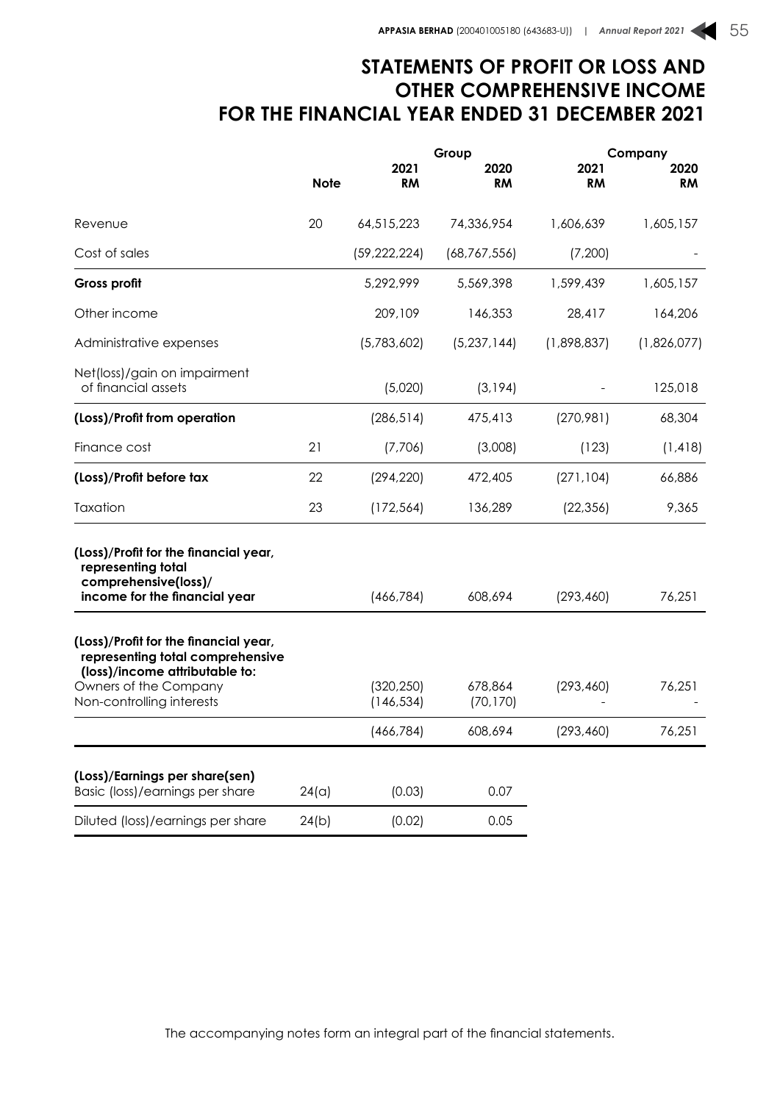## **STATEMENTS OF PROFIT OR LOSS AND OTHER COMPREHENSIVE INCOME FOR THE FINANCIAL YEAR ENDED 31 DECEMBER 2021**

|                                                                                                                                                                   |             |                          | Group                |                   | Company           |
|-------------------------------------------------------------------------------------------------------------------------------------------------------------------|-------------|--------------------------|----------------------|-------------------|-------------------|
|                                                                                                                                                                   | <b>Note</b> | 2021<br><b>RM</b>        | 2020<br><b>RM</b>    | 2021<br><b>RM</b> | 2020<br><b>RM</b> |
| Revenue                                                                                                                                                           | 20          | 64,515,223               | 74,336,954           | 1,606,639         | 1,605,157         |
| Cost of sales                                                                                                                                                     |             | (59, 222, 224)           | (68, 767, 556)       | (7,200)           |                   |
| Gross profit                                                                                                                                                      |             | 5,292,999                | 5,569,398            | 1,599,439         | 1,605,157         |
| Other income                                                                                                                                                      |             | 209,109                  | 146,353              | 28,417            | 164,206           |
| Administrative expenses                                                                                                                                           |             | (5,783,602)              | (5,237,144)          | (1,898,837)       | (1,826,077)       |
| Net(loss)/gain on impairment<br>of financial assets                                                                                                               |             | (5,020)                  | (3, 194)             |                   | 125,018           |
| (Loss)/Profit from operation                                                                                                                                      |             | (286, 514)               | 475,413              | (270, 981)        | 68,304            |
| Finance cost                                                                                                                                                      | 21          | (7,706)                  | (3,008)              | (123)             | (1, 418)          |
| (Loss)/Profit before tax                                                                                                                                          | 22          | (294, 220)               | 472,405              | (271, 104)        | 66,886            |
| Taxation                                                                                                                                                          | 23          | (172, 564)               | 136,289              | (22, 356)         | 9,365             |
| (Loss)/Profit for the financial year,<br>representing total<br>comprehensive(loss)/                                                                               |             |                          |                      |                   |                   |
| income for the financial year                                                                                                                                     |             | (466, 784)               | 608,694              | (293, 460)        | 76,251            |
| (Loss)/Profit for the financial year,<br>representing total comprehensive<br>(loss)/income attributable to:<br>Owners of the Company<br>Non-controlling interests |             | (320, 250)<br>(146, 534) | 678,864<br>(70, 170) | (293, 460)        | 76,251            |
|                                                                                                                                                                   |             | (466, 784)               | 608,694              | (293, 460)        | 76,251            |
| (Loss)/Earnings per share(sen)<br>Basic (loss)/earnings per share                                                                                                 | 24(a)       | (0.03)                   | 0.07                 |                   |                   |
| Diluted (loss)/earnings per share                                                                                                                                 | 24(b)       | (0.02)                   | 0.05                 |                   |                   |
|                                                                                                                                                                   |             |                          |                      |                   |                   |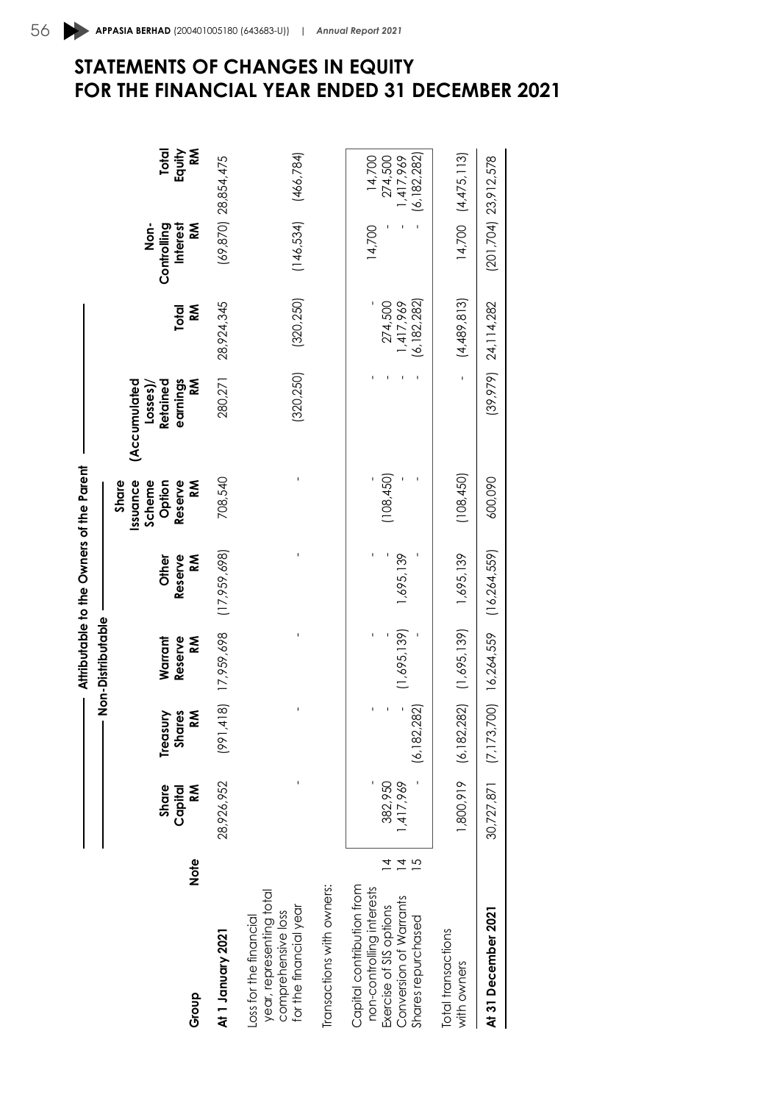|                                                                                                                                   |        |                       |                                     |                                                 | Attributable to the Owners of the Parent |                                                        |                                                       |                                       |                                              |                                                 |
|-----------------------------------------------------------------------------------------------------------------------------------|--------|-----------------------|-------------------------------------|-------------------------------------------------|------------------------------------------|--------------------------------------------------------|-------------------------------------------------------|---------------------------------------|----------------------------------------------|-------------------------------------------------|
| Group                                                                                                                             | Note   | Share<br>M<br>Capital | <b>Shares</b><br>M<br>Treasury      | — Non-Distributable<br>Warrant<br>Reserve<br>ΚÑ | Reserve<br>ΚÑ<br>Other                   | Reserve<br>Share<br>Issuance<br>Scheme<br>Option<br>ΚÑ | (Accumulated<br>earnings<br>Retained<br>ΣÑ<br>Losses) | ≳<br>Total                            | <b>Interest</b><br>ΣÑ<br>Non-<br>Controlling | Equity<br>Μ<br><b>Total</b>                     |
| At 1 January 2021                                                                                                                 |        | 28,926,952            | (814, 4)<br>$\frac{1}{2}$           | 17,959,698                                      | (17,959,698)                             | 708,540                                                | 280,271                                               | 28,924,345                            |                                              | $(69, 870)$ 28,854,475                          |
| Transactions with owners:<br>year, representing total<br>for the financial year<br>comprehensive loss<br>oss for the financial    |        |                       |                                     |                                                 |                                          |                                                        | (320, 250)                                            | (320, 250)                            | $(146, 534)$ $(466, 784)$                    |                                                 |
|                                                                                                                                   |        |                       |                                     |                                                 |                                          |                                                        |                                                       |                                       |                                              |                                                 |
| Capital contribution from<br>non-controlling interests<br>Exercise of SIS options<br>Conversion of Warrants<br>Shares repurchased | 5<br>4 | ,417,969<br>382,950   | ,282)<br>(6, 182)                   | (1,695,139)                                     | 1,695,139                                | (108, 450)                                             |                                                       | (6, 182, 282)<br>1,417,969<br>274,500 | 14,700                                       | (6, 182, 282)<br>14,700<br>274,500<br>1,417,969 |
| Total transactions<br>with owners                                                                                                 |        |                       | $1,800.919$ (6,182,282) (1,695,139) |                                                 | 1,695,139                                | (108, 450)                                             | $\overline{1}$                                        | (4,489,813)                           |                                              | $14,700$ $(4,475,113)$                          |
| At 31 December 2021                                                                                                               |        |                       | 30,727,871 (7,173,700) 16,264,559   |                                                 | (16, 264, 559)                           | 600,090                                                |                                                       | $(39, 979)$ 24, 114, 282              | $(201, 704)$ 23, 912, 578                    |                                                 |
|                                                                                                                                   |        |                       |                                     |                                                 |                                          |                                                        |                                                       |                                       |                                              |                                                 |

# 56 **APPASIA BERHAD** (200401005180 (643683-U)) | *Annual Report 2021* **STATEMENTS OF CHANGES IN EQUITY FOR THE FINANCIAL YEAR ENDED 31 DECEMBER 2021**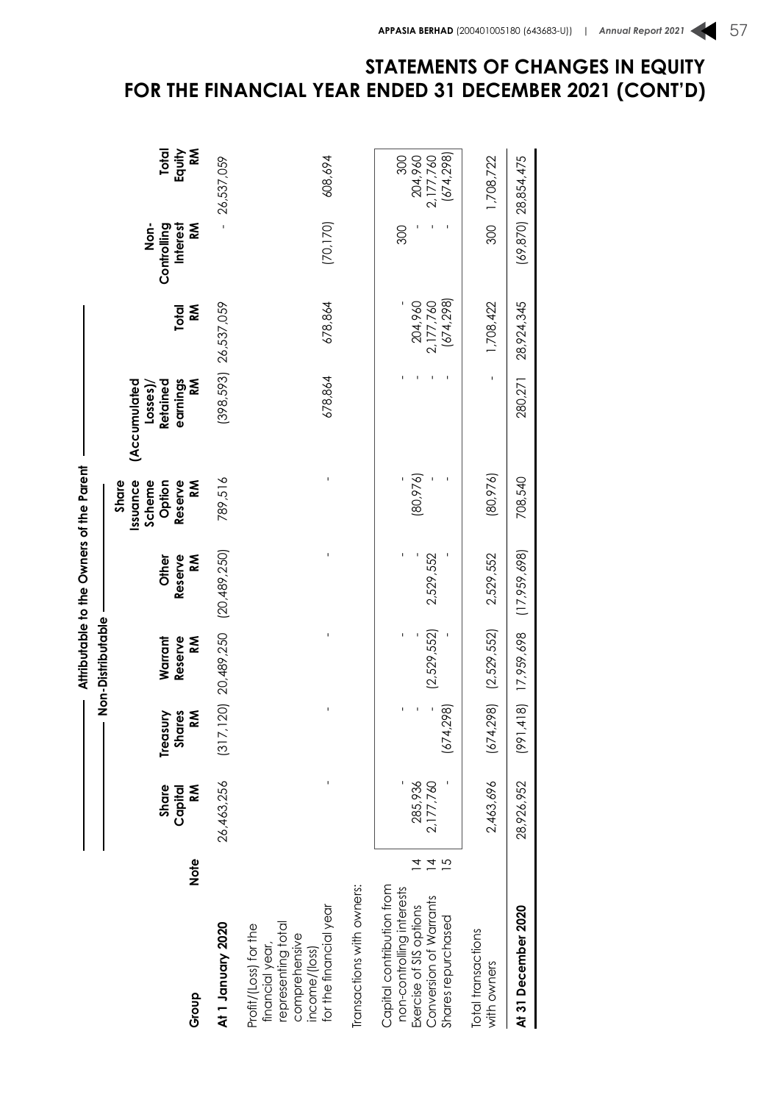|                                                                                                                                   |                 |                               |                                | Attributable to the Owners of the Parent<br>lon-Distributable |                       |                                                       |                                                      |                                   |                                      |                                          |
|-----------------------------------------------------------------------------------------------------------------------------------|-----------------|-------------------------------|--------------------------------|---------------------------------------------------------------|-----------------------|-------------------------------------------------------|------------------------------------------------------|-----------------------------------|--------------------------------------|------------------------------------------|
| Group                                                                                                                             | Note            | <b>NS</b><br>Share<br>Capital | Treasury<br><b>Shares</b><br>M | Reserve<br>Κ<br>Warrant                                       | Κ<br>Reserve<br>Other | Issuance<br>Scheme<br>Option<br>Reserve<br>Š<br>Share | earnings<br>Š<br>(Accumulated<br>Retained<br>Losses) | Κ<br>Total                        | Interest<br>Š<br>don-<br>Controlling | Equity<br>Κ<br><b>Total</b>              |
| At 1 January 2020                                                                                                                 |                 | 26,463,256                    | (317, 120)                     | 20,489,250                                                    | (20,489,250)          | 789,516                                               |                                                      | $(398,593)$ 26,537,059            |                                      | 26,537,059                               |
| for the financial year<br>representing total<br>Profit/(Loss) for the<br>comprehensive<br>financial year,<br>income/(loss)        |                 |                               |                                | I                                                             | ı                     |                                                       | 678,864                                              | 678,864                           | (70, 170)                            | 608,694                                  |
| Transactions with owners:                                                                                                         |                 |                               |                                |                                                               |                       |                                                       |                                                      |                                   |                                      |                                          |
| Capital contribution from<br>non-controlling interests<br>Conversion of Warrants<br>Exercise of SIS options<br>Shares repurchased | $\frac{1}{4}$ 5 | 285,936<br>2,177,760          | (674, 298)                     | (2,529,552)                                                   | 2,529,552             | (80, 976)                                             |                                                      | 2,177,760<br>(674,298)<br>204,960 | 300                                  | 2,177,760<br>(674,298)<br>300<br>204,960 |
| Total transactions<br>with owners                                                                                                 |                 | 2,463,696                     | (674, 298)                     | (2,529,552)                                                   | 2,529,552             | (80,976)                                              | ı                                                    | 1,708,422                         | 300                                  | 1,708,722                                |
| At 31 December 2020                                                                                                               |                 | 28,926,952                    | (991, 418)                     | 17,959,698                                                    | (17, 959, 698)        | 708,540                                               | 280,271                                              | 28,924,345                        |                                      | $(69, 870)$ 28,854,475                   |

## **STATEMENTS OF CHANGES IN EQUITY FOR THE FINANCIAL YEAR ENDED 31 DECEMBER 2021 (CONT'D)**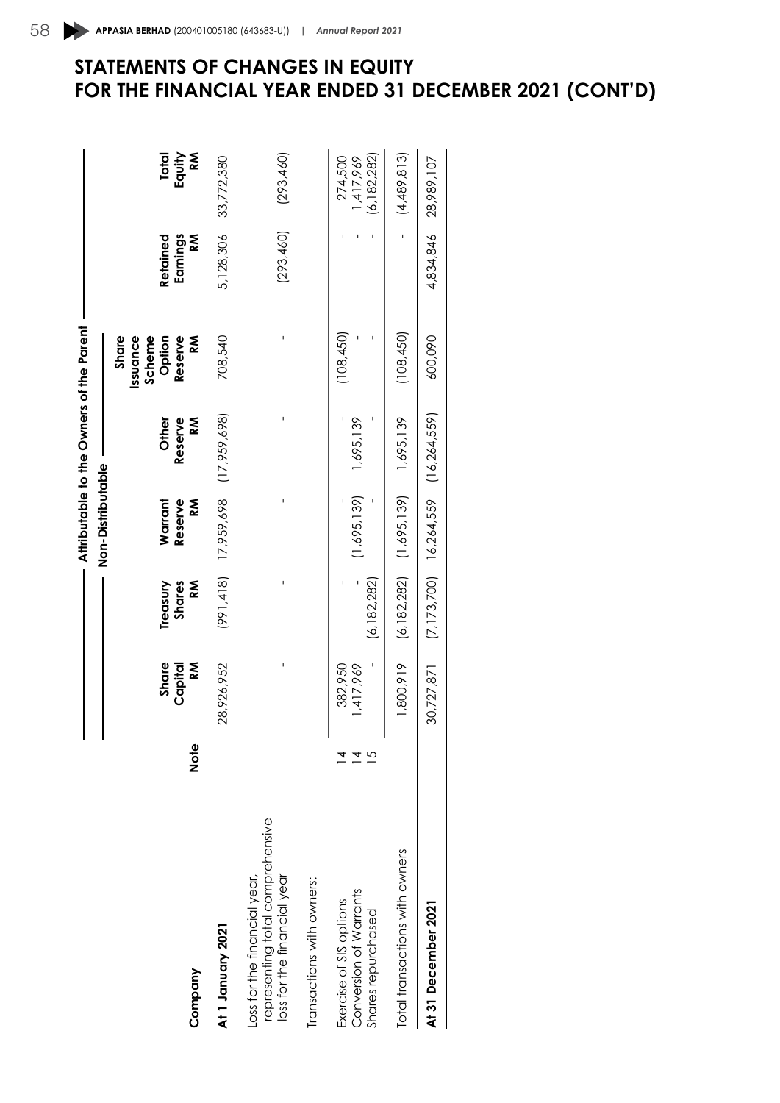|                                                                                                |      |                       |                                 |                                                 | Attributable to the Owners of the Parent |                                                              |                                |                                       |
|------------------------------------------------------------------------------------------------|------|-----------------------|---------------------------------|-------------------------------------------------|------------------------------------------|--------------------------------------------------------------|--------------------------------|---------------------------------------|
|                                                                                                |      |                       |                                 | Non-Distributable                               |                                          |                                                              |                                |                                       |
| Company                                                                                        | Note | Share<br>M<br>Capital | Shares<br><b>NS</b><br>Treasury | Warrant<br>Reserve<br>Š                         | ⋚<br>Reserve<br><b>Other</b>             | Share<br>Issuance<br>Scheme<br>Option<br>Reserve<br><b>M</b> | Retained<br>Earnings<br>k<br>≪ | <b>NS</b><br>Total<br>Equity          |
| At 1 January 2021                                                                              |      | 28,926,952            | (991, 418)                      | 17,959,698                                      | (17,959,698)                             | 708,540                                                      | 5,128,306                      | 33,772,380                            |
| representing total comprehensive<br>oss for the financial year,<br>loss for the financial year |      |                       |                                 |                                                 |                                          |                                                              | (293, 460)                     | (293, 460)                            |
| iransactions with owners:                                                                      |      |                       |                                 |                                                 |                                          |                                                              |                                |                                       |
| Conversion of Warrants<br>Exercise of SIS options<br>Shares repurchased                        |      | 382,950<br>1,417,969  | (6, 182, 282)                   | (1,695,139)                                     | 1,695,139                                | (108, 450)                                                   |                                | (6, 182, 282)<br>1,417,969<br>274,500 |
| otal transactions with owners                                                                  |      | 1,800,919             | (6, 182, 282)                   | (1,695,139)                                     | 1,695,139                                | (108, 450)                                                   | $\mathbf{I}$                   | (4,489,813)                           |
| At 31 December 2021                                                                            |      | 30,727,871            |                                 | $(7, 173, 700)$ $16, 264, 559$ $(16, 264, 559)$ |                                          | 600,090                                                      | 4,834,846                      | 28,989,107                            |

# **STATEMENTS OF CHANGES IN EQUITY FOR THE FINANCIAL YEAR ENDED 31 DECEMBER 2021 (CONT'D)**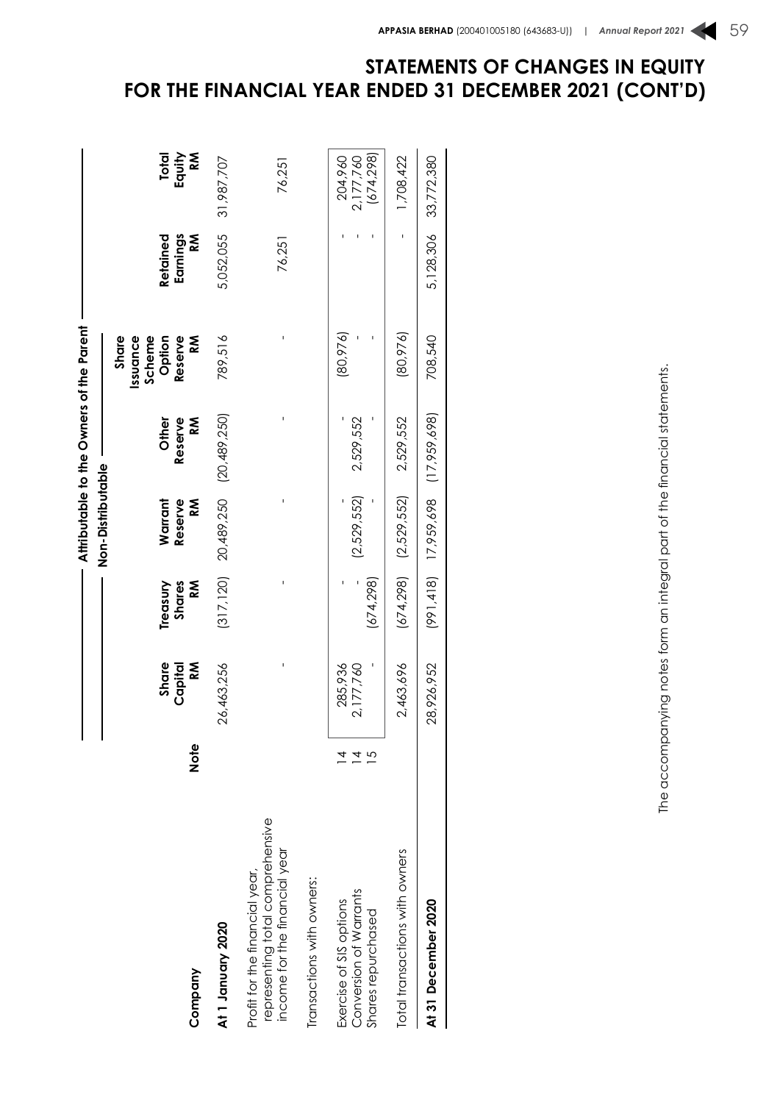|                                                                                                     |      | I                    |                  |                                      | Attributable to the Owners of the Parent |                                       |                    |                                    |
|-----------------------------------------------------------------------------------------------------|------|----------------------|------------------|--------------------------------------|------------------------------------------|---------------------------------------|--------------------|------------------------------------|
|                                                                                                     |      | I                    |                  | Non-Distributable                    |                                          |                                       |                    |                                    |
|                                                                                                     |      | Share                | Treasury         | Warrant                              | Other                                    | Share<br>Issuance<br>Scheme<br>Option | Retained           | Total                              |
| Company                                                                                             | Note | Capital<br>ΚÑ        | Shares<br>k<br>≪ | Reserve<br>⋚                         | <b>M</b><br>Reserve                      | Reserve<br>Κ                          | Earnings<br>k<br>≪ | Κ<br>Equity                        |
| At 1 January 2020                                                                                   |      | 26,463,256           | (317, 120)       | 20,489,250                           | (20,489,250)                             | 789,516                               | 5,052,055          | 31,987,707                         |
| representing total comprehensive<br>income for the financial year<br>Profit for the financial year, |      |                      | ı                |                                      |                                          | ı                                     | 76,251             | 76,251                             |
| iransactions with owners:                                                                           |      |                      |                  |                                      |                                          |                                       |                    |                                    |
| Conversion of Warrants<br>Exercise of SIS options<br>Shares repurchased                             | 4    | 285,936<br>2,177,760 | (674, 298)       | (2,529,552)                          | 2,529,552                                | (80, 976)                             |                    | (674, 298)<br>2,177,760<br>204,960 |
| Total transactions with owners                                                                      |      | 2,463,696            | (674, 298)       | (2,529,552)                          | 2,529,552                                | (80, 976)                             | ı                  | 1,708,422                          |
| At 31 December 2020                                                                                 |      | 28,926,952           |                  | $(991, 418)$ 17,959,698 (17,959,698) |                                          | 708,540                               | 5,128,306          | 33,772,380                         |

# The accompanying notes form an integral part of the financial statements. The accompanying notes form an integral part of the financial statements.

# **STATEMENTS OF CHANGES IN EQUITY FOR THE FINANCIAL YEAR ENDED 31 DECEMBER 2021 (CONT'D)**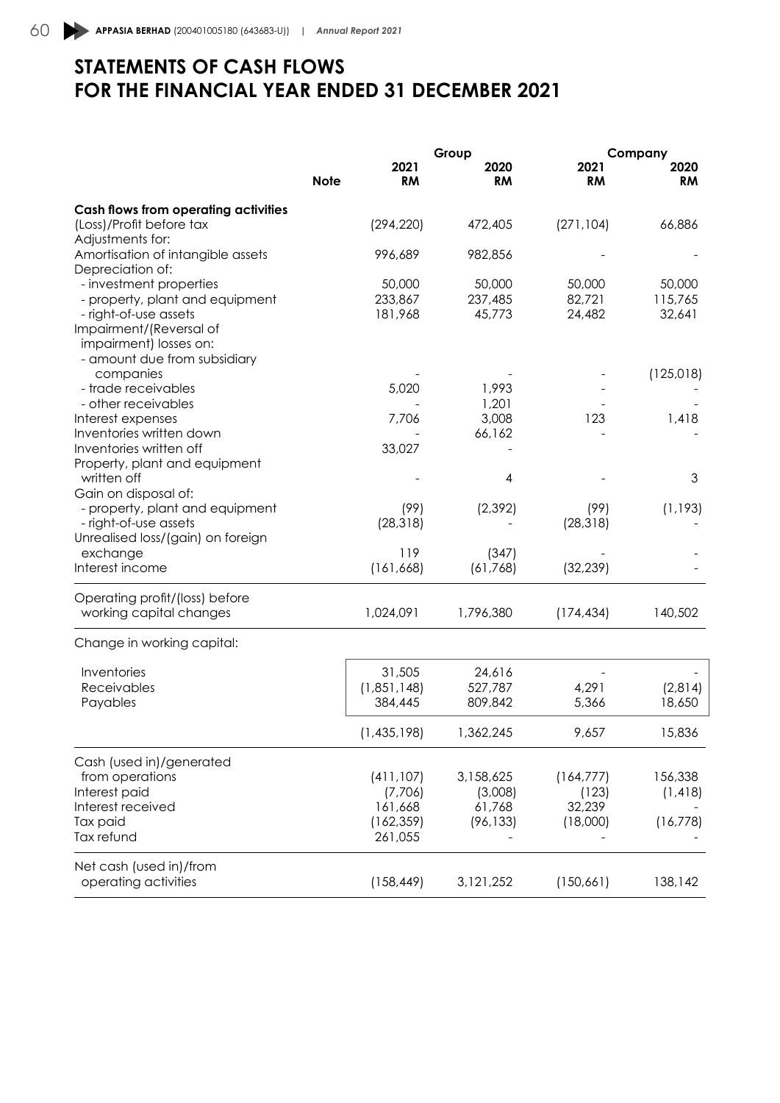# **STATEMENTS OF CASH FLOWS FOR THE FINANCIAL YEAR ENDED 31 DECEMBER 2021**

|                                      |             |                   | Group             |                   | Company    |
|--------------------------------------|-------------|-------------------|-------------------|-------------------|------------|
|                                      | <b>Note</b> | 2021<br><b>RM</b> | 2020<br><b>RM</b> | 2021<br><b>RM</b> | 2020<br>RM |
| Cash flows from operating activities |             |                   |                   |                   |            |
| (Loss)/Profit before tax             |             | (294, 220)        | 472,405           | (271, 104)        | 66,886     |
| Adjustments for:                     |             |                   |                   |                   |            |
| Amortisation of intangible assets    |             | 996,689           | 982,856           |                   |            |
| Depreciation of:                     |             |                   |                   |                   |            |
| - investment properties              |             | 50,000            | 50,000            | 50,000            | 50,000     |
| - property, plant and equipment      |             | 233,867           | 237,485           | 82,721            | 115,765    |
| - right-of-use assets                |             | 181,968           | 45,773            | 24,482            | 32,641     |
| Impairment/(Reversal of              |             |                   |                   |                   |            |
| impairment) losses on:               |             |                   |                   |                   |            |
| - amount due from subsidiary         |             |                   |                   |                   |            |
| companies                            |             |                   |                   |                   | (125, 018) |
| - trade receivables                  |             | 5,020             | 1,993             |                   |            |
| - other receivables                  |             |                   | 1,201             |                   |            |
| Interest expenses                    |             | 7,706             | 3,008             | 123               | 1,418      |
| Inventories written down             |             |                   | 66,162            |                   |            |
| Inventories written off              |             | 33,027            |                   |                   |            |
| Property, plant and equipment        |             |                   |                   |                   |            |
| written off                          |             |                   | 4                 |                   | 3          |
| Gain on disposal of:                 |             |                   |                   |                   |            |
| - property, plant and equipment      |             | (99)              | (2, 392)          | (99)              | (1, 193)   |
| - right-of-use assets                |             | (28, 318)         |                   | (28, 318)         |            |
| Unrealised loss/(gain) on foreign    |             |                   |                   |                   |            |
| exchange                             |             | 119               | (347)             |                   |            |
| Interest income                      |             | (161, 668)        | (61, 768)         | (32, 239)         |            |
| Operating profit/(loss) before       |             |                   |                   |                   |            |
| working capital changes              |             | 1,024,091         | 1,796,380         | (174, 434)        | 140,502    |
| Change in working capital:           |             |                   |                   |                   |            |
| Inventories                          |             | 31,505            | 24,616            |                   |            |
| Receivables                          |             | (1,851,148)       | 527,787           | 4,291             | (2,814)    |
| Payables                             |             | 384,445           | 809,842           | 5,366             | 18,650     |
|                                      |             |                   |                   |                   |            |
|                                      |             | (1,435,198)       | 1,362,245         | 9,657             | 15,836     |
| Cash (used in)/generated             |             |                   |                   |                   |            |
| from operations                      |             | (411, 107)        | 3,158,625         | (164, 777)        | 156,338    |
| Interest paid                        |             | (7,706)           | (3,008)           | (123)             | (1, 418)   |
| Interest received                    |             | 161,668           | 61,768            | 32,239            |            |
| Tax paid                             |             | (162, 359)        | (96, 133)         | (18,000)          | (16, 778)  |
| Tax refund                           |             | 261,055           |                   |                   |            |
| Net cash (used in)/from              |             |                   |                   |                   |            |
| operating activities                 |             | (158, 449)        | 3,121,252         | (150, 661)        | 138,142    |
|                                      |             |                   |                   |                   |            |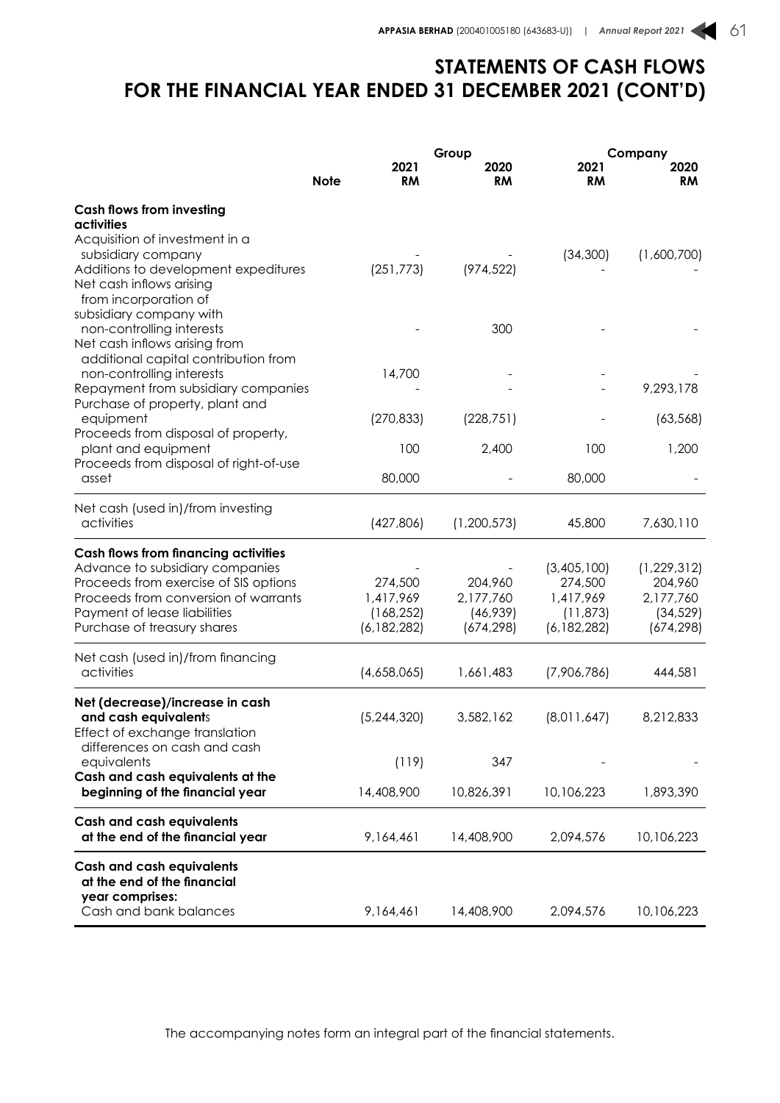## **STATEMENTS OF CASH FLOWS FOR THE FINANCIAL YEAR ENDED 31 DECEMBER 2021 (CONT'D)**

|                                                                                                                                                                                                                                |             |                                                     | Group                                          |                                                                   | Company                                                          |  |
|--------------------------------------------------------------------------------------------------------------------------------------------------------------------------------------------------------------------------------|-------------|-----------------------------------------------------|------------------------------------------------|-------------------------------------------------------------------|------------------------------------------------------------------|--|
|                                                                                                                                                                                                                                | <b>Note</b> | 2021<br><b>RM</b>                                   | 2020<br><b>RM</b>                              | 2021<br><b>RM</b>                                                 | 2020<br><b>RM</b>                                                |  |
| <b>Cash flows from investing</b><br>activities                                                                                                                                                                                 |             |                                                     |                                                |                                                                   |                                                                  |  |
| Acquisition of investment in a<br>subsidiary company<br>Additions to development expeditures<br>Net cash inflows arising<br>from incorporation of                                                                              |             | (251, 773)                                          | (974, 522)                                     | (34,300)                                                          | (1,600,700)                                                      |  |
| subsidiary company with<br>non-controlling interests<br>Net cash inflows arising from                                                                                                                                          |             |                                                     | 300                                            |                                                                   |                                                                  |  |
| additional capital contribution from<br>non-controlling interests<br>Repayment from subsidiary companies                                                                                                                       |             | 14,700                                              |                                                |                                                                   | 9,293,178                                                        |  |
| Purchase of property, plant and<br>equipment                                                                                                                                                                                   |             | (270, 833)                                          | (228, 751)                                     |                                                                   | (63, 568)                                                        |  |
| Proceeds from disposal of property,<br>plant and equipment<br>Proceeds from disposal of right-of-use                                                                                                                           |             | 100                                                 | 2,400                                          | 100                                                               | 1,200                                                            |  |
| asset                                                                                                                                                                                                                          |             | 80,000                                              |                                                | 80,000                                                            |                                                                  |  |
| Net cash (used in)/from investing<br>activities                                                                                                                                                                                |             | (427,806)                                           | (1, 200, 573)                                  | 45,800                                                            | 7,630,110                                                        |  |
| <b>Cash flows from financing activities</b><br>Advance to subsidiary companies<br>Proceeds from exercise of SIS options<br>Proceeds from conversion of warrants<br>Payment of lease liabilities<br>Purchase of treasury shares |             | 274,500<br>1,417,969<br>(168, 252)<br>(6, 182, 282) | 204,960<br>2,177,760<br>(46,939)<br>(674, 298) | (3,405,100)<br>274,500<br>1,417,969<br>(11, 873)<br>(6, 182, 282) | (1, 229, 312)<br>204,960<br>2,177,760<br>(34, 529)<br>(674, 298) |  |
| Net cash (used in)/from financing<br>activities                                                                                                                                                                                |             | (4,658,065)                                         | 1,661,483                                      | (7,906,786)                                                       | 444,581                                                          |  |
| Net (decrease)/increase in cash<br>and cash equivalents<br>Effect of exchange translation                                                                                                                                      |             | (5,244,320)                                         | 3,582,162                                      | (8,011,647)                                                       | 8,212,833                                                        |  |
| differences on cash and cash<br>equivalents                                                                                                                                                                                    |             | (119)                                               | 347                                            |                                                                   |                                                                  |  |
| Cash and cash equivalents at the<br>beginning of the financial year                                                                                                                                                            |             | 14,408,900                                          | 10,826,391                                     | 10,106,223                                                        | 1,893,390                                                        |  |
| <b>Cash and cash equivalents</b><br>at the end of the financial year                                                                                                                                                           |             | 9,164,461                                           | 14,408,900                                     | 2,094,576                                                         | 10,106,223                                                       |  |
| <b>Cash and cash equivalents</b><br>at the end of the financial<br>year comprises:<br>Cash and bank balances                                                                                                                   |             | 9,164,461                                           | 14,408,900                                     | 2,094,576                                                         | 10,106,223                                                       |  |

The accompanying notes form an integral part of the financial statements.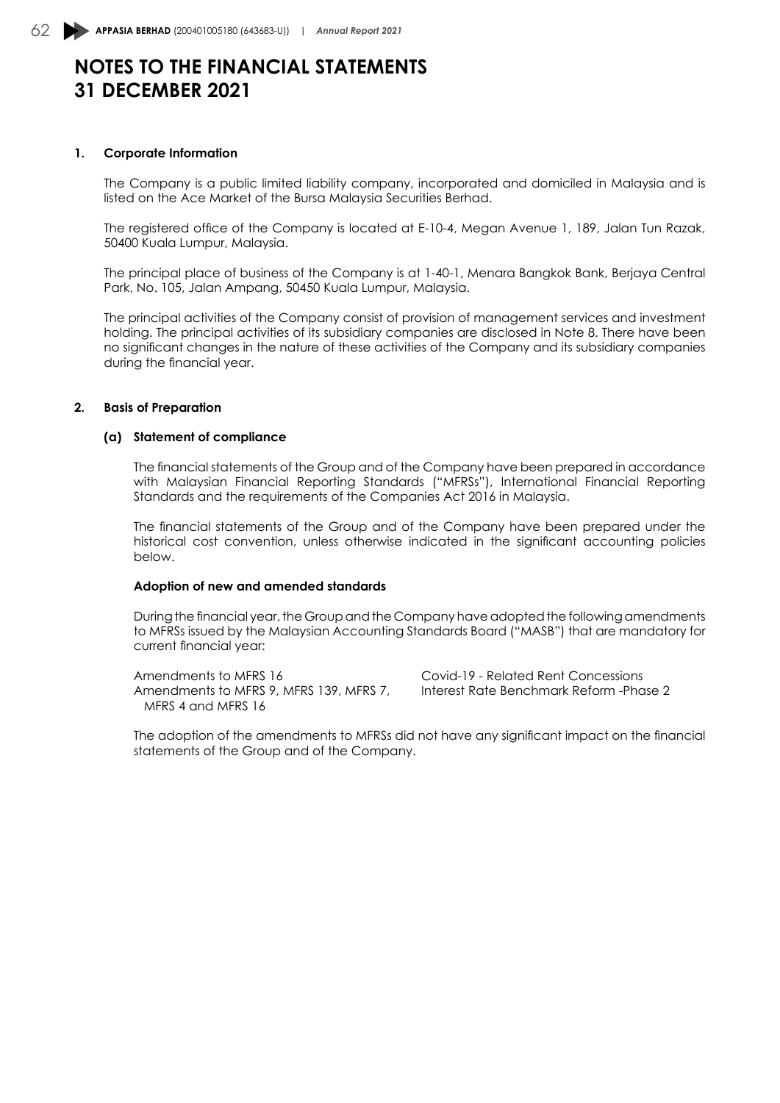# **NOTES TO THE FINANCIAL STATEMENTS 31 DECEMBER 2021**

#### **1. Corporate Information**

The Company is a public limited liability company, incorporated and domiciled in Malaysia and is listed on the Ace Market of the Bursa Malaysia Securities Berhad.

The registered office of the Company is located at E-10-4, Megan Avenue 1, 189, Jalan Tun Razak, 50400 Kuala Lumpur, Malaysia.

The principal place of business of the Company is at 1-40-1, Menara Bangkok Bank, Berjaya Central Park, No. 105, Jalan Ampang, 50450 Kuala Lumpur, Malaysia.

The principal activities of the Company consist of provision of management services and investment holding. The principal activities of its subsidiary companies are disclosed in Note 8. There have been no significant changes in the nature of these activities of the Company and its subsidiary companies during the financial year.

#### **2. Basis of Preparation**

#### **(a) Statement of compliance**

The financial statements of the Group and of the Company have been prepared in accordance with Malaysian Financial Reporting Standards ("MFRSs"), International Financial Reporting Standards and the requirements of the Companies Act 2016 in Malaysia.

The financial statements of the Group and of the Company have been prepared under the historical cost convention, unless otherwise indicated in the significant accounting policies below.

#### **Adoption of new and amended standards**

During the financial year, the Group and the Company have adopted the following amendments to MFRSs issued by the Malaysian Accounting Standards Board ("MASB") that are mandatory for current financial year:

Amendments to MFRS 16 Covid-19 - Related Rent Concessions Amendments to MFRS 9, MFRS 139, MFRS 7, Interest Rate Benchmark Reform -Phase 2 MFRS 4 and MFRS 16

The adoption of the amendments to MFRSs did not have any significant impact on the financial statements of the Group and of the Company.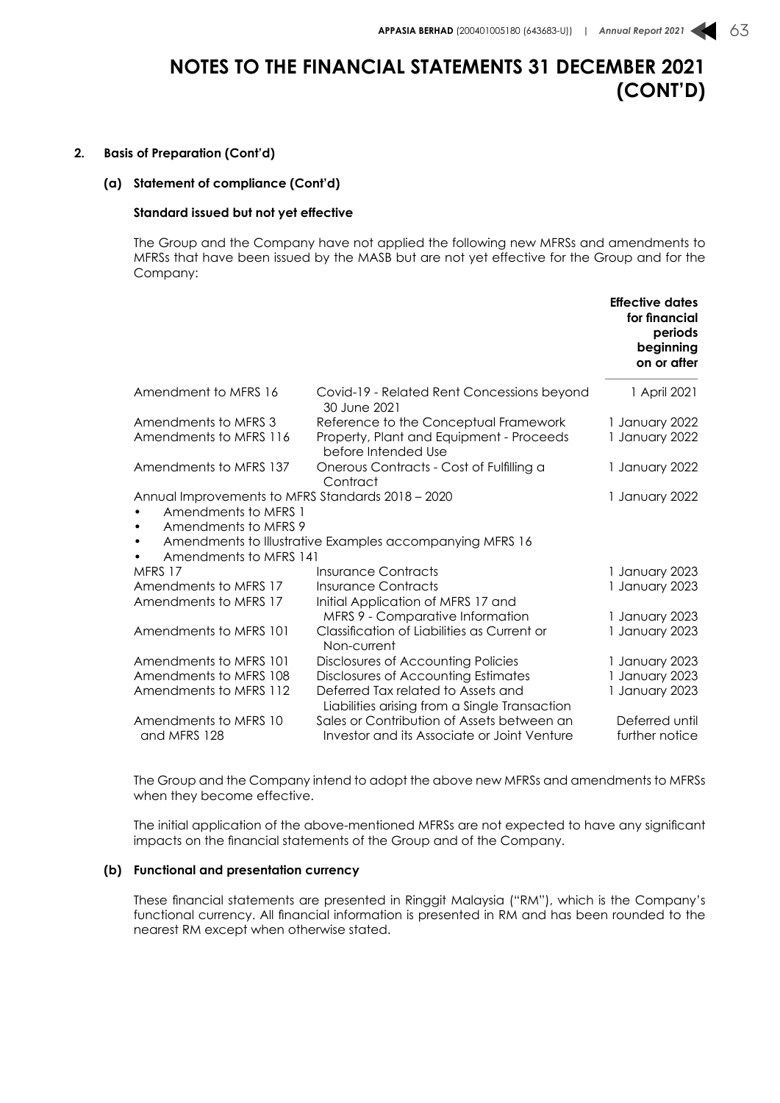#### **2. Basis of Preparation (Cont'd)**

#### **(a) Statement of compliance (Cont'd)**

#### **Standard issued but not yet effective**

The Group and the Company have not applied the following new MFRSs and amendments to MFRSs that have been issued by the MASB but are not yet effective for the Group and for the Company:

|                                                                                                                          |                                                                                           | <b>Effective dates</b><br>for financial<br>periods<br>beginning<br>on or after |
|--------------------------------------------------------------------------------------------------------------------------|-------------------------------------------------------------------------------------------|--------------------------------------------------------------------------------|
| Amendment to MFRS 16                                                                                                     | Covid-19 - Related Rent Concessions beyond<br>30 June 2021                                | 1 April 2021                                                                   |
| Amendments to MFRS 3                                                                                                     | Reference to the Conceptual Framework                                                     | 1 January 2022                                                                 |
| Amendments to MFRS 116                                                                                                   | Property, Plant and Equipment - Proceeds<br>before Intended Use                           | 1 January 2022                                                                 |
| Amendments to MFRS 137                                                                                                   | Onerous Contracts - Cost of Fulfilling a<br>Contract                                      | 1 January 2022                                                                 |
| Annual Improvements to MFRS Standards 2018 - 2020<br>Amendments to MFRS 1<br>$\bullet$<br>Amendments to MFRS 9<br>٠<br>٠ | Amendments to Illustrative Examples accompanying MFRS 16                                  | 1 January 2022                                                                 |
| Amendments to MFRS 141<br>$\bullet$                                                                                      |                                                                                           |                                                                                |
| MFRS 17                                                                                                                  | <b>Insurance Contracts</b>                                                                | 1 January 2023                                                                 |
| Amendments to MFRS 17                                                                                                    | <b>Insurance Contracts</b>                                                                | 1 January 2023                                                                 |
| Amendments to MFRS 17                                                                                                    | Initial Application of MFRS 17 and<br>MFRS 9 - Comparative Information                    | 1 January 2023                                                                 |
| Amendments to MFRS 101                                                                                                   | Classification of Liabilities as Current or<br>Non-current                                | 1 January 2023                                                                 |
| Amendments to MFRS 101                                                                                                   | Disclosures of Accounting Policies                                                        | 1 January 2023                                                                 |
| Amendments to MFRS 108                                                                                                   | Disclosures of Accounting Estimates                                                       | 1 January 2023                                                                 |
| Amendments to MFRS 112                                                                                                   | Deferred Tax related to Assets and<br>Liabilities arising from a Single Transaction       | 1 January 2023                                                                 |
| Amendments to MFRS 10<br>and MFRS 128                                                                                    | Sales or Contribution of Assets between an<br>Investor and its Associate or Joint Venture | Deferred until<br>further notice                                               |

The Group and the Company intend to adopt the above new MFRSs and amendments to MFRSs when they become effective.

The initial application of the above-mentioned MFRSs are not expected to have any significant impacts on the financial statements of the Group and of the Company.

#### **(b) Functional and presentation currency**

These financial statements are presented in Ringgit Malaysia ("RM"), which is the Company's functional currency. All financial information is presented in RM and has been rounded to the nearest RM except when otherwise stated.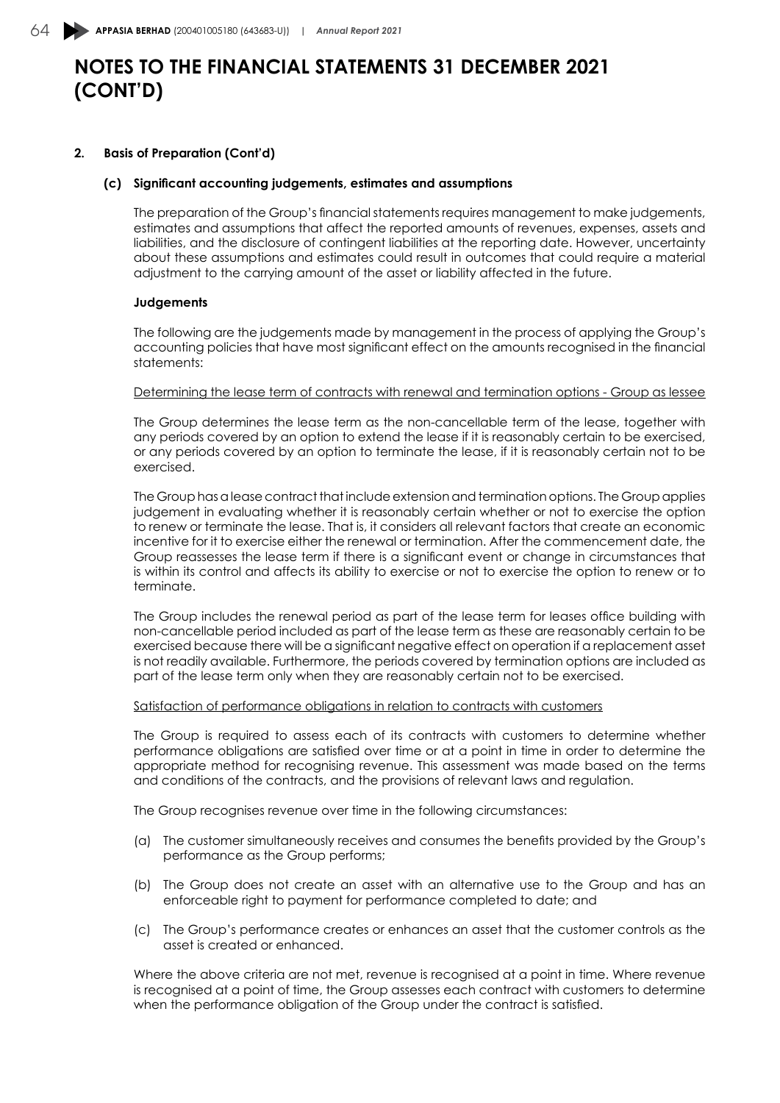#### **2. Basis of Preparation (Cont'd)**

#### **(c) Significant accounting judgements, estimates and assumptions**

The preparation of the Group's financial statements requires management to make judgements, estimates and assumptions that affect the reported amounts of revenues, expenses, assets and liabilities, and the disclosure of contingent liabilities at the reporting date. However, uncertainty about these assumptions and estimates could result in outcomes that could require a material adjustment to the carrying amount of the asset or liability affected in the future.

#### **Judgements**

The following are the judgements made by management in the process of applying the Group's accounting policies that have most significant effect on the amounts recognised in the financial statements:

#### Determining the lease term of contracts with renewal and termination options - Group as lessee

The Group determines the lease term as the non-cancellable term of the lease, together with any periods covered by an option to extend the lease if it is reasonably certain to be exercised, or any periods covered by an option to terminate the lease, if it is reasonably certain not to be exercised.

The Group has a lease contract that include extension and termination options. The Group applies judgement in evaluating whether it is reasonably certain whether or not to exercise the option to renew or terminate the lease. That is, it considers all relevant factors that create an economic incentive for it to exercise either the renewal or termination. After the commencement date, the Group reassesses the lease term if there is a significant event or change in circumstances that is within its control and affects its ability to exercise or not to exercise the option to renew or to terminate.

The Group includes the renewal period as part of the lease term for leases office building with non-cancellable period included as part of the lease term as these are reasonably certain to be exercised because there will be a significant negative effect on operation if a replacement asset is not readily available. Furthermore, the periods covered by termination options are included as part of the lease term only when they are reasonably certain not to be exercised.

#### Satisfaction of performance obligations in relation to contracts with customers

The Group is required to assess each of its contracts with customers to determine whether performance obligations are satisfied over time or at a point in time in order to determine the appropriate method for recognising revenue. This assessment was made based on the terms and conditions of the contracts, and the provisions of relevant laws and regulation.

The Group recognises revenue over time in the following circumstances:

- (a) The customer simultaneously receives and consumes the benefits provided by the Group's performance as the Group performs;
- (b) The Group does not create an asset with an alternative use to the Group and has an enforceable right to payment for performance completed to date; and
- (c) The Group's performance creates or enhances an asset that the customer controls as the asset is created or enhanced.

Where the above criteria are not met, revenue is recognised at a point in time. Where revenue is recognised at a point of time, the Group assesses each contract with customers to determine when the performance obligation of the Group under the contract is satisfied.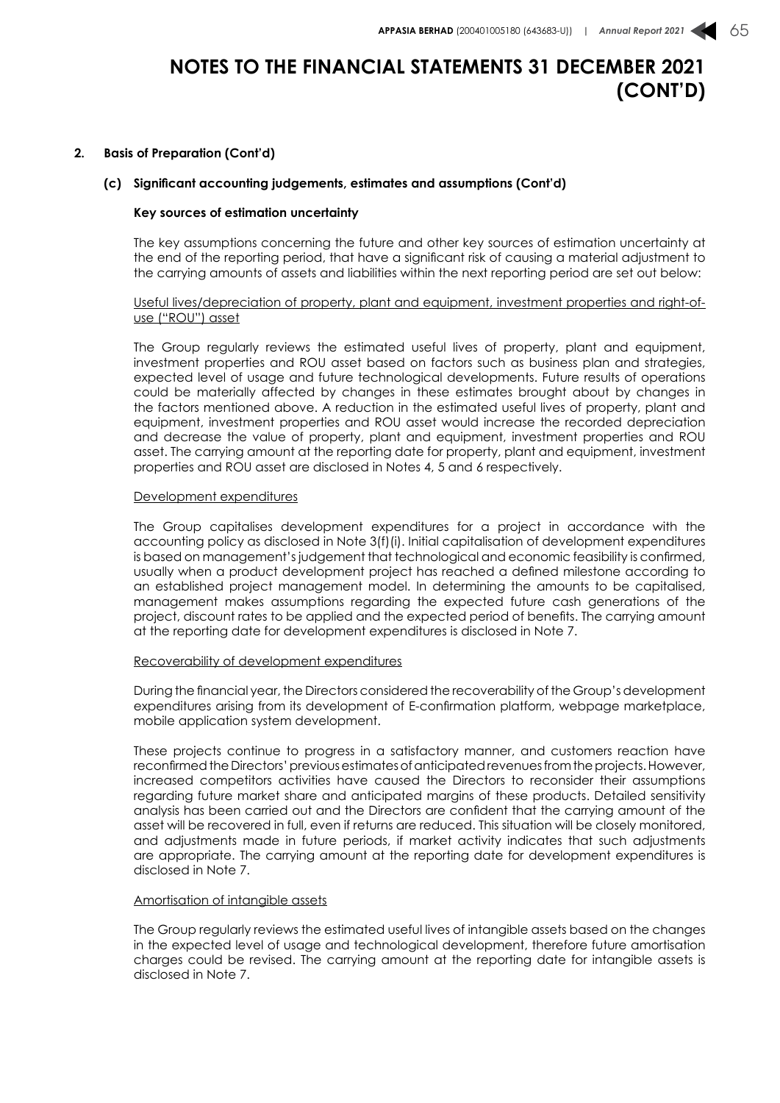#### **2. Basis of Preparation (Cont'd)**

#### **(c) Significant accounting judgements, estimates and assumptions (Cont'd)**

#### **Key sources of estimation uncertainty**

The key assumptions concerning the future and other key sources of estimation uncertainty at the end of the reporting period, that have a significant risk of causing a material adjustment to the carrying amounts of assets and liabilities within the next reporting period are set out below:

#### Useful lives/depreciation of property, plant and equipment, investment properties and right-ofuse ("ROU") asset

The Group regularly reviews the estimated useful lives of property, plant and equipment, investment properties and ROU asset based on factors such as business plan and strategies, expected level of usage and future technological developments. Future results of operations could be materially affected by changes in these estimates brought about by changes in the factors mentioned above. A reduction in the estimated useful lives of property, plant and equipment, investment properties and ROU asset would increase the recorded depreciation and decrease the value of property, plant and equipment, investment properties and ROU asset. The carrying amount at the reporting date for property, plant and equipment, investment properties and ROU asset are disclosed in Notes 4, 5 and 6 respectively.

#### Development expenditures

The Group capitalises development expenditures for a project in accordance with the accounting policy as disclosed in Note 3(f)(i). Initial capitalisation of development expenditures is based on management's judgement that technological and economic feasibility is confirmed, usually when a product development project has reached a defined milestone according to an established project management model. In determining the amounts to be capitalised, management makes assumptions regarding the expected future cash generations of the project, discount rates to be applied and the expected period of benefits. The carrying amount at the reporting date for development expenditures is disclosed in Note 7.

#### Recoverability of development expenditures

During the financial year, the Directors considered the recoverability of the Group's development expenditures arising from its development of E-confirmation platform, webpage marketplace, mobile application system development.

These projects continue to progress in a satisfactory manner, and customers reaction have reconfirmed the Directors' previous estimates of anticipated revenues from the projects. However, increased competitors activities have caused the Directors to reconsider their assumptions regarding future market share and anticipated margins of these products. Detailed sensitivity analysis has been carried out and the Directors are confident that the carrying amount of the asset will be recovered in full, even if returns are reduced. This situation will be closely monitored, and adjustments made in future periods, if market activity indicates that such adjustments are appropriate. The carrying amount at the reporting date for development expenditures is disclosed in Note 7.

#### Amortisation of intangible assets

The Group regularly reviews the estimated useful lives of intangible assets based on the changes in the expected level of usage and technological development, therefore future amortisation charges could be revised. The carrying amount at the reporting date for intangible assets is disclosed in Note 7.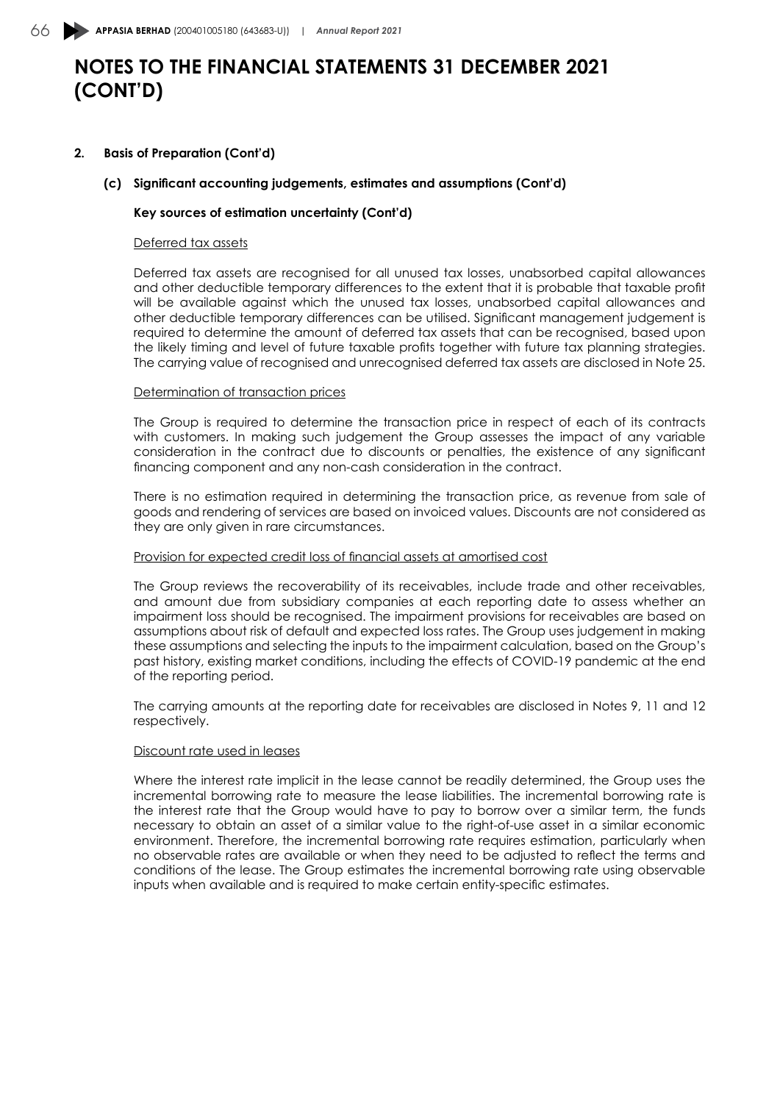#### **2. Basis of Preparation (Cont'd)**

#### **(c) Significant accounting judgements, estimates and assumptions (Cont'd)**

#### **Key sources of estimation uncertainty (Cont'd)**

#### Deferred tax assets

Deferred tax assets are recognised for all unused tax losses, unabsorbed capital allowances and other deductible temporary differences to the extent that it is probable that taxable profit will be available against which the unused tax losses, unabsorbed capital allowances and other deductible temporary differences can be utilised. Significant management judgement is required to determine the amount of deferred tax assets that can be recognised, based upon the likely timing and level of future taxable profits together with future tax planning strategies. The carrying value of recognised and unrecognised deferred tax assets are disclosed in Note 25.

#### Determination of transaction prices

The Group is required to determine the transaction price in respect of each of its contracts with customers. In making such judgement the Group assesses the impact of any variable consideration in the contract due to discounts or penalties, the existence of any significant financing component and any non-cash consideration in the contract.

There is no estimation required in determining the transaction price, as revenue from sale of goods and rendering of services are based on invoiced values. Discounts are not considered as they are only given in rare circumstances.

#### Provision for expected credit loss of financial assets at amortised cost

The Group reviews the recoverability of its receivables, include trade and other receivables, and amount due from subsidiary companies at each reporting date to assess whether an impairment loss should be recognised. The impairment provisions for receivables are based on assumptions about risk of default and expected loss rates. The Group uses judgement in making these assumptions and selecting the inputs to the impairment calculation, based on the Group's past history, existing market conditions, including the effects of COVID-19 pandemic at the end of the reporting period.

The carrying amounts at the reporting date for receivables are disclosed in Notes 9, 11 and 12 respectively.

#### Discount rate used in leases

Where the interest rate implicit in the lease cannot be readily determined, the Group uses the incremental borrowing rate to measure the lease liabilities. The incremental borrowing rate is the interest rate that the Group would have to pay to borrow over a similar term, the funds necessary to obtain an asset of a similar value to the right-of-use asset in a similar economic environment. Therefore, the incremental borrowing rate requires estimation, particularly when no observable rates are available or when they need to be adjusted to reflect the terms and conditions of the lease. The Group estimates the incremental borrowing rate using observable inputs when available and is required to make certain entity-specific estimates.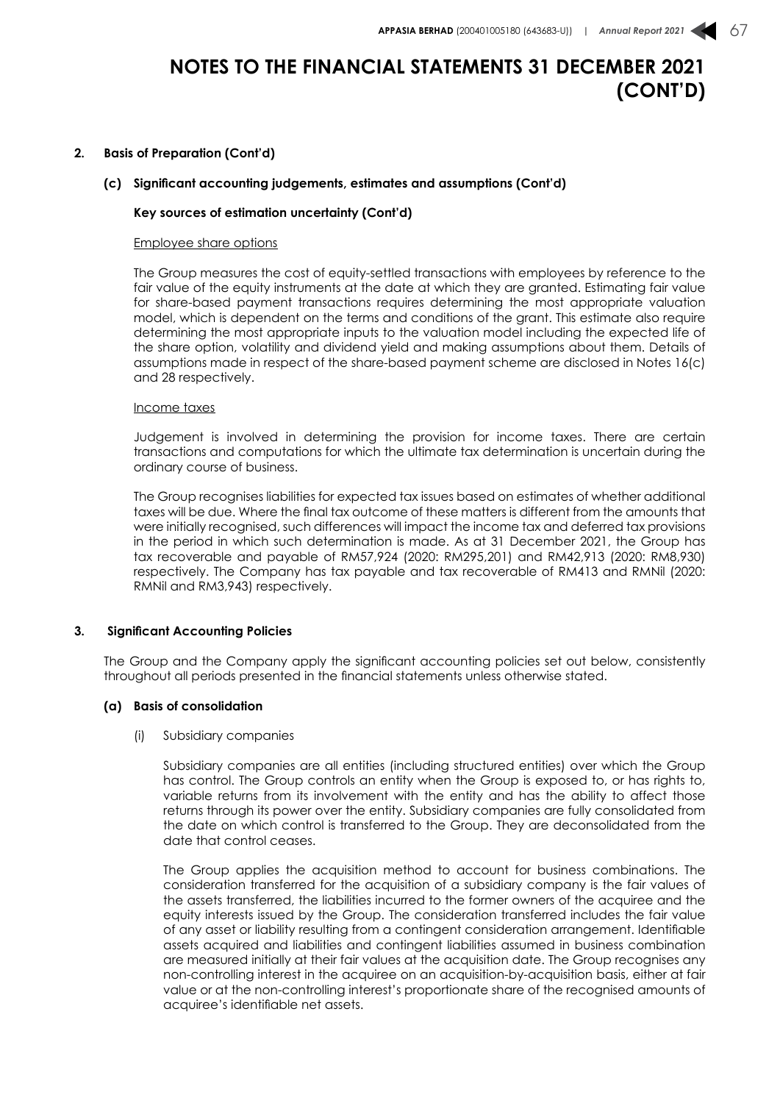#### **2. Basis of Preparation (Cont'd)**

#### **(c) Significant accounting judgements, estimates and assumptions (Cont'd)**

#### **Key sources of estimation uncertainty (Cont'd)**

#### Employee share options

The Group measures the cost of equity-settled transactions with employees by reference to the fair value of the equity instruments at the date at which they are granted. Estimating fair value for share-based payment transactions requires determining the most appropriate valuation model, which is dependent on the terms and conditions of the grant. This estimate also require determining the most appropriate inputs to the valuation model including the expected life of the share option, volatility and dividend yield and making assumptions about them. Details of assumptions made in respect of the share-based payment scheme are disclosed in Notes 16(c) and 28 respectively.

#### Income taxes

Judgement is involved in determining the provision for income taxes. There are certain transactions and computations for which the ultimate tax determination is uncertain during the ordinary course of business.

The Group recognises liabilities for expected tax issues based on estimates of whether additional taxes will be due. Where the final tax outcome of these matters is different from the amounts that were initially recognised, such differences will impact the income tax and deferred tax provisions in the period in which such determination is made. As at 31 December 2021, the Group has tax recoverable and payable of RM57,924 (2020: RM295,201) and RM42,913 (2020: RM8,930) respectively. The Company has tax payable and tax recoverable of RM413 and RMNil (2020: RMNil and RM3,943) respectively.

#### **3. Significant Accounting Policies**

The Group and the Company apply the significant accounting policies set out below, consistently throughout all periods presented in the financial statements unless otherwise stated.

#### **(a) Basis of consolidation**

#### (i) Subsidiary companies

Subsidiary companies are all entities (including structured entities) over which the Group has control. The Group controls an entity when the Group is exposed to, or has rights to, variable returns from its involvement with the entity and has the ability to affect those returns through its power over the entity. Subsidiary companies are fully consolidated from the date on which control is transferred to the Group. They are deconsolidated from the date that control ceases.

The Group applies the acquisition method to account for business combinations. The consideration transferred for the acquisition of a subsidiary company is the fair values of the assets transferred, the liabilities incurred to the former owners of the acquiree and the equity interests issued by the Group. The consideration transferred includes the fair value of any asset or liability resulting from a contingent consideration arrangement. Identifiable assets acquired and liabilities and contingent liabilities assumed in business combination are measured initially at their fair values at the acquisition date. The Group recognises any non-controlling interest in the acquiree on an acquisition-by-acquisition basis, either at fair value or at the non-controlling interest's proportionate share of the recognised amounts of acquiree's identifiable net assets.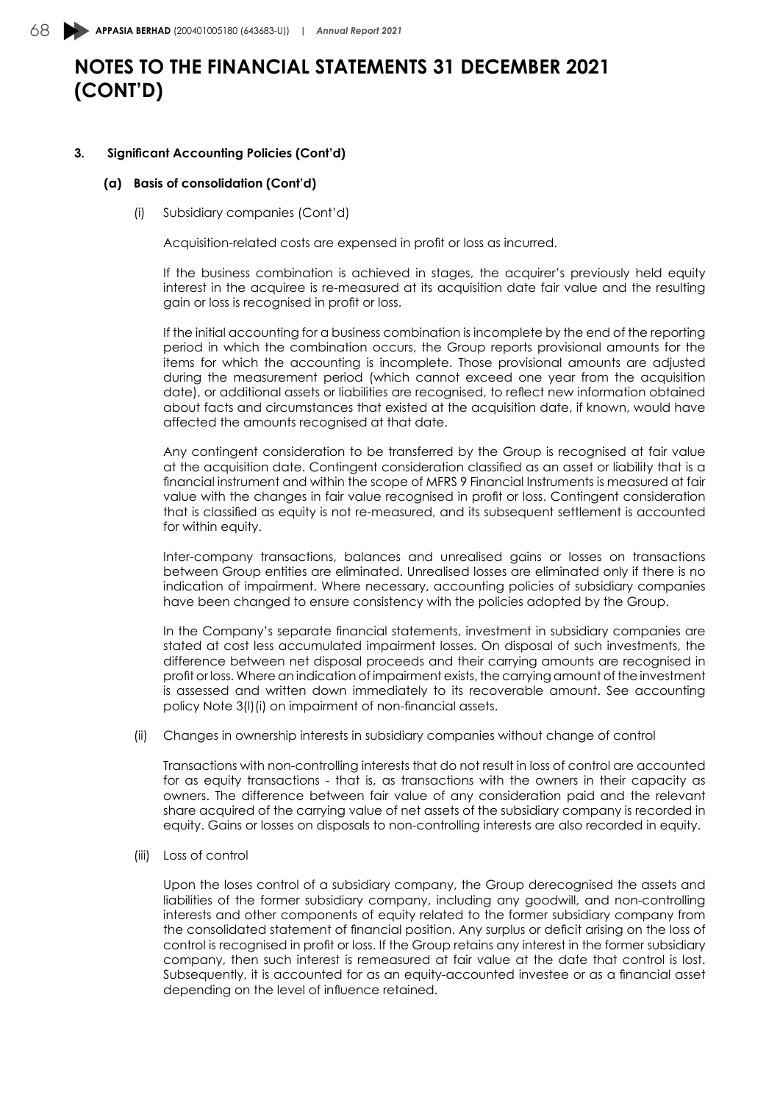#### **3. Significant Accounting Policies (Cont'd)**

#### **(a) Basis of consolidation (Cont'd)**

(i) Subsidiary companies (Cont'd)

Acquisition-related costs are expensed in profit or loss as incurred.

If the business combination is achieved in stages, the acquirer's previously held equity interest in the acquiree is re-measured at its acquisition date fair value and the resulting gain or loss is recognised in profit or loss.

If the initial accounting for a business combination is incomplete by the end of the reporting period in which the combination occurs, the Group reports provisional amounts for the items for which the accounting is incomplete. Those provisional amounts are adjusted during the measurement period (which cannot exceed one year from the acquisition date), or additional assets or liabilities are recognised, to reflect new information obtained about facts and circumstances that existed at the acquisition date, if known, would have affected the amounts recognised at that date.

Any contingent consideration to be transferred by the Group is recognised at fair value at the acquisition date. Contingent consideration classified as an asset or liability that is a financial instrument and within the scope of MFRS 9 Financial Instruments is measured at fair value with the changes in fair value recognised in profit or loss. Contingent consideration that is classified as equity is not re-measured, and its subsequent settlement is accounted for within equity.

Inter-company transactions, balances and unrealised gains or losses on transactions between Group entities are eliminated. Unrealised losses are eliminated only if there is no indication of impairment. Where necessary, accounting policies of subsidiary companies have been changed to ensure consistency with the policies adopted by the Group.

In the Company's separate financial statements, investment in subsidiary companies are stated at cost less accumulated impairment losses. On disposal of such investments, the difference between net disposal proceeds and their carrying amounts are recognised in profit or loss. Where an indication of impairment exists, the carrying amount of the investment is assessed and written down immediately to its recoverable amount. See accounting policy Note 3(l)(i) on impairment of non-financial assets.

(ii) Changes in ownership interests in subsidiary companies without change of control

Transactions with non-controlling interests that do not result in loss of control are accounted for as equity transactions - that is, as transactions with the owners in their capacity as owners. The difference between fair value of any consideration paid and the relevant share acquired of the carrying value of net assets of the subsidiary company is recorded in equity. Gains or losses on disposals to non-controlling interests are also recorded in equity.

(iii) Loss of control

Upon the loses control of a subsidiary company, the Group derecognised the assets and liabilities of the former subsidiary company, including any goodwill, and non-controlling interests and other components of equity related to the former subsidiary company from the consolidated statement of financial position. Any surplus or deficit arising on the loss of control is recognised in profit or loss. If the Group retains any interest in the former subsidiary company, then such interest is remeasured at fair value at the date that control is lost. Subsequently, it is accounted for as an equity-accounted investee or as a financial asset depending on the level of influence retained.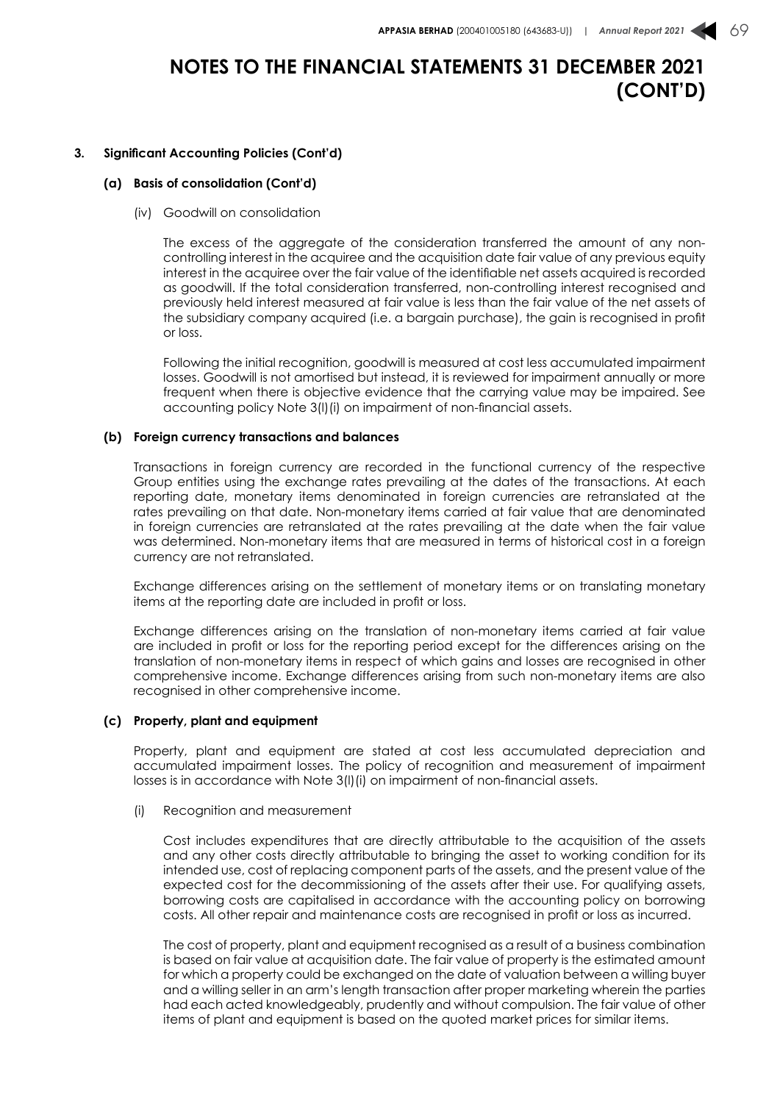#### **3. Significant Accounting Policies (Cont'd)**

#### **(a) Basis of consolidation (Cont'd)**

(iv) Goodwill on consolidation

The excess of the aggregate of the consideration transferred the amount of any noncontrolling interest in the acquiree and the acquisition date fair value of any previous equity interest in the acquiree over the fair value of the identifiable net assets acquired is recorded as goodwill. If the total consideration transferred, non-controlling interest recognised and previously held interest measured at fair value is less than the fair value of the net assets of the subsidiary company acquired (i.e. a bargain purchase), the gain is recognised in profit or loss.

Following the initial recognition, goodwill is measured at cost less accumulated impairment losses. Goodwill is not amortised but instead, it is reviewed for impairment annually or more frequent when there is objective evidence that the carrying value may be impaired. See accounting policy Note 3(l)(i) on impairment of non-financial assets.

#### **(b) Foreign currency transactions and balances**

Transactions in foreign currency are recorded in the functional currency of the respective Group entities using the exchange rates prevailing at the dates of the transactions. At each reporting date, monetary items denominated in foreign currencies are retranslated at the rates prevailing on that date. Non-monetary items carried at fair value that are denominated in foreign currencies are retranslated at the rates prevailing at the date when the fair value was determined. Non-monetary items that are measured in terms of historical cost in a foreign currency are not retranslated.

Exchange differences arising on the settlement of monetary items or on translating monetary items at the reporting date are included in profit or loss.

Exchange differences arising on the translation of non-monetary items carried at fair value are included in profit or loss for the reporting period except for the differences arising on the translation of non-monetary items in respect of which gains and losses are recognised in other comprehensive income. Exchange differences arising from such non-monetary items are also recognised in other comprehensive income.

#### **(c) Property, plant and equipment**

Property, plant and equipment are stated at cost less accumulated depreciation and accumulated impairment losses. The policy of recognition and measurement of impairment losses is in accordance with Note 3(l)(i) on impairment of non-financial assets.

(i) Recognition and measurement

Cost includes expenditures that are directly attributable to the acquisition of the assets and any other costs directly attributable to bringing the asset to working condition for its intended use, cost of replacing component parts of the assets, and the present value of the expected cost for the decommissioning of the assets after their use. For qualifying assets, borrowing costs are capitalised in accordance with the accounting policy on borrowing costs. All other repair and maintenance costs are recognised in profit or loss as incurred.

The cost of property, plant and equipment recognised as a result of a business combination is based on fair value at acquisition date. The fair value of property is the estimated amount for which a property could be exchanged on the date of valuation between a willing buyer and a willing seller in an arm's length transaction after proper marketing wherein the parties had each acted knowledgeably, prudently and without compulsion. The fair value of other items of plant and equipment is based on the quoted market prices for similar items.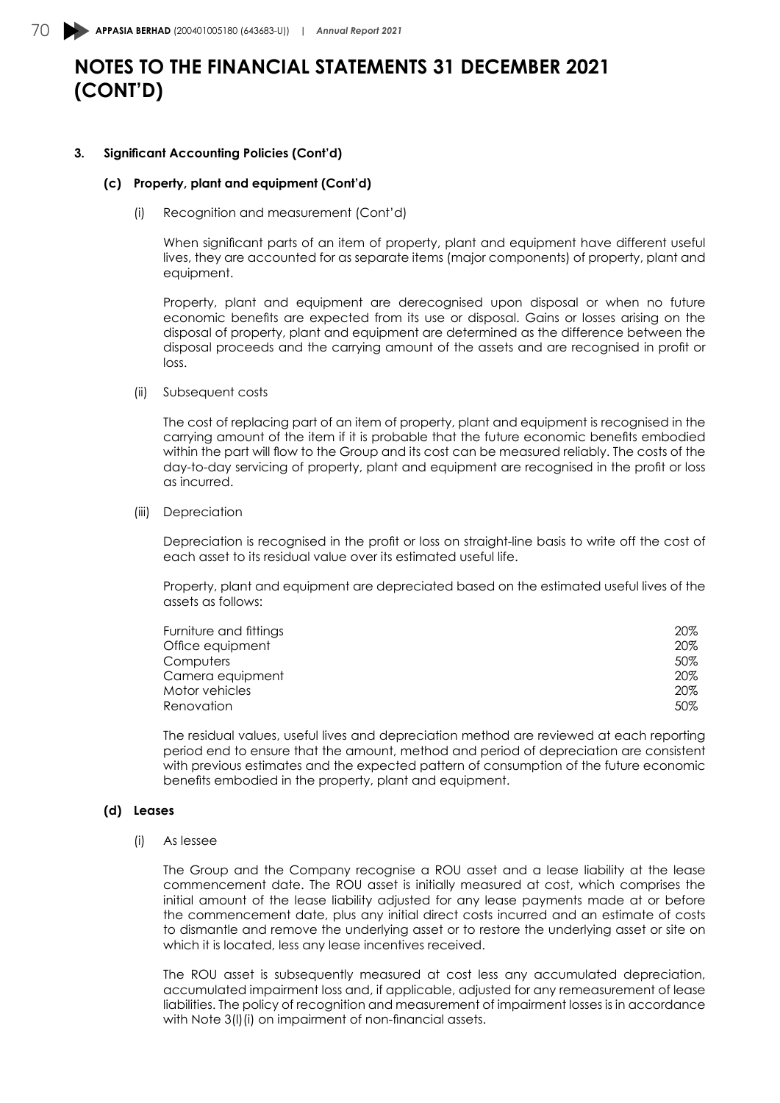#### **3. Significant Accounting Policies (Cont'd)**

#### **(c) Property, plant and equipment (Cont'd)**

(i) Recognition and measurement (Cont'd)

When significant parts of an item of property, plant and equipment have different useful lives, they are accounted for as separate items (major components) of property, plant and equipment.

Property, plant and equipment are derecognised upon disposal or when no future economic benefits are expected from its use or disposal. Gains or losses arising on the disposal of property, plant and equipment are determined as the difference between the disposal proceeds and the carrying amount of the assets and are recognised in profit or loss.

(ii) Subsequent costs

The cost of replacing part of an item of property, plant and equipment is recognised in the carrying amount of the item if it is probable that the future economic benefits embodied within the part will flow to the Group and its cost can be measured reliably. The costs of the day-to-day servicing of property, plant and equipment are recognised in the profit or loss as incurred.

(iii) Depreciation

Depreciation is recognised in the profit or loss on straight-line basis to write off the cost of each asset to its residual value over its estimated useful life.

Property, plant and equipment are depreciated based on the estimated useful lives of the assets as follows:

| Furniture and fittings | $20\%$ |
|------------------------|--------|
| Office equipment       | 20%    |
| Computers              | 50%    |
| Camera equipment       | $20\%$ |
| Motor vehicles         | $20\%$ |
| Renovation             | 50%    |

The residual values, useful lives and depreciation method are reviewed at each reporting period end to ensure that the amount, method and period of depreciation are consistent with previous estimates and the expected pattern of consumption of the future economic benefits embodied in the property, plant and equipment.

#### **(d) Leases**

(i) As lessee

The Group and the Company recognise a ROU asset and a lease liability at the lease commencement date. The ROU asset is initially measured at cost, which comprises the initial amount of the lease liability adjusted for any lease payments made at or before the commencement date, plus any initial direct costs incurred and an estimate of costs to dismantle and remove the underlying asset or to restore the underlying asset or site on which it is located, less any lease incentives received.

The ROU asset is subsequently measured at cost less any accumulated depreciation, accumulated impairment loss and, if applicable, adjusted for any remeasurement of lease liabilities. The policy of recognition and measurement of impairment losses is in accordance with Note 3(l)(i) on impairment of non-financial assets.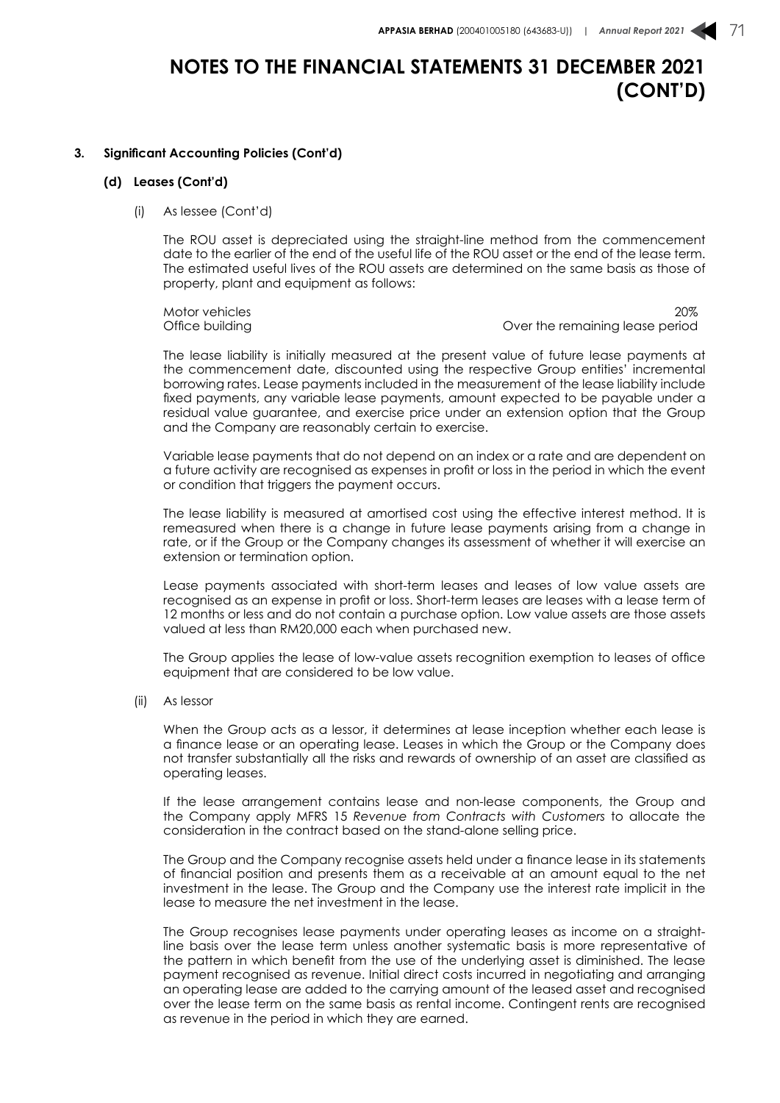#### **3. Significant Accounting Policies (Cont'd)**

#### **(d) Leases (Cont'd)**

(i) As lessee (Cont'd)

The ROU asset is depreciated using the straight-line method from the commencement date to the earlier of the end of the useful life of the ROU asset or the end of the lease term. The estimated useful lives of the ROU assets are determined on the same basis as those of property, plant and equipment as follows:

Motor vehicles 20% Office building **Over the remaining lease period** Over the remaining lease period

The lease liability is initially measured at the present value of future lease payments at the commencement date, discounted using the respective Group entities' incremental borrowing rates. Lease payments included in the measurement of the lease liability include fixed payments, any variable lease payments, amount expected to be payable under a residual value guarantee, and exercise price under an extension option that the Group and the Company are reasonably certain to exercise.

Variable lease payments that do not depend on an index or a rate and are dependent on a future activity are recognised as expenses in profit or loss in the period in which the event or condition that triggers the payment occurs.

The lease liability is measured at amortised cost using the effective interest method. It is remeasured when there is a change in future lease payments arising from a change in rate, or if the Group or the Company changes its assessment of whether it will exercise an extension or termination option.

Lease payments associated with short-term leases and leases of low value assets are recognised as an expense in profit or loss. Short-term leases are leases with a lease term of 12 months or less and do not contain a purchase option. Low value assets are those assets valued at less than RM20,000 each when purchased new.

The Group applies the lease of low-value assets recognition exemption to leases of office equipment that are considered to be low value.

(ii) As lessor

When the Group acts as a lessor, it determines at lease inception whether each lease is a finance lease or an operating lease. Leases in which the Group or the Company does not transfer substantially all the risks and rewards of ownership of an asset are classified as operating leases.

If the lease arrangement contains lease and non-lease components, the Group and the Company apply MFRS 15 *Revenue from Contracts with Customers* to allocate the consideration in the contract based on the stand-alone selling price.

The Group and the Company recognise assets held under a finance lease in its statements of financial position and presents them as a receivable at an amount equal to the net investment in the lease. The Group and the Company use the interest rate implicit in the lease to measure the net investment in the lease.

The Group recognises lease payments under operating leases as income on a straightline basis over the lease term unless another systematic basis is more representative of the pattern in which benefit from the use of the underlying asset is diminished. The lease payment recognised as revenue. Initial direct costs incurred in negotiating and arranging an operating lease are added to the carrying amount of the leased asset and recognised over the lease term on the same basis as rental income. Contingent rents are recognised as revenue in the period in which they are earned.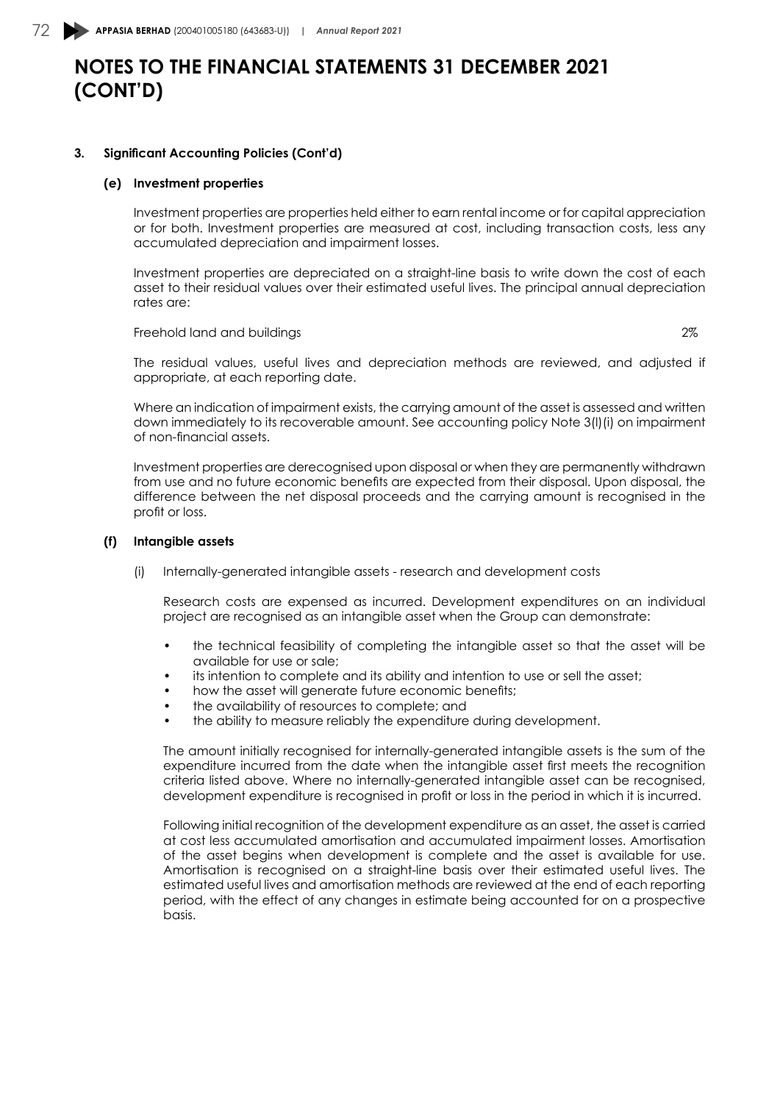#### **3. Significant Accounting Policies (Cont'd)**

#### **(e) Investment properties**

Investment properties are properties held either to earn rental income or for capital appreciation or for both. Investment properties are measured at cost, including transaction costs, less any accumulated depreciation and impairment losses.

Investment properties are depreciated on a straight-line basis to write down the cost of each asset to their residual values over their estimated useful lives. The principal annual depreciation rates are:

Freehold land and buildings 2%

The residual values, useful lives and depreciation methods are reviewed, and adjusted if appropriate, at each reporting date.

Where an indication of impairment exists, the carrying amount of the asset is assessed and written down immediately to its recoverable amount. See accounting policy Note 3(l)(i) on impairment of non-financial assets.

Investment properties are derecognised upon disposal or when they are permanently withdrawn from use and no future economic benefits are expected from their disposal. Upon disposal, the difference between the net disposal proceeds and the carrying amount is recognised in the profit or loss.

#### **(f) Intangible assets**

(i) Internally-generated intangible assets - research and development costs

Research costs are expensed as incurred. Development expenditures on an individual project are recognised as an intangible asset when the Group can demonstrate:

- the technical feasibility of completing the intangible asset so that the asset will be available for use or sale;
- its intention to complete and its ability and intention to use or sell the asset;
- how the asset will generate future economic benefits;
- the availability of resources to complete; and
- the ability to measure reliably the expenditure during development.

The amount initially recognised for internally-generated intangible assets is the sum of the expenditure incurred from the date when the intangible asset first meets the recognition criteria listed above. Where no internally-generated intangible asset can be recognised, development expenditure is recognised in profit or loss in the period in which it is incurred.

Following initial recognition of the development expenditure as an asset, the asset is carried at cost less accumulated amortisation and accumulated impairment losses. Amortisation of the asset begins when development is complete and the asset is available for use. Amortisation is recognised on a straight-line basis over their estimated useful lives. The estimated useful lives and amortisation methods are reviewed at the end of each reporting period, with the effect of any changes in estimate being accounted for on a prospective basis.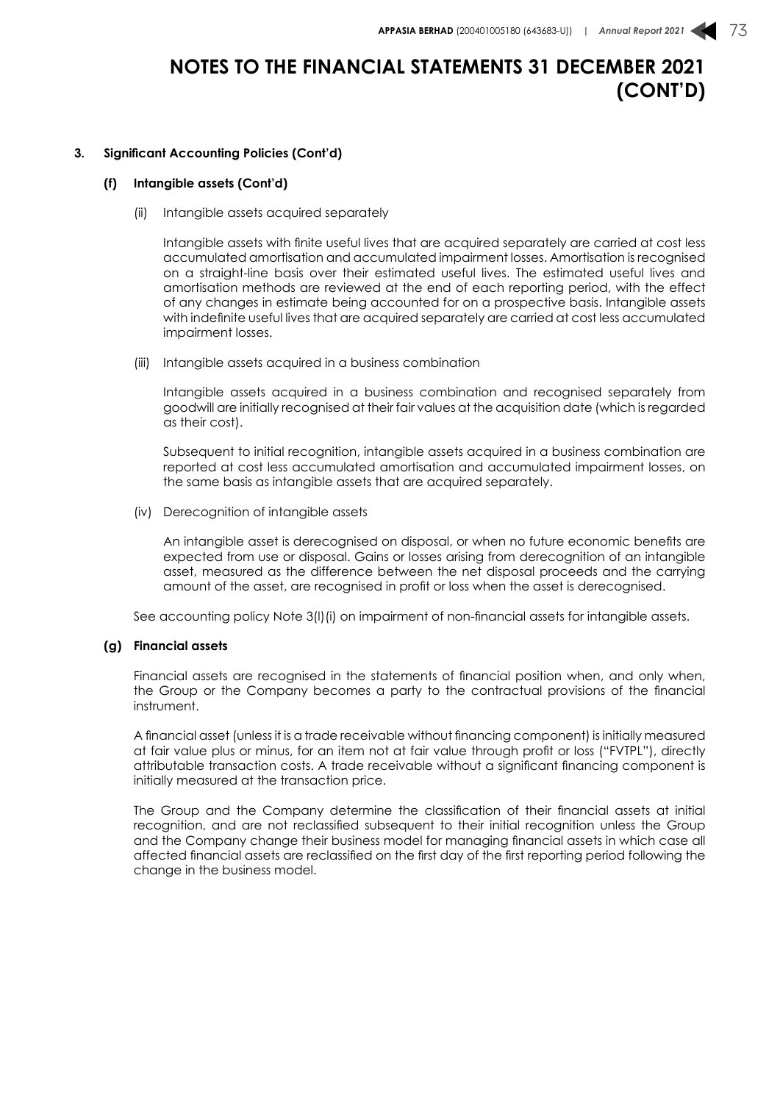#### **3. Significant Accounting Policies (Cont'd)**

#### **(f) Intangible assets (Cont'd)**

(ii) Intangible assets acquired separately

Intangible assets with finite useful lives that are acquired separately are carried at cost less accumulated amortisation and accumulated impairment losses. Amortisation is recognised on a straight-line basis over their estimated useful lives. The estimated useful lives and amortisation methods are reviewed at the end of each reporting period, with the effect of any changes in estimate being accounted for on a prospective basis. Intangible assets with indefinite useful lives that are acquired separately are carried at cost less accumulated impairment losses.

(iii) Intangible assets acquired in a business combination

Intangible assets acquired in a business combination and recognised separately from goodwill are initially recognised at their fair values at the acquisition date (which is regarded as their cost).

Subsequent to initial recognition, intangible assets acquired in a business combination are reported at cost less accumulated amortisation and accumulated impairment losses, on the same basis as intangible assets that are acquired separately.

(iv) Derecognition of intangible assets

An intangible asset is derecognised on disposal, or when no future economic benefits are expected from use or disposal. Gains or losses arising from derecognition of an intangible asset, measured as the difference between the net disposal proceeds and the carrying amount of the asset, are recognised in profit or loss when the asset is derecognised.

See accounting policy Note 3(l)(i) on impairment of non-financial assets for intangible assets.

#### **(g) Financial assets**

Financial assets are recognised in the statements of financial position when, and only when, the Group or the Company becomes a party to the contractual provisions of the financial instrument.

A financial asset (unless it is a trade receivable without financing component) is initially measured at fair value plus or minus, for an item not at fair value through profit or loss ("FVTPL"), directly attributable transaction costs. A trade receivable without a significant financing component is initially measured at the transaction price.

The Group and the Company determine the classification of their financial assets at initial recognition, and are not reclassified subsequent to their initial recognition unless the Group and the Company change their business model for managing financial assets in which case all affected financial assets are reclassified on the first day of the first reporting period following the change in the business model.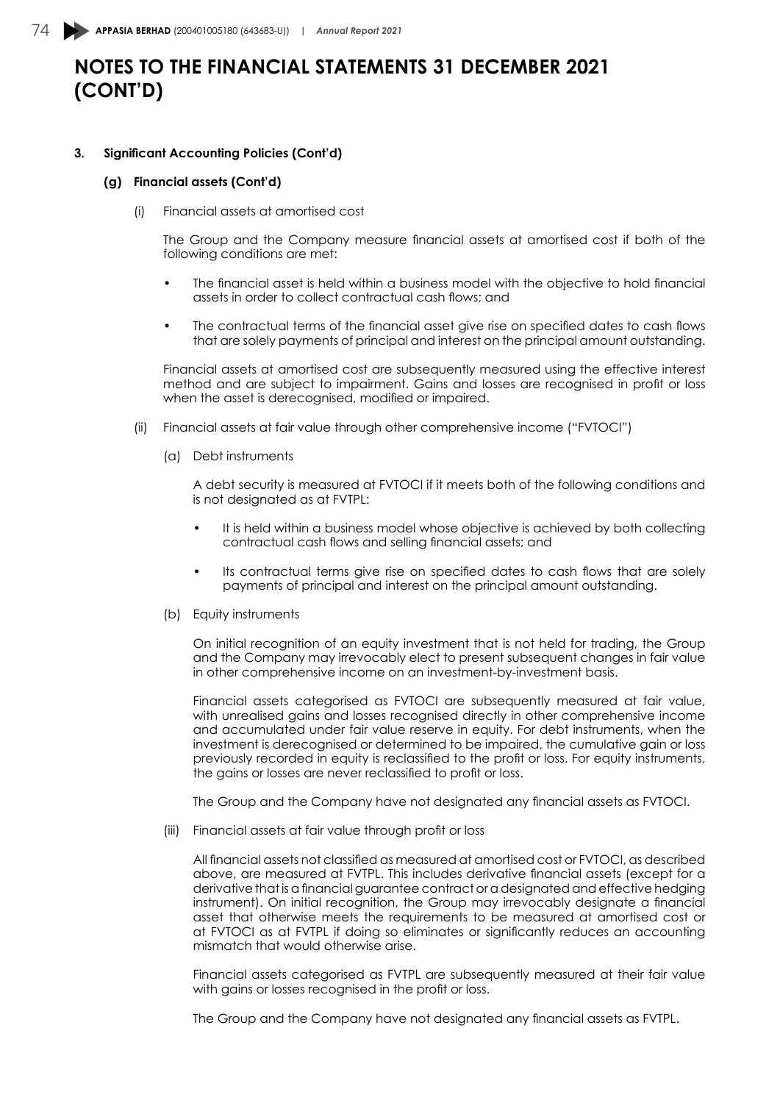#### **3. Significant Accounting Policies (Cont'd)**

#### **(g) Financial assets (Cont'd)**

(i) Financial assets at amortised cost

The Group and the Company measure financial assets at amortised cost if both of the following conditions are met:

- The financial asset is held within a business model with the objective to hold financial assets in order to collect contractual cash flows; and
- The contractual terms of the financial asset give rise on specified dates to cash flows that are solely payments of principal and interest on the principal amount outstanding.

Financial assets at amortised cost are subsequently measured using the effective interest method and are subject to impairment. Gains and losses are recognised in profit or loss when the asset is derecognised, modified or impaired.

- (ii) Financial assets at fair value through other comprehensive income ("FVTOCI")
	- (a) Debt instruments

A debt security is measured at FVTOCI if it meets both of the following conditions and is not designated as at FVTPL:

- It is held within a business model whose objective is achieved by both collecting contractual cash flows and selling financial assets; and
- Its contractual terms give rise on specified dates to cash flows that are solely payments of principal and interest on the principal amount outstanding.
- (b) Equity instruments

On initial recognition of an equity investment that is not held for trading, the Group and the Company may irrevocably elect to present subsequent changes in fair value in other comprehensive income on an investment-by-investment basis.

Financial assets categorised as FVTOCI are subsequently measured at fair value, with unrealised gains and losses recognised directly in other comprehensive income and accumulated under fair value reserve in equity. For debt instruments, when the investment is derecognised or determined to be impaired, the cumulative gain or loss previously recorded in equity is reclassified to the profit or loss. For equity instruments, the gains or losses are never reclassified to profit or loss.

The Group and the Company have not designated any financial assets as FVTOCI.

(iii) Financial assets at fair value through profit or loss

All financial assets not classified as measured at amortised cost or FVTOCI, as described above, are measured at FVTPL. This includes derivative financial assets (except for a derivative that is a financial guarantee contract or a designated and effective hedging instrument). On initial recognition, the Group may irrevocably designate a financial asset that otherwise meets the requirements to be measured at amortised cost or at FVTOCI as at FVTPL if doing so eliminates or significantly reduces an accounting mismatch that would otherwise arise.

Financial assets categorised as FVTPL are subsequently measured at their fair value with gains or losses recognised in the profit or loss.

The Group and the Company have not designated any financial assets as FVTPL.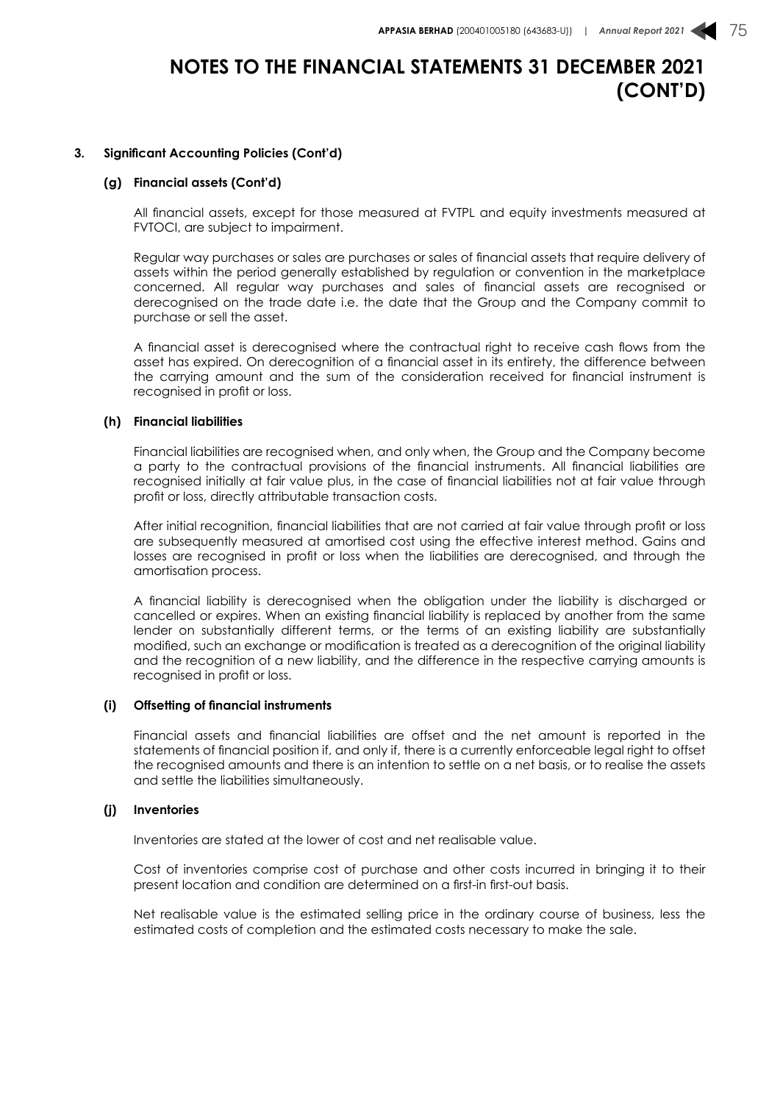#### **3. Significant Accounting Policies (Cont'd)**

#### **(g) Financial assets (Cont'd)**

All financial assets, except for those measured at FVTPL and equity investments measured at FVTOCI, are subject to impairment.

Regular way purchases or sales are purchases or sales of financial assets that require delivery of assets within the period generally established by regulation or convention in the marketplace concerned. All regular way purchases and sales of financial assets are recognised or derecognised on the trade date i.e. the date that the Group and the Company commit to purchase or sell the asset.

A financial asset is derecognised where the contractual right to receive cash flows from the asset has expired. On derecognition of a financial asset in its entirety, the difference between the carrying amount and the sum of the consideration received for financial instrument is recognised in profit or loss.

#### **(h) Financial liabilities**

Financial liabilities are recognised when, and only when, the Group and the Company become a party to the contractual provisions of the financial instruments. All financial liabilities are recognised initially at fair value plus, in the case of financial liabilities not at fair value through profit or loss, directly attributable transaction costs.

After initial recognition, financial liabilities that are not carried at fair value through profit or loss are subsequently measured at amortised cost using the effective interest method. Gains and losses are recognised in profit or loss when the liabilities are derecognised, and through the amortisation process.

A financial liability is derecognised when the obligation under the liability is discharged or cancelled or expires. When an existing financial liability is replaced by another from the same lender on substantially different terms, or the terms of an existing liability are substantially modified, such an exchange or modification is treated as a derecognition of the original liability and the recognition of a new liability, and the difference in the respective carrying amounts is recognised in profit or loss.

#### **(i) Offsetting of financial instruments**

Financial assets and financial liabilities are offset and the net amount is reported in the statements of financial position if, and only if, there is a currently enforceable legal right to offset the recognised amounts and there is an intention to settle on a net basis, or to realise the assets and settle the liabilities simultaneously.

#### **(j) Inventories**

Inventories are stated at the lower of cost and net realisable value.

Cost of inventories comprise cost of purchase and other costs incurred in bringing it to their present location and condition are determined on a first-in first-out basis.

Net realisable value is the estimated selling price in the ordinary course of business, less the estimated costs of completion and the estimated costs necessary to make the sale.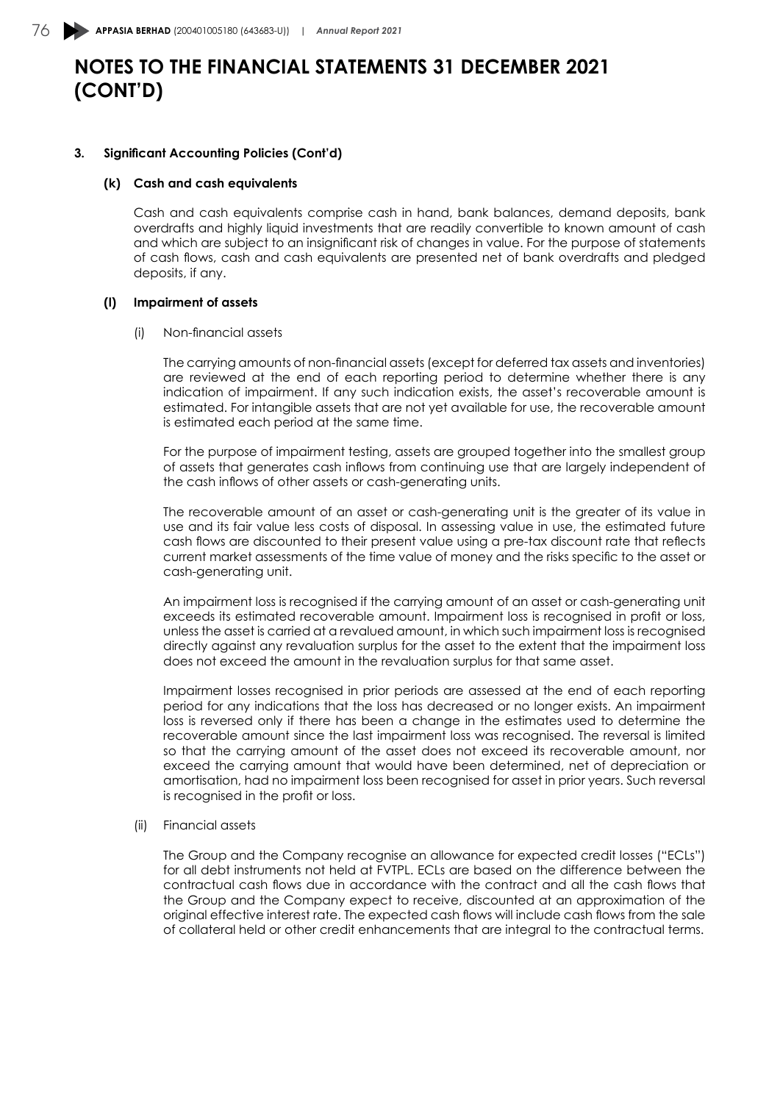#### **3. Significant Accounting Policies (Cont'd)**

#### **(k) Cash and cash equivalents**

Cash and cash equivalents comprise cash in hand, bank balances, demand deposits, bank overdrafts and highly liquid investments that are readily convertible to known amount of cash and which are subject to an insignificant risk of changes in value. For the purpose of statements of cash flows, cash and cash equivalents are presented net of bank overdrafts and pledged deposits, if any.

#### **(l) Impairment of assets**

#### (i) Non-financial assets

The carrying amounts of non-financial assets (except for deferred tax assets and inventories) are reviewed at the end of each reporting period to determine whether there is any indication of impairment. If any such indication exists, the asset's recoverable amount is estimated. For intangible assets that are not yet available for use, the recoverable amount is estimated each period at the same time.

For the purpose of impairment testing, assets are grouped together into the smallest group of assets that generates cash inflows from continuing use that are largely independent of the cash inflows of other assets or cash-generating units.

The recoverable amount of an asset or cash-generating unit is the greater of its value in use and its fair value less costs of disposal. In assessing value in use, the estimated future cash flows are discounted to their present value using a pre-tax discount rate that reflects current market assessments of the time value of money and the risks specific to the asset or cash-generating unit.

An impairment loss is recognised if the carrying amount of an asset or cash-generating unit exceeds its estimated recoverable amount. Impairment loss is recognised in profit or loss, unless the asset is carried at a revalued amount, in which such impairment loss is recognised directly against any revaluation surplus for the asset to the extent that the impairment loss does not exceed the amount in the revaluation surplus for that same asset.

Impairment losses recognised in prior periods are assessed at the end of each reporting period for any indications that the loss has decreased or no longer exists. An impairment loss is reversed only if there has been a change in the estimates used to determine the recoverable amount since the last impairment loss was recognised. The reversal is limited so that the carrying amount of the asset does not exceed its recoverable amount, nor exceed the carrying amount that would have been determined, net of depreciation or amortisation, had no impairment loss been recognised for asset in prior years. Such reversal is recognised in the profit or loss.

#### (ii) Financial assets

The Group and the Company recognise an allowance for expected credit losses ("ECLs") for all debt instruments not held at FVTPL. ECLs are based on the difference between the contractual cash flows due in accordance with the contract and all the cash flows that the Group and the Company expect to receive, discounted at an approximation of the original effective interest rate. The expected cash flows will include cash flows from the sale of collateral held or other credit enhancements that are integral to the contractual terms.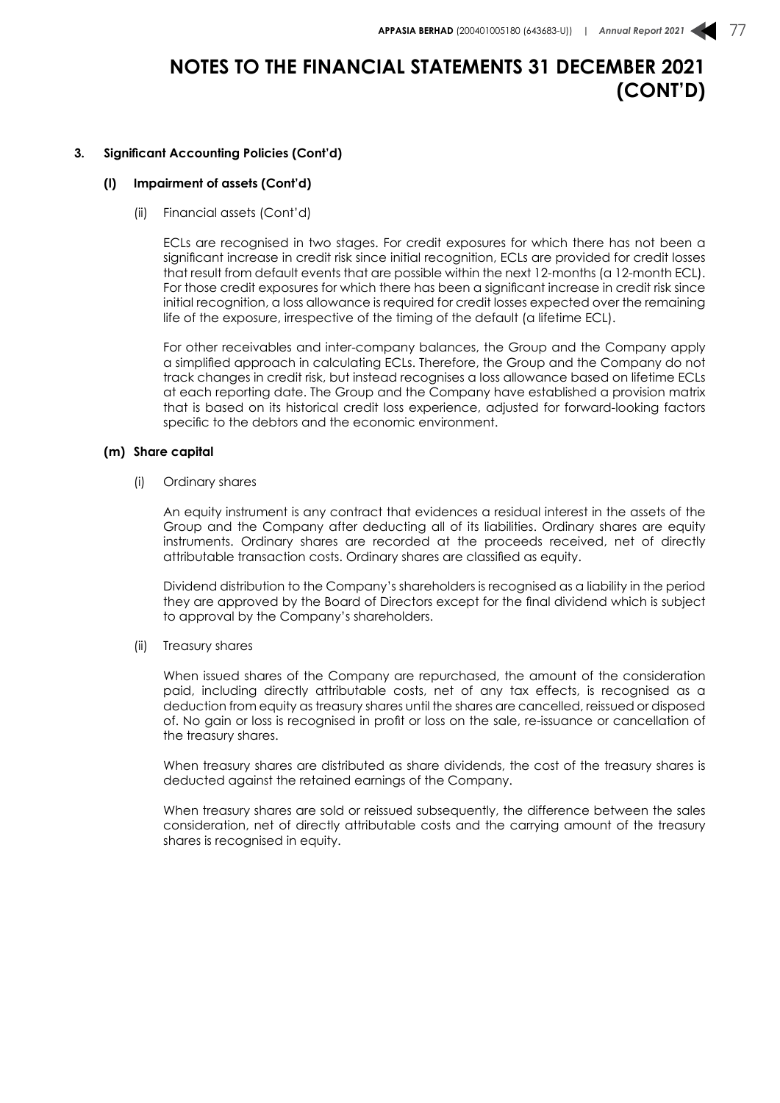#### **3. Significant Accounting Policies (Cont'd)**

#### **(l) Impairment of assets (Cont'd)**

(ii) Financial assets (Cont'd)

ECLs are recognised in two stages. For credit exposures for which there has not been a significant increase in credit risk since initial recognition, ECLs are provided for credit losses that result from default events that are possible within the next 12-months (a 12-month ECL). For those credit exposures for which there has been a significant increase in credit risk since initial recognition, a loss allowance is required for credit losses expected over the remaining life of the exposure, irrespective of the timing of the default (a lifetime ECL).

For other receivables and inter-company balances, the Group and the Company apply a simplified approach in calculating ECLs. Therefore, the Group and the Company do not track changes in credit risk, but instead recognises a loss allowance based on lifetime ECLs at each reporting date. The Group and the Company have established a provision matrix that is based on its historical credit loss experience, adjusted for forward-looking factors specific to the debtors and the economic environment.

#### **(m) Share capital**

(i) Ordinary shares

An equity instrument is any contract that evidences a residual interest in the assets of the Group and the Company after deducting all of its liabilities. Ordinary shares are equity instruments. Ordinary shares are recorded at the proceeds received, net of directly attributable transaction costs. Ordinary shares are classified as equity.

Dividend distribution to the Company's shareholders is recognised as a liability in the period they are approved by the Board of Directors except for the final dividend which is subject to approval by the Company's shareholders.

(ii) Treasury shares

When issued shares of the Company are repurchased, the amount of the consideration paid, including directly attributable costs, net of any tax effects, is recognised as a deduction from equity as treasury shares until the shares are cancelled, reissued or disposed of. No gain or loss is recognised in profit or loss on the sale, re-issuance or cancellation of the treasury shares.

When treasury shares are distributed as share dividends, the cost of the treasury shares is deducted against the retained earnings of the Company.

When treasury shares are sold or reissued subsequently, the difference between the sales consideration, net of directly attributable costs and the carrying amount of the treasury shares is recognised in equity.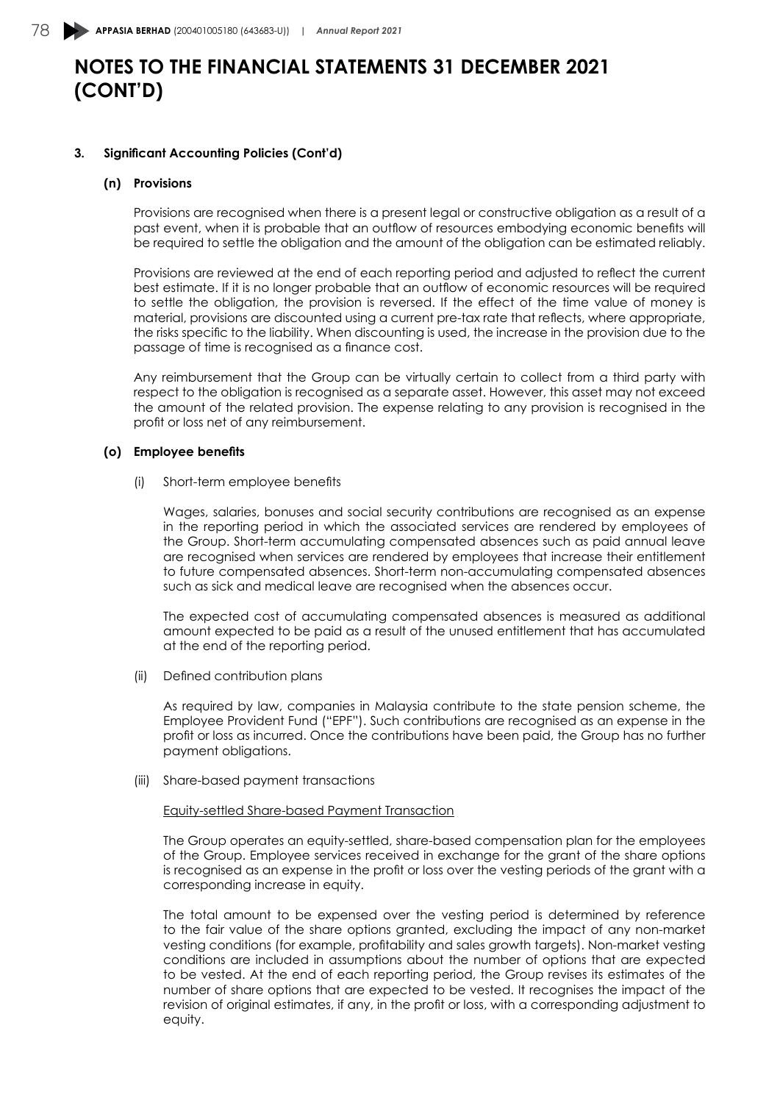#### **3. Significant Accounting Policies (Cont'd)**

#### **(n) Provisions**

Provisions are recognised when there is a present legal or constructive obligation as a result of a past event, when it is probable that an outflow of resources embodying economic benefits will be required to settle the obligation and the amount of the obligation can be estimated reliably.

Provisions are reviewed at the end of each reporting period and adjusted to reflect the current best estimate. If it is no longer probable that an outflow of economic resources will be required to settle the obligation, the provision is reversed. If the effect of the time value of money is material, provisions are discounted using a current pre-tax rate that reflects, where appropriate, the risks specific to the liability. When discounting is used, the increase in the provision due to the passage of time is recognised as a finance cost.

Any reimbursement that the Group can be virtually certain to collect from a third party with respect to the obligation is recognised as a separate asset. However, this asset may not exceed the amount of the related provision. The expense relating to any provision is recognised in the profit or loss net of any reimbursement.

#### **(o) Employee benefits**

(i) Short-term employee benefits

Wages, salaries, bonuses and social security contributions are recognised as an expense in the reporting period in which the associated services are rendered by employees of the Group. Short-term accumulating compensated absences such as paid annual leave are recognised when services are rendered by employees that increase their entitlement to future compensated absences. Short-term non-accumulating compensated absences such as sick and medical leave are recognised when the absences occur.

The expected cost of accumulating compensated absences is measured as additional amount expected to be paid as a result of the unused entitlement that has accumulated at the end of the reporting period.

(ii) Defined contribution plans

As required by law, companies in Malaysia contribute to the state pension scheme, the Employee Provident Fund ("EPF"). Such contributions are recognised as an expense in the profit or loss as incurred. Once the contributions have been paid, the Group has no further payment obligations.

(iii) Share-based payment transactions

#### Equity-settled Share-based Payment Transaction

The Group operates an equity-settled, share-based compensation plan for the employees of the Group. Employee services received in exchange for the grant of the share options is recognised as an expense in the profit or loss over the vesting periods of the grant with a corresponding increase in equity.

The total amount to be expensed over the vesting period is determined by reference to the fair value of the share options granted, excluding the impact of any non-market vesting conditions (for example, profitability and sales growth targets). Non-market vesting conditions are included in assumptions about the number of options that are expected to be vested. At the end of each reporting period, the Group revises its estimates of the number of share options that are expected to be vested. It recognises the impact of the revision of original estimates, if any, in the profit or loss, with a corresponding adjustment to equity.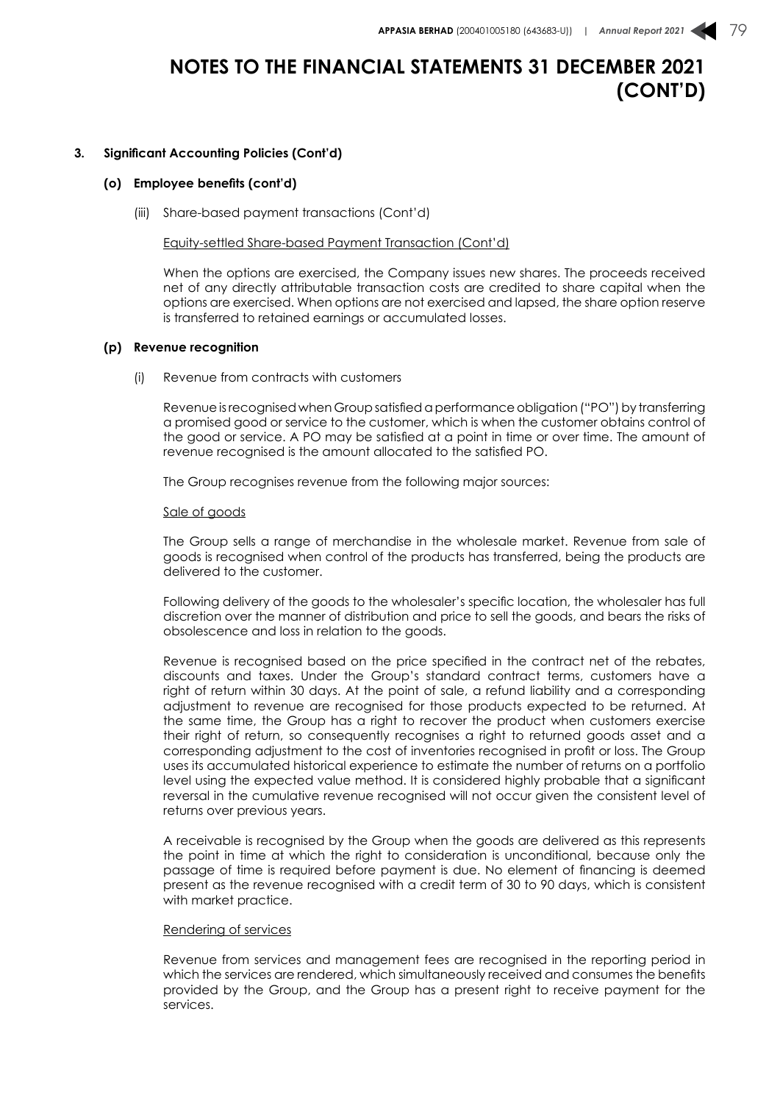#### **3. Significant Accounting Policies (Cont'd)**

#### **(o) Employee benefits (cont'd)**

(iii) Share-based payment transactions (Cont'd)

#### Equity-settled Share-based Payment Transaction (Cont'd)

When the options are exercised, the Company issues new shares. The proceeds received net of any directly attributable transaction costs are credited to share capital when the options are exercised. When options are not exercised and lapsed, the share option reserve is transferred to retained earnings or accumulated losses.

#### **(p) Revenue recognition**

(i) Revenue from contracts with customers

Revenue is recognised when Group satisfied a performance obligation ("PO") by transferring a promised good or service to the customer, which is when the customer obtains control of the good or service. A PO may be satisfied at a point in time or over time. The amount of revenue recognised is the amount allocated to the satisfied PO.

The Group recognises revenue from the following major sources:

#### Sale of goods

The Group sells a range of merchandise in the wholesale market. Revenue from sale of goods is recognised when control of the products has transferred, being the products are delivered to the customer.

Following delivery of the goods to the wholesaler's specific location, the wholesaler has full discretion over the manner of distribution and price to sell the goods, and bears the risks of obsolescence and loss in relation to the goods.

Revenue is recognised based on the price specified in the contract net of the rebates, discounts and taxes. Under the Group's standard contract terms, customers have a right of return within 30 days. At the point of sale, a refund liability and a corresponding adjustment to revenue are recognised for those products expected to be returned. At the same time, the Group has a right to recover the product when customers exercise their right of return, so consequently recognises a right to returned goods asset and a corresponding adjustment to the cost of inventories recognised in profit or loss. The Group uses its accumulated historical experience to estimate the number of returns on a portfolio level using the expected value method. It is considered highly probable that a significant reversal in the cumulative revenue recognised will not occur given the consistent level of returns over previous years.

A receivable is recognised by the Group when the goods are delivered as this represents the point in time at which the right to consideration is unconditional, because only the passage of time is required before payment is due. No element of financing is deemed present as the revenue recognised with a credit term of 30 to 90 days, which is consistent with market practice.

#### Rendering of services

Revenue from services and management fees are recognised in the reporting period in which the services are rendered, which simultaneously received and consumes the benefits provided by the Group, and the Group has a present right to receive payment for the services.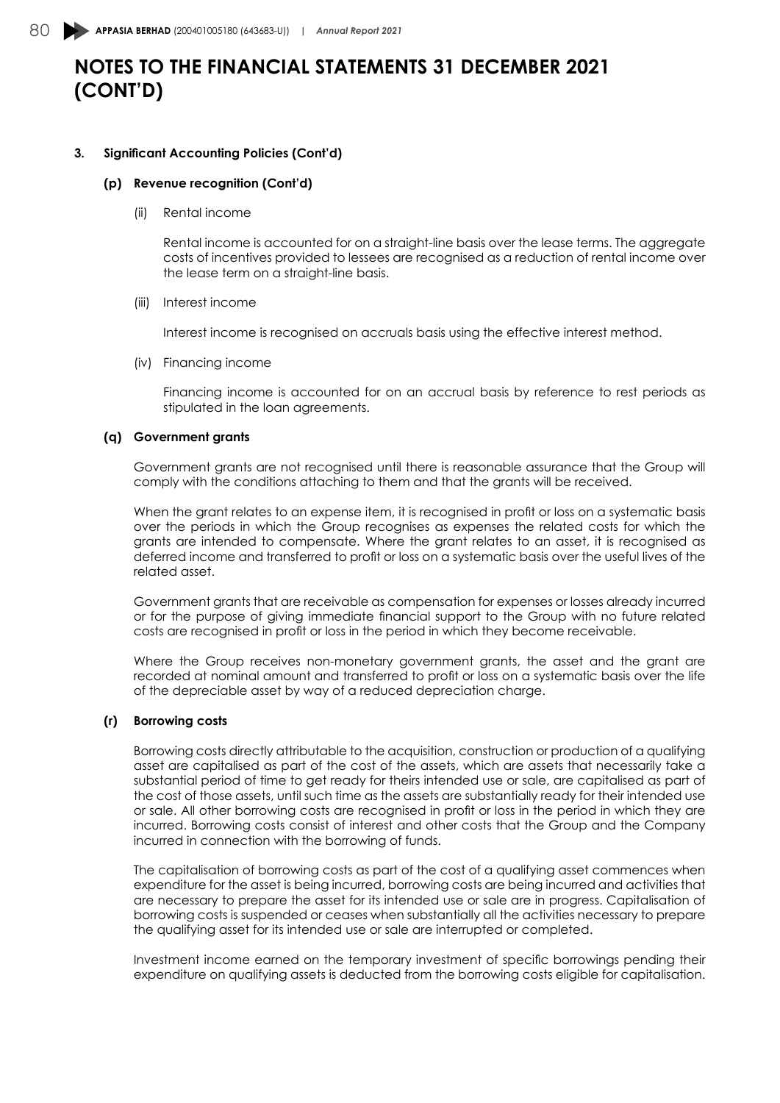#### **3. Significant Accounting Policies (Cont'd)**

#### **(p) Revenue recognition (Cont'd)**

(ii) Rental income

Rental income is accounted for on a straight-line basis over the lease terms. The aggregate costs of incentives provided to lessees are recognised as a reduction of rental income over the lease term on a straight-line basis.

#### (iii) Interest income

Interest income is recognised on accruals basis using the effective interest method.

(iv) Financing income

Financing income is accounted for on an accrual basis by reference to rest periods as stipulated in the loan agreements.

#### **(q) Government grants**

Government grants are not recognised until there is reasonable assurance that the Group will comply with the conditions attaching to them and that the grants will be received.

When the grant relates to an expense item, it is recognised in profit or loss on a systematic basis over the periods in which the Group recognises as expenses the related costs for which the grants are intended to compensate. Where the grant relates to an asset, it is recognised as deferred income and transferred to profit or loss on a systematic basis over the useful lives of the related asset.

Government grants that are receivable as compensation for expenses or losses already incurred or for the purpose of giving immediate financial support to the Group with no future related costs are recognised in profit or loss in the period in which they become receivable.

Where the Group receives non-monetary government grants, the asset and the grant are recorded at nominal amount and transferred to profit or loss on a systematic basis over the life of the depreciable asset by way of a reduced depreciation charge.

#### **(r) Borrowing costs**

Borrowing costs directly attributable to the acquisition, construction or production of a qualifying asset are capitalised as part of the cost of the assets, which are assets that necessarily take a substantial period of time to get ready for theirs intended use or sale, are capitalised as part of the cost of those assets, until such time as the assets are substantially ready for their intended use or sale. All other borrowing costs are recognised in profit or loss in the period in which they are incurred. Borrowing costs consist of interest and other costs that the Group and the Company incurred in connection with the borrowing of funds.

The capitalisation of borrowing costs as part of the cost of a qualifying asset commences when expenditure for the asset is being incurred, borrowing costs are being incurred and activities that are necessary to prepare the asset for its intended use or sale are in progress. Capitalisation of borrowing costs is suspended or ceases when substantially all the activities necessary to prepare the qualifying asset for its intended use or sale are interrupted or completed.

Investment income earned on the temporary investment of specific borrowings pending their expenditure on qualifying assets is deducted from the borrowing costs eligible for capitalisation.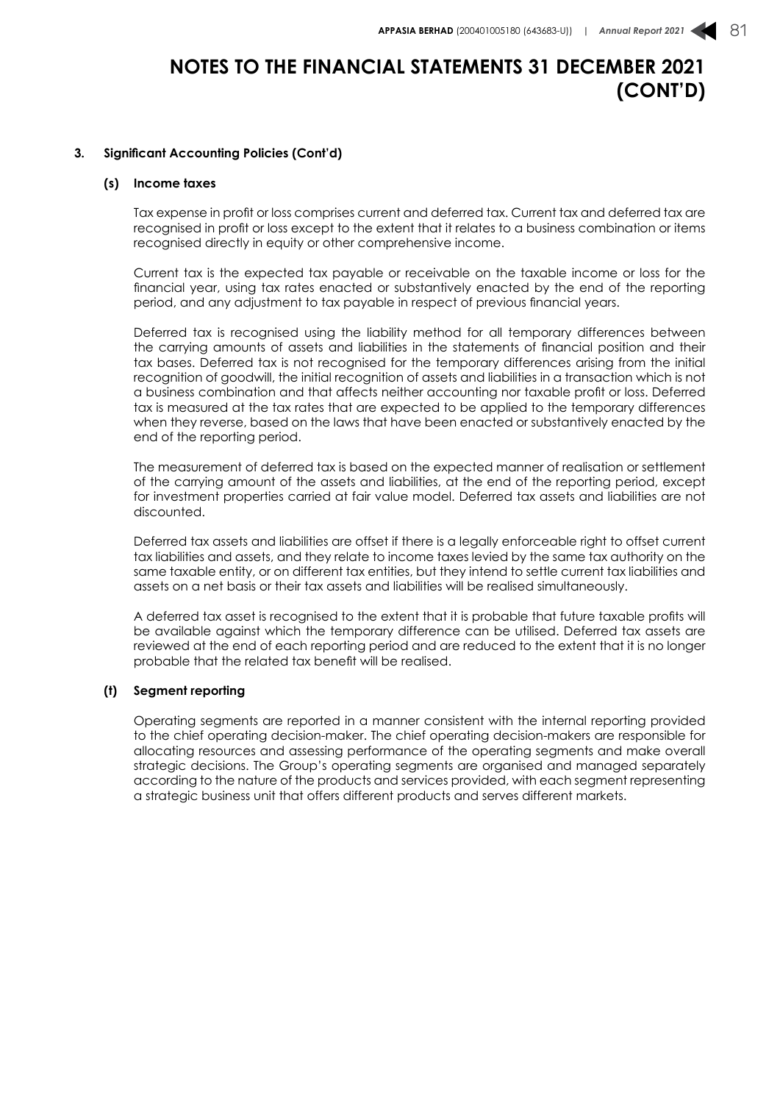#### **3. Significant Accounting Policies (Cont'd)**

#### **(s) Income taxes**

Tax expense in profit or loss comprises current and deferred tax. Current tax and deferred tax are recognised in profit or loss except to the extent that it relates to a business combination or items recognised directly in equity or other comprehensive income.

Current tax is the expected tax payable or receivable on the taxable income or loss for the financial year, using tax rates enacted or substantively enacted by the end of the reporting period, and any adjustment to tax payable in respect of previous financial years.

Deferred tax is recognised using the liability method for all temporary differences between the carrying amounts of assets and liabilities in the statements of financial position and their tax bases. Deferred tax is not recognised for the temporary differences arising from the initial recognition of goodwill, the initial recognition of assets and liabilities in a transaction which is not a business combination and that affects neither accounting nor taxable profit or loss. Deferred tax is measured at the tax rates that are expected to be applied to the temporary differences when they reverse, based on the laws that have been enacted or substantively enacted by the end of the reporting period.

The measurement of deferred tax is based on the expected manner of realisation or settlement of the carrying amount of the assets and liabilities, at the end of the reporting period, except for investment properties carried at fair value model. Deferred tax assets and liabilities are not discounted.

Deferred tax assets and liabilities are offset if there is a legally enforceable right to offset current tax liabilities and assets, and they relate to income taxes levied by the same tax authority on the same taxable entity, or on different tax entities, but they intend to settle current tax liabilities and assets on a net basis or their tax assets and liabilities will be realised simultaneously.

A deferred tax asset is recognised to the extent that it is probable that future taxable profits will be available against which the temporary difference can be utilised. Deferred tax assets are reviewed at the end of each reporting period and are reduced to the extent that it is no longer probable that the related tax benefit will be realised.

#### **(t) Segment reporting**

Operating segments are reported in a manner consistent with the internal reporting provided to the chief operating decision-maker. The chief operating decision-makers are responsible for allocating resources and assessing performance of the operating segments and make overall strategic decisions. The Group's operating segments are organised and managed separately according to the nature of the products and services provided, with each segment representing a strategic business unit that offers different products and serves different markets.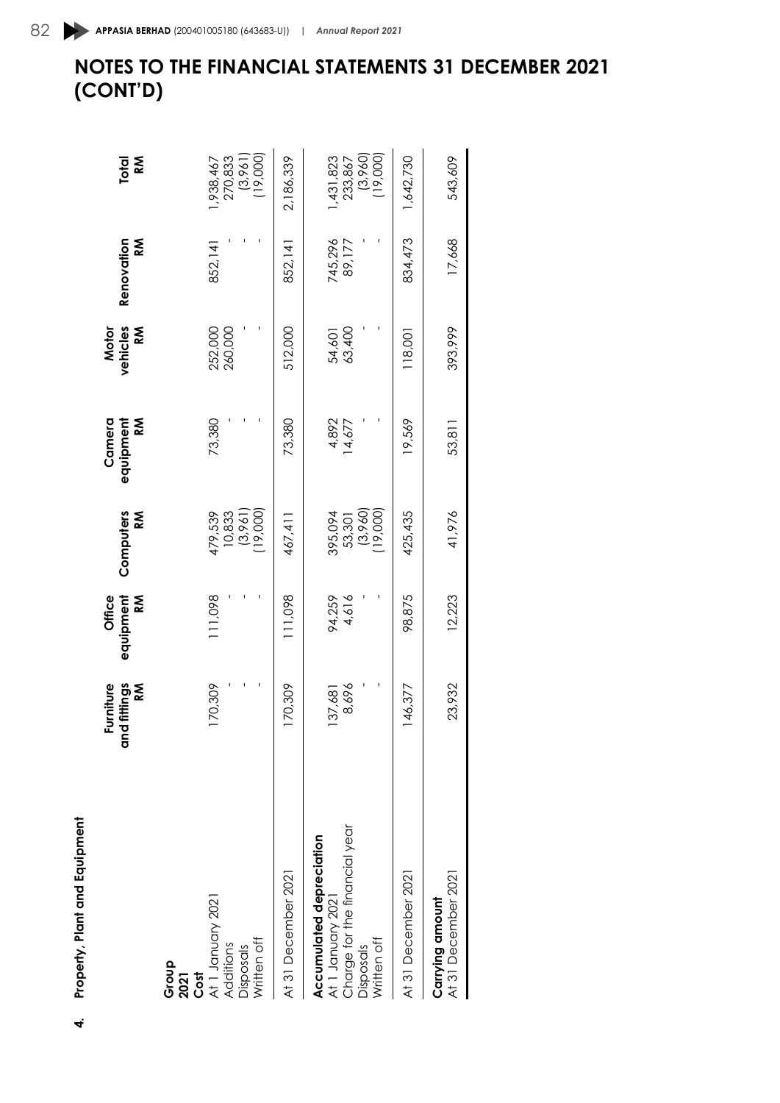| Property, Plant and Equipment<br>q                                                                         | Furniture<br>fittings<br>K<br>and<br>G | equipment<br>Office<br>ΚÑ | Computers<br><b>NS</b>                       | Camera<br>equipment<br>Κ | vehicles<br>M<br>Motor | Renovation<br><b>M</b> | k<br>≪<br>Total                             |
|------------------------------------------------------------------------------------------------------------|----------------------------------------|---------------------------|----------------------------------------------|--------------------------|------------------------|------------------------|---------------------------------------------|
| At 1 January 2021<br>Written off<br>Additions<br>Disposals<br>Group<br>Cost<br>2021                        | 70,309                                 | 111,098                   | $(3,961)$<br>(19,000)<br>479,539<br>10,833   | 73,380                   | 252,000<br>260,000     | 852,141                | (19,000)<br>(3,961)<br>270,833<br>1,938,467 |
| At 31 December 2021                                                                                        | 70,309                                 | 111,098                   | 467,411                                      | 73,380                   | 512,000                | 852,141                | 2,186,339                                   |
| Charge for the financial year<br>Accumulated depreciation<br>At 1 January 2021<br>Written off<br>Disposals | 8,696<br>137,681                       | 94,259<br>4,616           | $(3,960)$<br>$(19,000)$<br>395,094<br>53,301 | 4,892<br>14,677          | 54,601<br>63,400       | 745,296<br>89,177      | 19,000)<br>(3,960)<br>1,431,823<br>233,867  |
| At 31 December 2021                                                                                        | 46,377                                 | 98,875                    | 425,435                                      | 19,569                   | 118,001                | 834,473                | 1,642,730                                   |
| At 31 December 2021<br>Carrying amount                                                                     | 23,932                                 | 12,223                    | 41,976                                       | 53,811                   | 393,999                | 17,668                 | 543,609                                     |
|                                                                                                            |                                        |                           |                                              |                          |                        |                        |                                             |

# **NOTES TO THE FINANCIAL STATEMENTS 31 DECEMBER 2021 (CONT'D)** 82 **APPASIA BERHAD** (200401005180 (643683-U)) | *Annual Report 2021*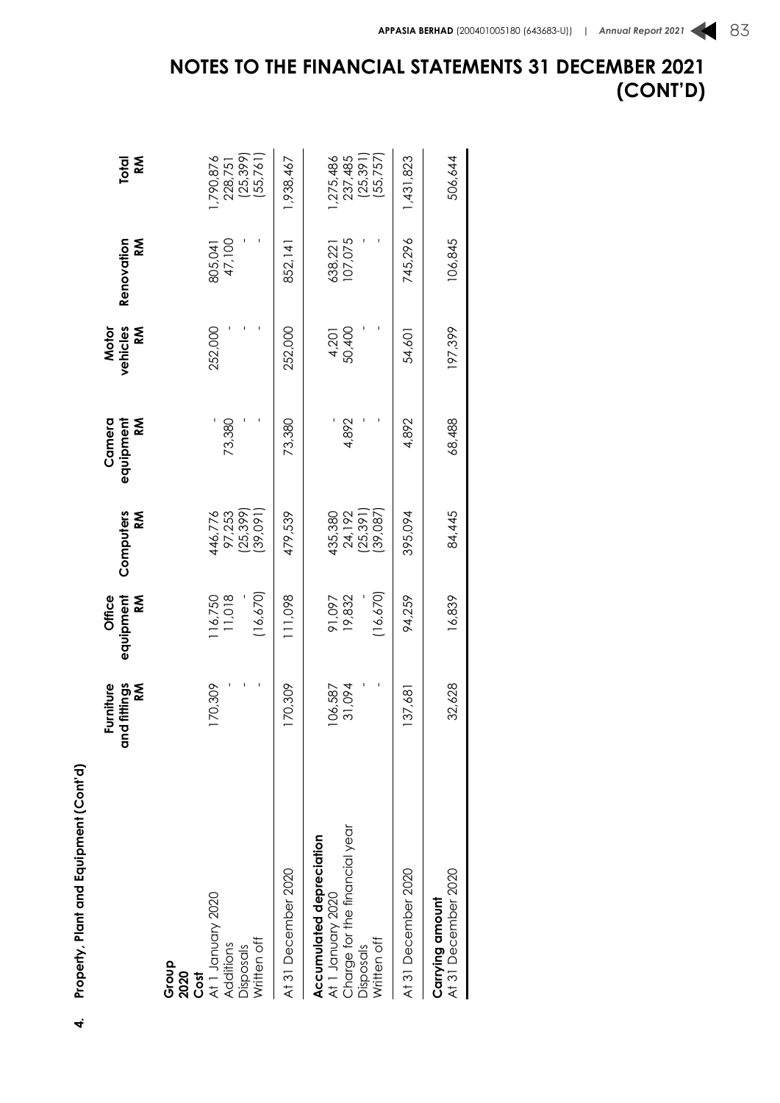|                                                                                                                   | and fittings<br>Furniture<br>ΚÑ | equipment<br><b>Office</b><br>ΚÑ | Computers<br>M                           | equipment<br>Camera<br><b>RM</b> | vehicles<br><b>M</b><br>Motor | Renovation<br><b>M</b> | <b>M</b><br>Total                            |
|-------------------------------------------------------------------------------------------------------------------|---------------------------------|----------------------------------|------------------------------------------|----------------------------------|-------------------------------|------------------------|----------------------------------------------|
| At 1 January 2020<br>Written off<br>Additions<br><b>Disposals</b><br>Group<br>2020<br>Cost                        | 170,309                         | (16, 670)<br>116,750<br>11,018   | (25, 399)<br>39,091<br>97,253<br>446,776 | 73,380                           | 252,000                       | 47,100<br>805,041      | (25, 399)<br>(55,761)<br>,790,876<br>228,751 |
| At 31 December 2020                                                                                               | 170,309                         | 111,098                          | 479,539                                  | 73,380                           | 252,000                       | 852,141                | 1,938,467                                    |
| Charge for the financial year<br>Accumulated depreciation<br>At 1 January 2020<br>Written off<br><b>Disposals</b> | 31,094<br>06,587                | (16, 670)<br>91,097<br>19,832    | (25, 391)<br>39,087<br>24,192<br>435,380 | 4,892                            | 50,400<br>4,201               | 07,075<br>538,221      | (55,757)<br>(25, 391)<br>,275,486<br>237,485 |
| At 31 December 2020                                                                                               | 137,68                          | 94,259                           | 395,094                                  | 4,892                            | 54,601                        | 745,296                | ,431,823                                     |
| At 31 December 2020<br>Carrying amount                                                                            | 32,628                          | 16,839                           | 84,445                                   | 68,488                           | 197,399                       | 106,845                | 506,644                                      |

**4. Property, Plant and Equipment (Cont'd)**

 $\vec{r}$ 

Property, Plant and Equipment (Cont'd)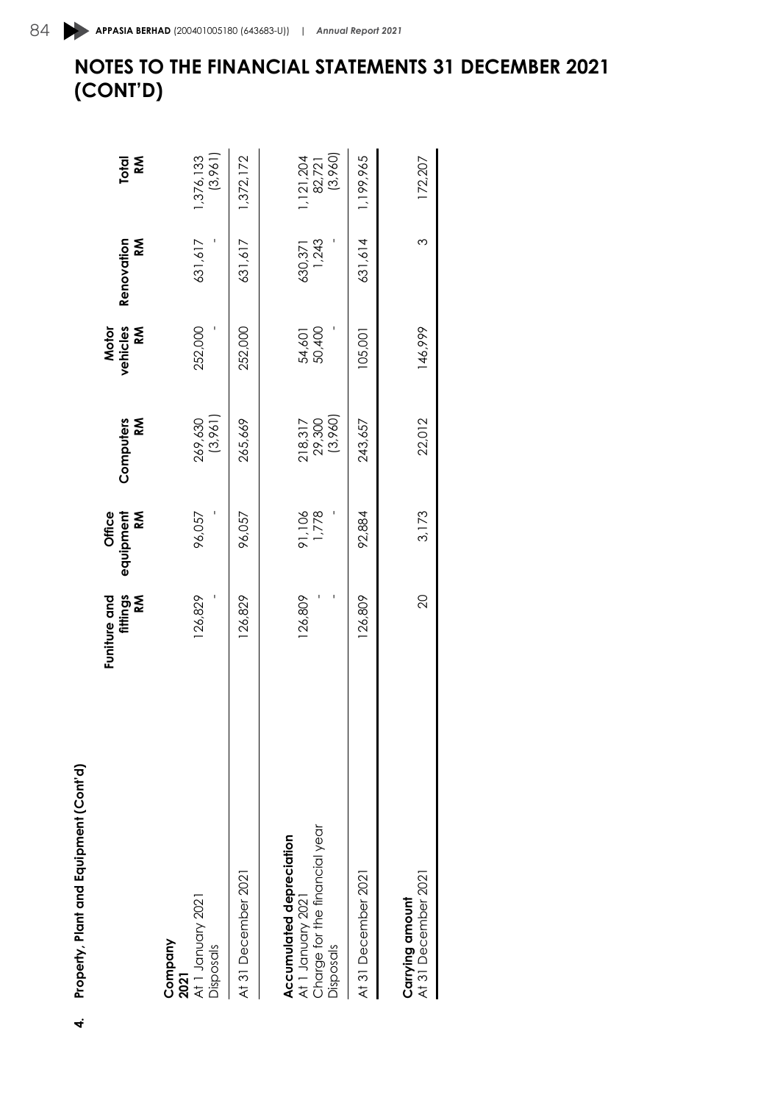| 3<br>r |
|--------|
|        |
| ı      |
|        |
|        |
|        |
|        |
|        |
|        |
|        |
|        |
|        |
|        |
|        |
|        |
| i      |
|        |
| ŕ      |
|        |
|        |
| i      |
|        |
|        |
|        |
|        |
|        |
|        |
|        |
|        |
|        |
| Ì      |
| J      |
|        |
|        |
|        |
|        |
|        |
|        |
|        |

| Property, Plant and Equipment (Cont'd)                                 |                               |                          |                              |                        |                      |                                |
|------------------------------------------------------------------------|-------------------------------|--------------------------|------------------------------|------------------------|----------------------|--------------------------------|
|                                                                        | fittings<br>Funiture and<br>Š | Office<br>K<br>equipment | <b>NS</b><br>Computers       | vehicles<br>Motor<br>Š | Renovation<br>k<br>≪ | Κ<br><b>Total</b>              |
| At 1 January 2021<br>Company<br>Disposals<br>2021                      | 126,829                       | 96,057                   | (3,961)<br>269,630           | 252,000                | 631,617              | (3,961)<br>1,376,133           |
| At 31 December 202                                                     | 126,829                       | 96,057                   | 265,669                      | 252,000                | 631,617              | 1,372,172                      |
| Accumulated depreciation                                               |                               |                          |                              |                        |                      |                                |
| Charge for the financial year<br>At 1 January 2021<br><b>Disposals</b> | 126,809                       | 91,106                   | (3,960)<br>218,317<br>29,300 | 50,400<br>54,601       | 1,243<br>630,371     | (3,960)<br>1,121,204<br>82,721 |
| At 31 December 2021                                                    | 126,809                       | 92,884                   | 243,657                      | 105,001                | 631,614              | 1,199,965                      |
| At 31 December 2021<br>Carrying amount                                 | $\overline{c}$                | 3,173                    | 22,012                       | 146,999                | 3                    | 172,207                        |
|                                                                        |                               |                          |                              |                        |                      |                                |

# **NOTES TO THE FINANCIAL STATEMENTS 31 DECEMBER 2021** 84 **APPASIA BERHAD** (200401005180 (643683-U)) | *Annual Report 2021*

**(CONT'D)**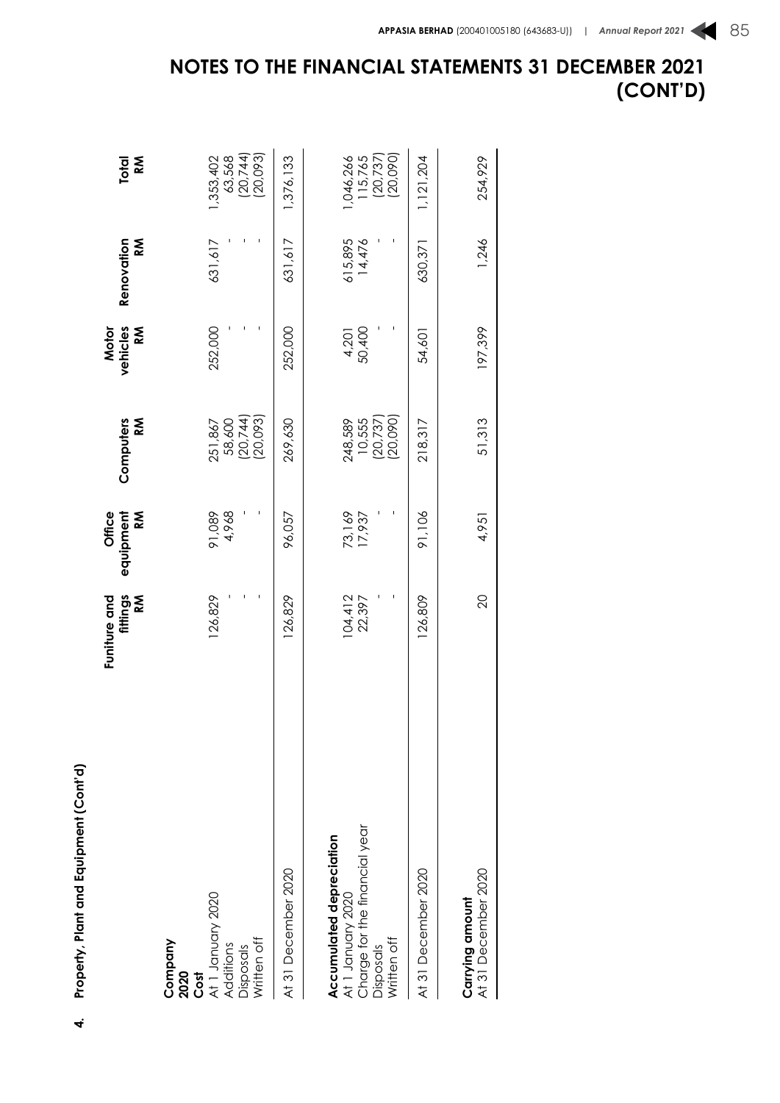|                                                                                                            | fittings<br>RM<br>Funiture and | equipment<br>Office<br><b>RM</b> | Computers<br><b>RM</b>                     | vehicles<br>Motor<br><b>RM</b> | Renovation<br>Κ   | Total<br>Κ                                   |
|------------------------------------------------------------------------------------------------------------|--------------------------------|----------------------------------|--------------------------------------------|--------------------------------|-------------------|----------------------------------------------|
| Cost<br>At 1 January 2020<br>Written off<br>Company<br>Additions<br><b>Disposals</b><br>2020               | 126,829                        | 4,968<br>91,089                  | (20, 744)<br>20,093)<br>58,600<br>251,867  | 252,000                        | 631,617           | (20, 744)<br>(20,093)<br>63,568<br>1,353,402 |
| At 31 December 2020                                                                                        | 126,829                        | 96,057                           | 269,630                                    | 252,000                        | 631,617           | 1,376,133                                    |
| At 1 January 2020<br>Charge for the financial year<br>Accumulated depreciation<br>Written off<br>Disposals | 104,412<br>22,397              | 73,169<br>17,937                 | (20,090)<br>(20, 737)<br>248,589<br>10,555 | 4,201<br>50,400                | 615,895<br>14,476 | 115,765<br>(20,737)<br>(20,090)<br>,046,266  |
| At 31 December 2020                                                                                        | 126,809                        | 91,106                           | 218,317                                    | 54,601                         | 630,371           | 1, 121, 204                                  |
| At 31 December 2020<br>Carrying amount                                                                     | 20                             | 4,951                            | 51,313                                     | 197,399                        | 1,246             | 254,929                                      |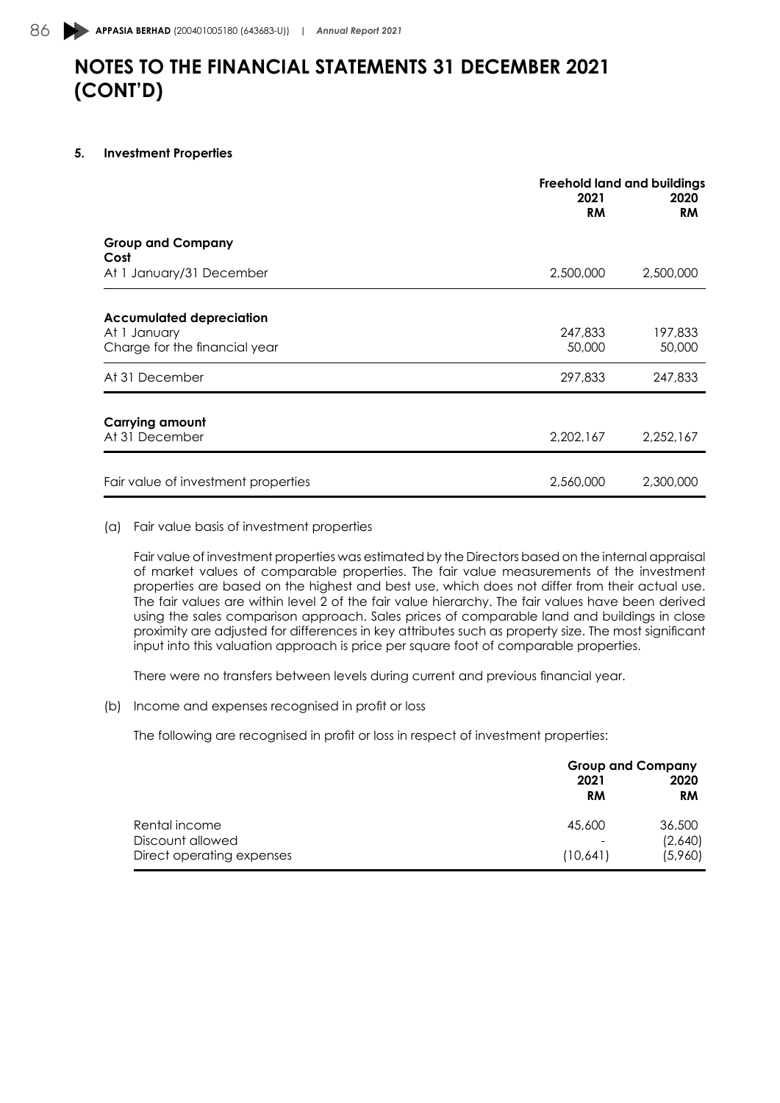#### **5. Investment Properties**

|                                     | <b>Freehold land and buildings</b> |                   |
|-------------------------------------|------------------------------------|-------------------|
|                                     | 2021<br><b>RM</b>                  | 2020<br><b>RM</b> |
| <b>Group and Company</b><br>Cost    |                                    |                   |
| At 1 January/31 December            | 2,500,000                          | 2,500,000         |
| <b>Accumulated depreciation</b>     |                                    |                   |
| At 1 January                        | 247,833                            | 197,833           |
| Charge for the financial year       | 50,000                             | 50,000            |
| At 31 December                      | 297,833                            | 247,833           |
| <b>Carrying amount</b>              |                                    |                   |
| At 31 December                      | 2,202,167                          | 2,252,167         |
|                                     |                                    |                   |
| Fair value of investment properties | 2,560,000                          | 2,300,000         |

#### (a) Fair value basis of investment properties

Fair value of investment properties was estimated by the Directors based on the internal appraisal of market values of comparable properties. The fair value measurements of the investment properties are based on the highest and best use, which does not differ from their actual use. The fair values are within level 2 of the fair value hierarchy. The fair values have been derived using the sales comparison approach. Sales prices of comparable land and buildings in close proximity are adjusted for differences in key attributes such as property size. The most significant input into this valuation approach is price per square foot of comparable properties.

There were no transfers between levels during current and previous financial year.

(b) Income and expenses recognised in profit or loss

The following are recognised in profit or loss in respect of investment properties:

|                           | 2021                     | <b>Group and Company</b><br>2020 |
|---------------------------|--------------------------|----------------------------------|
|                           | RM                       | <b>RM</b>                        |
| Rental income             | 45,600                   | 36,500                           |
| Discount allowed          | $\overline{\phantom{a}}$ | (2,640)                          |
| Direct operating expenses | (10,641)                 | (5,960)                          |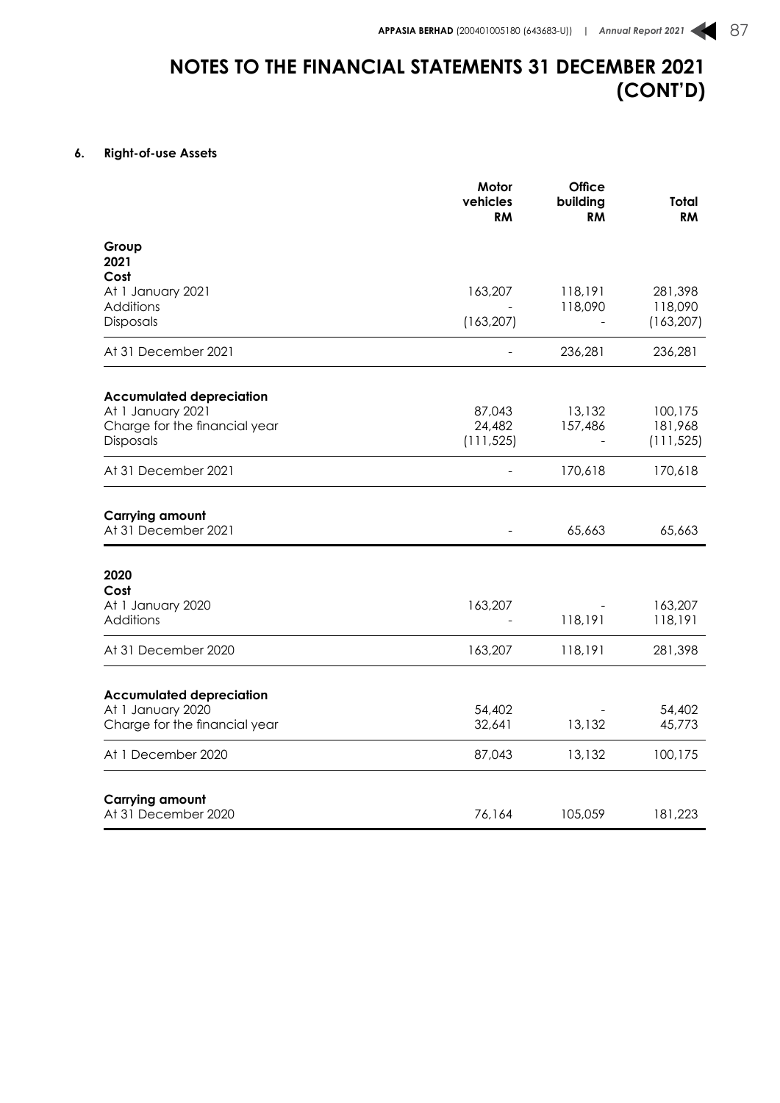### **6. Right-of-use Assets**

|                                                    | Motor<br>vehicles<br><b>RM</b> | <b>Office</b><br>building<br><b>RM</b> | Total<br><b>RM</b> |
|----------------------------------------------------|--------------------------------|----------------------------------------|--------------------|
| Group<br>2021                                      |                                |                                        |                    |
| Cost<br>At 1 January 2021<br>Additions             | 163,207                        | 118,191<br>118,090                     | 281,398<br>118,090 |
| Disposals                                          | (163, 207)                     |                                        | (163, 207)         |
| At 31 December 2021                                |                                | 236,281                                | 236,281            |
| <b>Accumulated depreciation</b>                    |                                |                                        |                    |
| At 1 January 2021<br>Charge for the financial year | 87,043<br>24,482               | 13,132<br>157,486                      | 100,175<br>181,968 |
| Disposals                                          | (111, 525)                     | $\overline{\phantom{a}}$               | (111, 525)         |
| At 31 December 2021                                |                                | 170,618                                | 170,618            |
| <b>Carrying amount</b><br>At 31 December 2021      |                                | 65,663                                 | 65,663             |
| 2020<br>Cost                                       |                                |                                        |                    |
| At 1 January 2020<br>Additions                     | 163,207                        | 118,191                                | 163,207<br>118,191 |
| At 31 December 2020                                | 163,207                        | 118,191                                | 281,398            |
| <b>Accumulated depreciation</b>                    |                                |                                        |                    |
| At 1 January 2020<br>Charge for the financial year | 54,402<br>32,641               | 13,132                                 | 54,402<br>45,773   |
| At 1 December 2020                                 | 87,043                         | 13,132                                 | 100,175            |
|                                                    |                                |                                        |                    |
| <b>Carrying amount</b><br>At 31 December 2020      | 76,164                         | 105,059                                | 181,223            |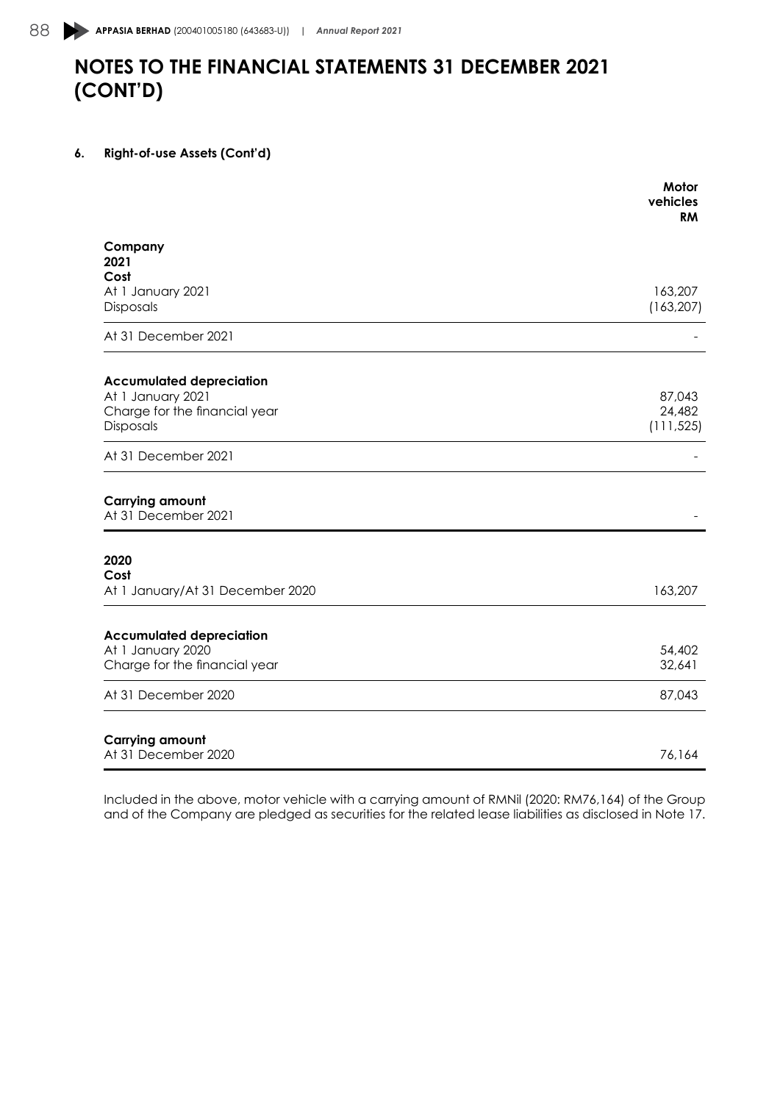### **6. Right-of-use Assets (Cont'd)**

|                                                                                                                                      | Motor<br>vehicles<br><b>RM</b>        |
|--------------------------------------------------------------------------------------------------------------------------------------|---------------------------------------|
| Company<br>2021<br>Cost                                                                                                              |                                       |
| At 1 January 2021<br>Disposals                                                                                                       | 163,207<br>(163, 207)                 |
| At 31 December 2021                                                                                                                  |                                       |
| <b>Accumulated depreciation</b>                                                                                                      |                                       |
| At 1 January 2021                                                                                                                    | 87,043                                |
| Charge for the financial year                                                                                                        | 24,482                                |
| Disposals                                                                                                                            | (111, 525)                            |
| At 31 December 2021                                                                                                                  |                                       |
|                                                                                                                                      |                                       |
|                                                                                                                                      |                                       |
|                                                                                                                                      |                                       |
|                                                                                                                                      |                                       |
| <b>Carrying amount</b><br>At 31 December 2021<br>2020<br>Cost<br>At 1 January/At 31 December 2020<br><b>Accumulated depreciation</b> |                                       |
| At 1 January 2020                                                                                                                    |                                       |
|                                                                                                                                      |                                       |
| Charge for the financial year<br>At 31 December 2020                                                                                 |                                       |
| <b>Carrying amount</b>                                                                                                               | 163,207<br>54,402<br>32,641<br>87,043 |

Included in the above, motor vehicle with a carrying amount of RMNil (2020: RM76,164) of the Group and of the Company are pledged as securities for the related lease liabilities as disclosed in Note 17.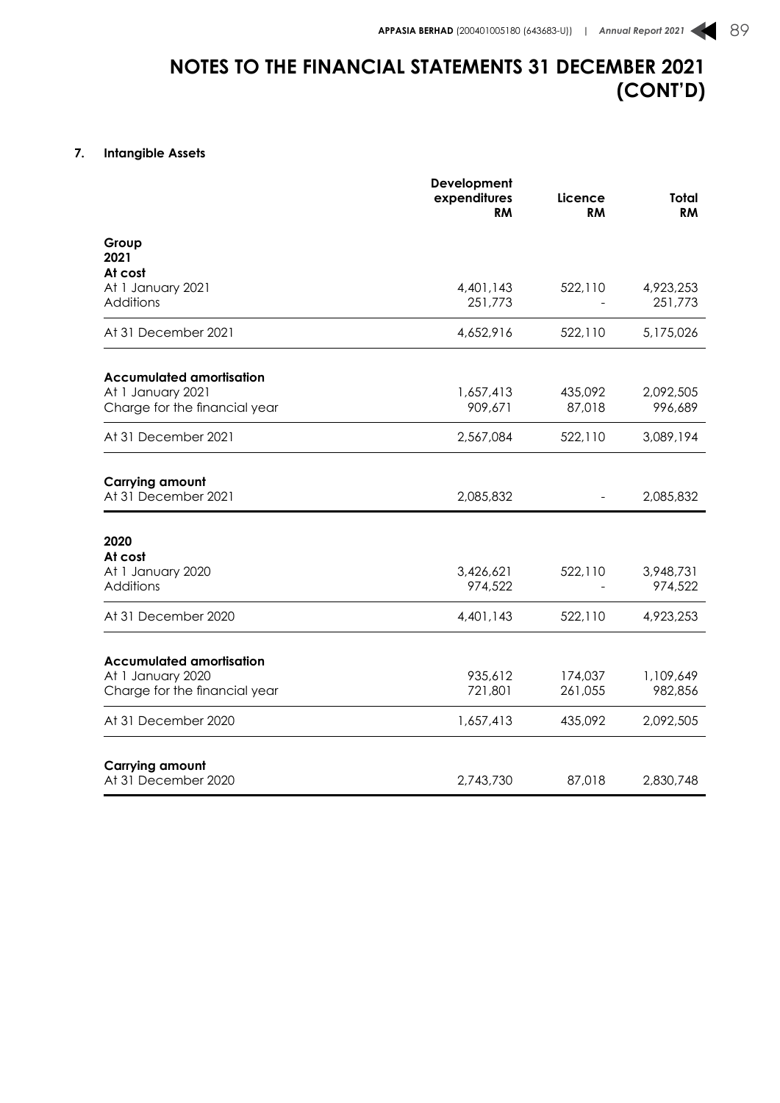### **7. Intangible Assets**

|                                               | Development<br>expenditures<br>RM | Licence<br>RM | <b>Total</b><br><b>RM</b> |
|-----------------------------------------------|-----------------------------------|---------------|---------------------------|
| Group<br>2021                                 |                                   |               |                           |
| At cost                                       |                                   |               |                           |
| At 1 January 2021                             | 4,401,143                         | 522,110       | 4,923,253                 |
| Additions                                     | 251,773                           |               | 251,773                   |
| At 31 December 2021                           | 4,652,916                         | 522,110       | 5,175,026                 |
| <b>Accumulated amortisation</b>               |                                   |               |                           |
| At 1 January 2021                             | 1,657,413                         | 435,092       | 2,092,505                 |
| Charge for the financial year                 | 909,671                           | 87,018        | 996,689                   |
| At 31 December 2021                           | 2,567,084                         | 522,110       | 3,089,194                 |
|                                               |                                   |               |                           |
| <b>Carrying amount</b><br>At 31 December 2021 | 2,085,832                         |               | 2,085,832                 |
| 2020                                          |                                   |               |                           |
| At cost                                       |                                   |               |                           |
| At 1 January 2020                             | 3,426,621                         | 522,110       | 3,948,731                 |
| Additions                                     | 974,522                           |               | 974,522                   |
| At 31 December 2020                           | 4,401,143                         | 522,110       | 4,923,253                 |
| <b>Accumulated amortisation</b>               |                                   |               |                           |
| At 1 January 2020                             | 935,612                           | 174,037       | 1,109,649                 |
| Charge for the financial year                 | 721,801                           | 261,055       | 982,856                   |
|                                               |                                   |               |                           |
| At 31 December 2020                           | 1,657,413                         | 435,092       | 2,092,505                 |
|                                               |                                   |               |                           |
| <b>Carrying amount</b><br>At 31 December 2020 |                                   |               |                           |
|                                               | 2,743,730                         | 87,018        | 2,830,748                 |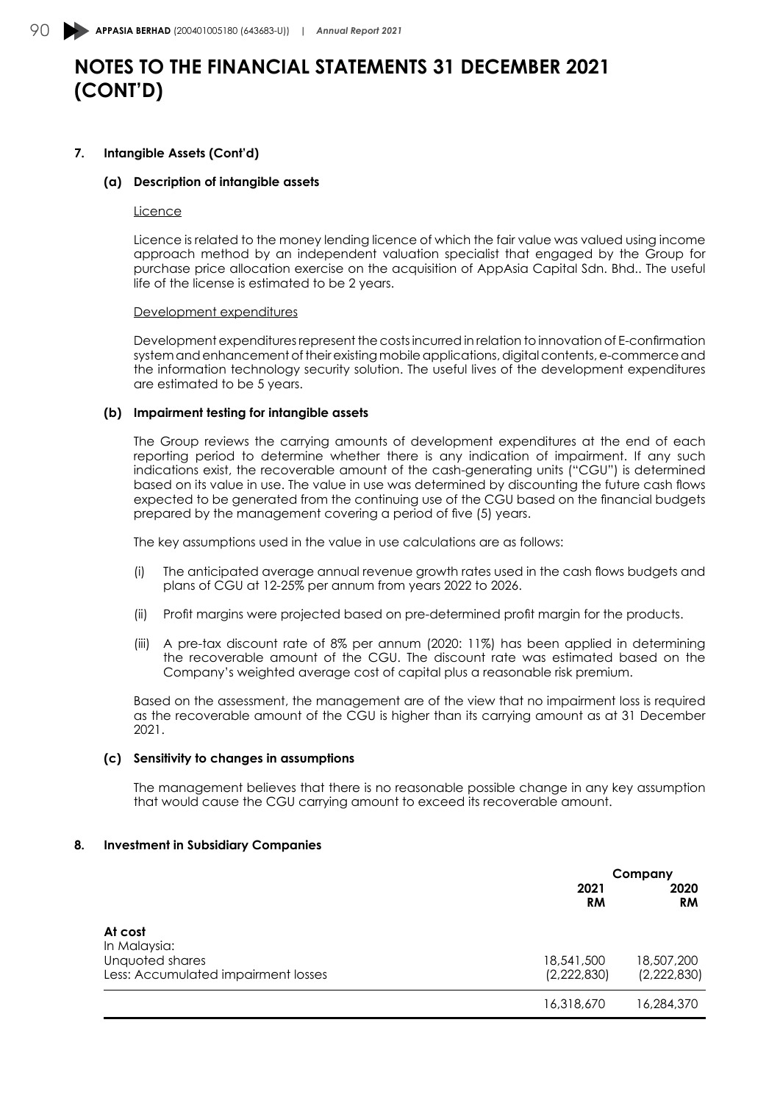### **7. Intangible Assets (Cont'd)**

#### **(a) Description of intangible assets**

#### **Licence**

Licence is related to the money lending licence of which the fair value was valued using income approach method by an independent valuation specialist that engaged by the Group for purchase price allocation exercise on the acquisition of AppAsia Capital Sdn. Bhd.. The useful life of the license is estimated to be 2 years.

#### Development expenditures

Development expenditures represent the costs incurred in relation to innovation of E-confirmation system and enhancement of their existing mobile applications, digital contents, e-commerce and the information technology security solution. The useful lives of the development expenditures are estimated to be 5 years.

#### **(b) Impairment testing for intangible assets**

The Group reviews the carrying amounts of development expenditures at the end of each reporting period to determine whether there is any indication of impairment. If any such indications exist, the recoverable amount of the cash-generating units ("CGU") is determined based on its value in use. The value in use was determined by discounting the future cash flows expected to be generated from the continuing use of the CGU based on the financial budgets prepared by the management covering a period of five (5) years.

The key assumptions used in the value in use calculations are as follows:

- (i) The anticipated average annual revenue growth rates used in the cash flows budgets and plans of CGU at 12-25% per annum from years 2022 to 2026.
- (ii) Profit margins were projected based on pre-determined profit margin for the products.
- (iii) A pre-tax discount rate of 8% per annum (2020: 11%) has been applied in determining the recoverable amount of the CGU. The discount rate was estimated based on the Company's weighted average cost of capital plus a reasonable risk premium.

Based on the assessment, the management are of the view that no impairment loss is required as the recoverable amount of the CGU is higher than its carrying amount as at 31 December 2021.

#### **(c) Sensitivity to changes in assumptions**

The management believes that there is no reasonable possible change in any key assumption that would cause the CGU carrying amount to exceed its recoverable amount.

#### **8. Investment in Subsidiary Companies**

|                                                        |                           | Company                   |
|--------------------------------------------------------|---------------------------|---------------------------|
|                                                        | 2021<br><b>RM</b>         | 2020<br><b>RM</b>         |
| At cost<br>In Malaysia:                                |                           |                           |
| Unquoted shares<br>Less: Accumulated impairment losses | 18,541,500<br>(2,222,830) | 18,507,200<br>(2,222,830) |
|                                                        | 16,318,670                | 16,284,370                |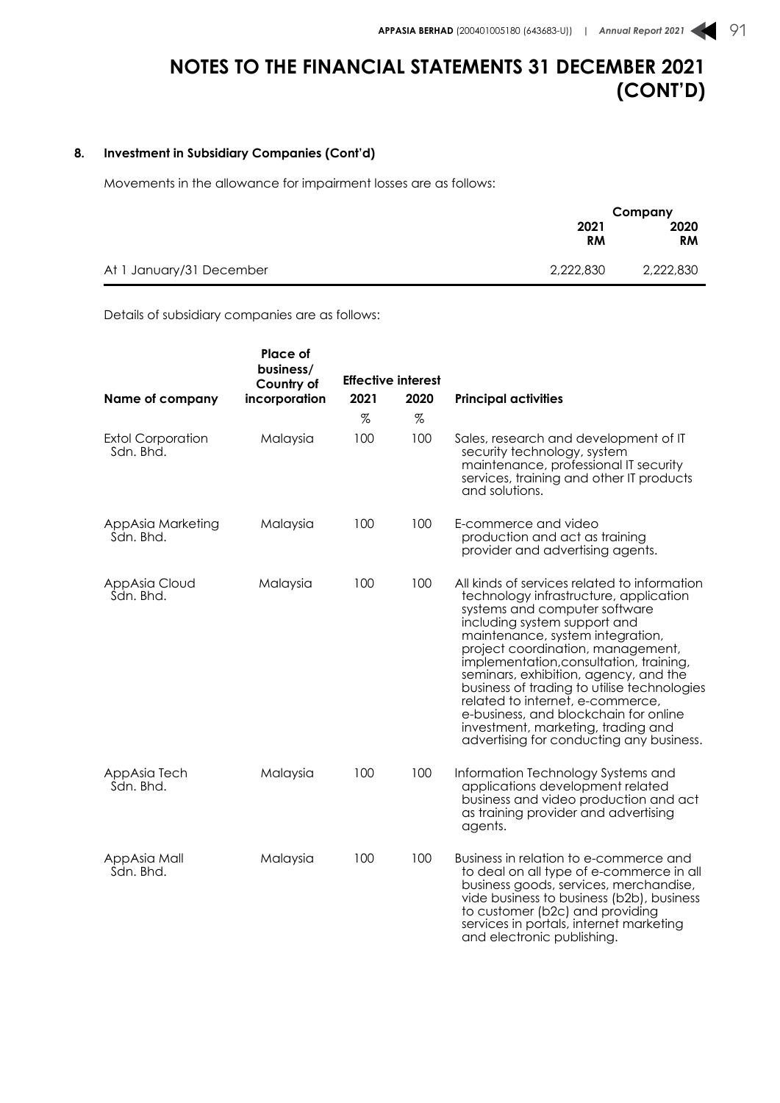### **8. Investment in Subsidiary Companies (Cont'd)**

Movements in the allowance for impairment losses are as follows:

|                                       | Company   |
|---------------------------------------|-----------|
| 2021                                  | 2020      |
| RM                                    | <b>RM</b> |
| 2,222,830<br>At 1 January/31 December | 2,222,830 |

Details of subsidiary companies are as follows:

|                                       | <b>Place of</b><br>business/ |             |                           |                                                                                                                                                                                                                                                                                                                                                                                                                                                                                                                                    |
|---------------------------------------|------------------------------|-------------|---------------------------|------------------------------------------------------------------------------------------------------------------------------------------------------------------------------------------------------------------------------------------------------------------------------------------------------------------------------------------------------------------------------------------------------------------------------------------------------------------------------------------------------------------------------------|
|                                       | Country of                   |             | <b>Effective interest</b> |                                                                                                                                                                                                                                                                                                                                                                                                                                                                                                                                    |
| Name of company                       | incorporation                | 2021        | 2020                      | <b>Principal activities</b>                                                                                                                                                                                                                                                                                                                                                                                                                                                                                                        |
| <b>Extol Corporation</b><br>Sdn. Bhd. | Malaysia                     | $\%$<br>100 | $\%$<br>100               | Sales, research and development of IT<br>security technology, system<br>maintenance, professional IT security<br>services, training and other IT products<br>and solutions.                                                                                                                                                                                                                                                                                                                                                        |
| AppAsia Marketing<br>Sdn. Bhd.        | Malaysia                     | 100         | 100                       | E-commerce and video<br>production and act as training<br>provider and advertising agents.                                                                                                                                                                                                                                                                                                                                                                                                                                         |
| AppAsia Cloud<br>Sdn. Bhd.            | Malaysia                     | 100         | 100                       | All kinds of services related to information<br>technology infrastructure, application<br>systems and computer software<br>including system support and<br>maintenance, system integration,<br>project coordination, management,<br>implementation, consultation, training,<br>seminars, exhibition, agency, and the<br>business of trading to utilise technologies<br>related to internet, e-commerce,<br>e-business, and blockchain for online<br>investment, marketing, trading and<br>advertising for conducting any business. |
| AppAsia Tech<br>Sdn. Bhd.             | Malaysia                     | 100         | 100                       | Information Technology Systems and<br>applications development related<br>business and video production and act<br>as training provider and advertising<br>agents.                                                                                                                                                                                                                                                                                                                                                                 |
| AppAsia Mall<br>Sdn. Bhd.             | Malaysia                     | 100         | 100                       | Business in relation to e-commerce and<br>to deal on all type of e-commerce in all<br>business goods, services, merchandise,<br>vide business to business (b2b), business<br>to customer (b2c) and providing<br>services in portals, internet marketing<br>and electronic publishing.                                                                                                                                                                                                                                              |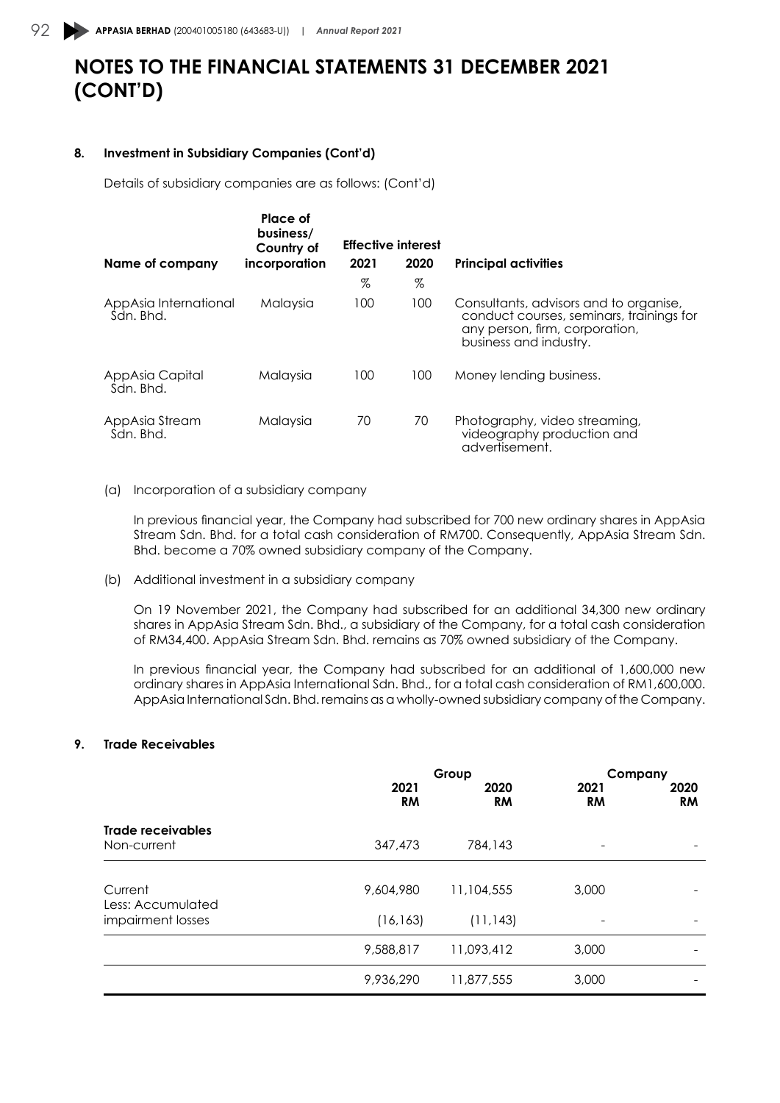#### **8. Investment in Subsidiary Companies (Cont'd)**

Details of subsidiary companies are as follows: (Cont'd)

|                                    | Place of<br>business/<br>Country of |      | <b>Effective interest</b> |                                                                                                                                                |
|------------------------------------|-------------------------------------|------|---------------------------|------------------------------------------------------------------------------------------------------------------------------------------------|
| Name of company                    | incorporation                       | 2021 | 2020                      | <b>Principal activities</b>                                                                                                                    |
|                                    |                                     | %    | %                         |                                                                                                                                                |
| AppAsia International<br>Sdn. Bhd. | Malaysia                            | 100  | 100                       | Consultants, advisors and to organise,<br>conduct courses, seminars, trainings for<br>any person, firm, corporation,<br>business and industry. |
| AppAsia Capital<br>Sdn. Bhd.       | Malaysia                            | 100  | 100                       | Money lending business.                                                                                                                        |
| AppAsia Stream<br>Sdn. Bhd.        | Malaysia                            | 70   | 70                        | Photography, video streaming,<br>videography production and<br>advertisement.                                                                  |

#### (a) Incorporation of a subsidiary company

In previous financial year, the Company had subscribed for 700 new ordinary shares in AppAsia Stream Sdn. Bhd. for a total cash consideration of RM700. Consequently, AppAsia Stream Sdn. Bhd. become a 70% owned subsidiary company of the Company.

(b) Additional investment in a subsidiary company

On 19 November 2021, the Company had subscribed for an additional 34,300 new ordinary shares in AppAsia Stream Sdn. Bhd., a subsidiary of the Company, for a total cash consideration of RM34,400. AppAsia Stream Sdn. Bhd. remains as 70% owned subsidiary of the Company.

In previous financial year, the Company had subscribed for an additional of 1,600,000 new ordinary shares in AppAsia International Sdn. Bhd., for a total cash consideration of RM1,600,000. AppAsia International Sdn. Bhd. remains as a wholly-owned subsidiary company of the Company.

### **9. Trade Receivables**

|                                        | 2021<br><b>RM</b> | Group<br>2020        |                          | Company<br>2021<br>2020<br><b>RM</b><br><b>RM</b> |  |
|----------------------------------------|-------------------|----------------------|--------------------------|---------------------------------------------------|--|
| Trade receivables<br>Non-current       | 347,473           | <b>RM</b><br>784,143 | $\overline{\phantom{0}}$ |                                                   |  |
| Current                                | 9,604,980         | 11,104,555           | 3,000                    |                                                   |  |
| Less: Accumulated<br>impairment losses | (16, 163)         | (11, 143)            | ۰                        |                                                   |  |
|                                        | 9,588,817         | 11,093,412           | 3,000                    |                                                   |  |
|                                        | 9,936,290         | 11,877,555           | 3,000                    |                                                   |  |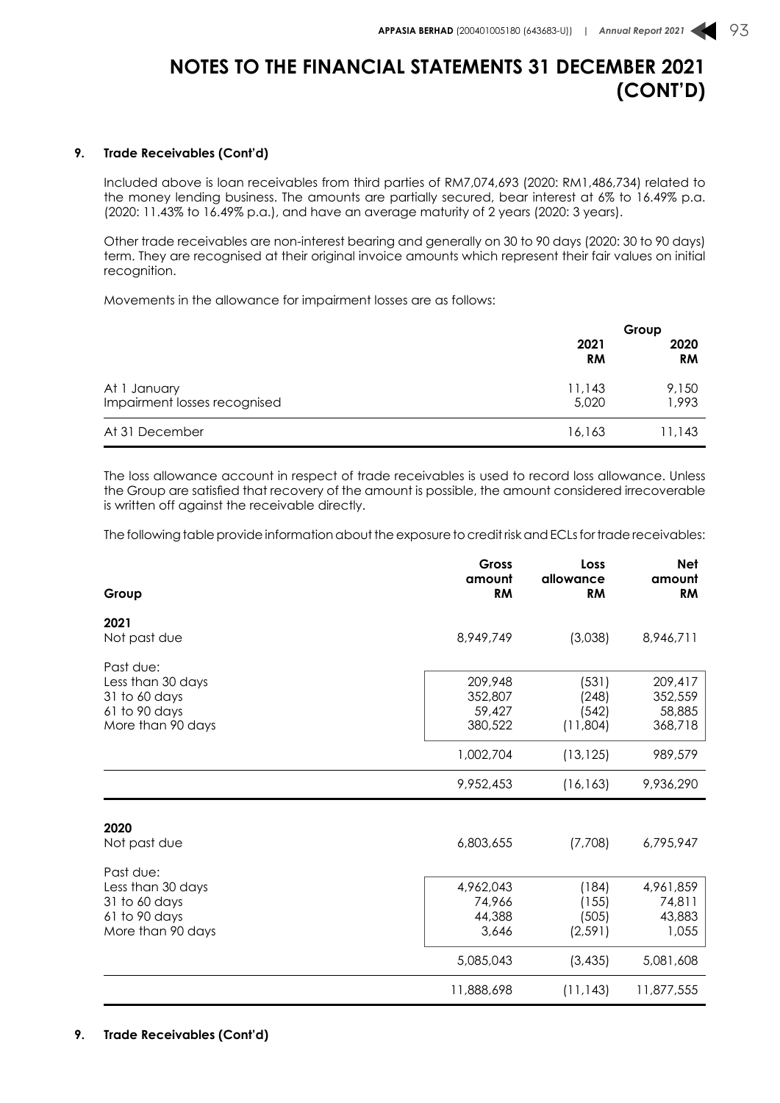#### **9. Trade Receivables (Cont'd)**

Included above is loan receivables from third parties of RM7,074,693 (2020: RM1,486,734) related to the money lending business. The amounts are partially secured, bear interest at 6% to 16.49% p.a. (2020: 11.43% to 16.49% p.a.), and have an average maturity of 2 years (2020: 3 years).

Other trade receivables are non-interest bearing and generally on 30 to 90 days (2020: 30 to 90 days) term. They are recognised at their original invoice amounts which represent their fair values on initial recognition.

Movements in the allowance for impairment losses are as follows:

|                                              | Group             |                   |
|----------------------------------------------|-------------------|-------------------|
|                                              | 2021<br><b>RM</b> | 2020<br><b>RM</b> |
| At 1 January<br>Impairment losses recognised | 11,143<br>5,020   | 9,150<br>1,993    |
| At 31 December                               | 16.163            | 11,143            |

The loss allowance account in respect of trade receivables is used to record loss allowance. Unless the Group are satisfied that recovery of the amount is possible, the amount considered irrecoverable is written off against the receivable directly.

The following table provide information about the exposure to credit risk and ECLs for trade receivables:

| Group                                                                                 | Gross<br>amount<br><b>RM</b>           | Loss<br>allowance<br><b>RM</b>      | <b>Net</b><br>amount<br><b>RM</b>      |
|---------------------------------------------------------------------------------------|----------------------------------------|-------------------------------------|----------------------------------------|
| 2021<br>Not past due                                                                  | 8,949,749                              | (3,038)                             | 8,946,711                              |
| Past due:<br>Less than 30 days<br>31 to 60 days<br>61 to 90 days                      | 209,948<br>352,807<br>59,427           | (531)<br>(248)<br>(542)             | 209,417<br>352,559<br>58,885           |
| More than 90 days                                                                     | 380,522<br>1,002,704                   | (11,804)<br>(13, 125)               | 368,718<br>989,579                     |
|                                                                                       | 9,952,453                              | (16, 163)                           | 9,936,290                              |
| 2020<br>Not past due                                                                  | 6,803,655                              | (7,708)                             | 6,795,947                              |
| Past due:<br>Less than 30 days<br>31 to 60 days<br>61 to 90 days<br>More than 90 days | 4,962,043<br>74,966<br>44,388<br>3,646 | (184)<br>(155)<br>(505)<br>(2, 591) | 4,961,859<br>74,811<br>43,883<br>1,055 |
|                                                                                       | 5,085,043                              | (3, 435)                            | 5,081,608                              |
|                                                                                       | 11,888,698                             | (11, 143)                           | 11,877,555                             |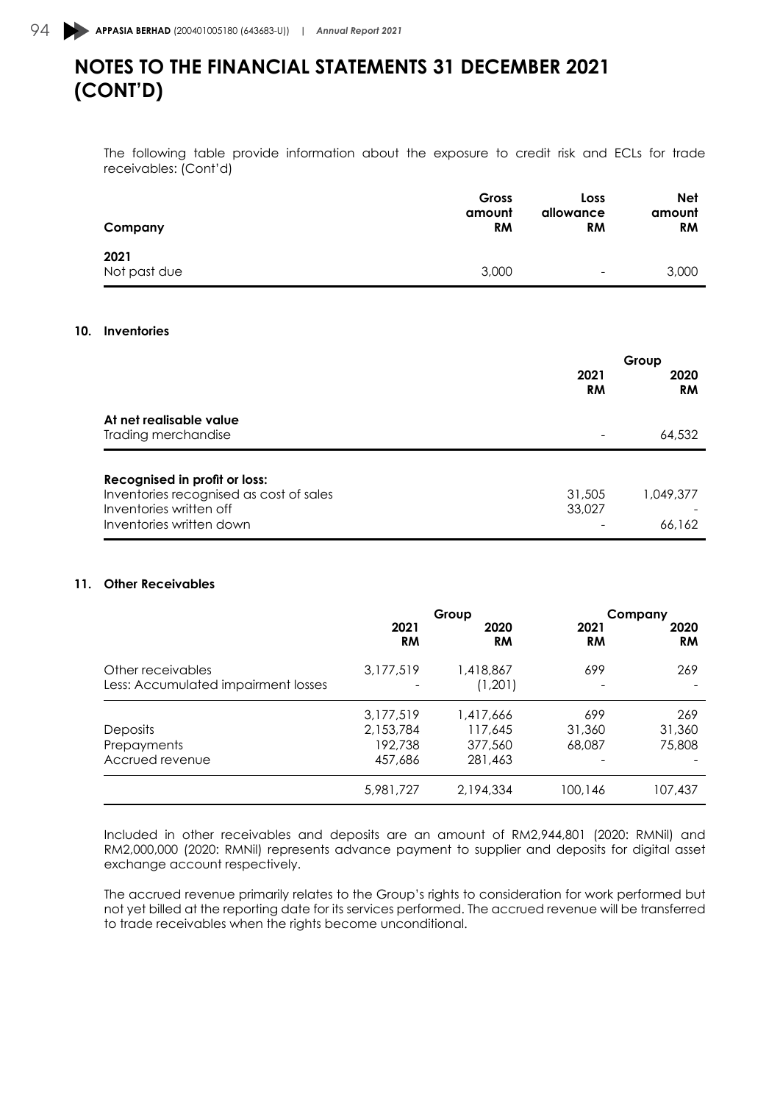The following table provide information about the exposure to credit risk and ECLs for trade receivables: (Cont'd)

| Company              | Gross     | Loss                     | <b>Net</b> |
|----------------------|-----------|--------------------------|------------|
|                      | amount    | allowance                | amount     |
|                      | <b>RM</b> | <b>RM</b>                | <b>RM</b>  |
| 2021<br>Not past due | 3,000     | $\overline{\phantom{0}}$ | 3,000      |

#### **10. Inventories**

|                                         | Group             |                   |
|-----------------------------------------|-------------------|-------------------|
|                                         | 2021<br><b>RM</b> | 2020<br><b>RM</b> |
| At net realisable value                 |                   |                   |
| Trading merchandise                     |                   | 64,532            |
| Recognised in profit or loss:           |                   |                   |
| Inventories recognised as cost of sales | 31,505            | 1,049,377         |
| Inventories written off                 | 33,027            |                   |
| Inventories written down                |                   | 66.162            |

#### **11. Other Receivables**

|                                                          | Group             |                      | Company    |                   |
|----------------------------------------------------------|-------------------|----------------------|------------|-------------------|
|                                                          | 2021<br><b>RM</b> | 2020<br><b>RM</b>    | 2021<br>RM | 2020<br><b>RM</b> |
| Other receivables<br>Less: Accumulated impairment losses | 3,177,519         | 1,418,867<br>(1,201) | 699        | 269               |
|                                                          | 3,177,519         | 1,417,666            | 699        | 269               |
| <b>Deposits</b>                                          | 2,153,784         | 117,645              | 31,360     | 31,360            |
| Prepayments                                              | 192,738           | 377,560              | 68,087     | 75,808            |
| Accrued revenue                                          | 457,686           | 281,463              | -          |                   |
|                                                          | 5,981,727         | 2,194,334            | 100,146    | 107,437           |

Included in other receivables and deposits are an amount of RM2,944,801 (2020: RMNil) and RM2,000,000 (2020: RMNil) represents advance payment to supplier and deposits for digital asset exchange account respectively.

The accrued revenue primarily relates to the Group's rights to consideration for work performed but not yet billed at the reporting date for its services performed. The accrued revenue will be transferred to trade receivables when the rights become unconditional.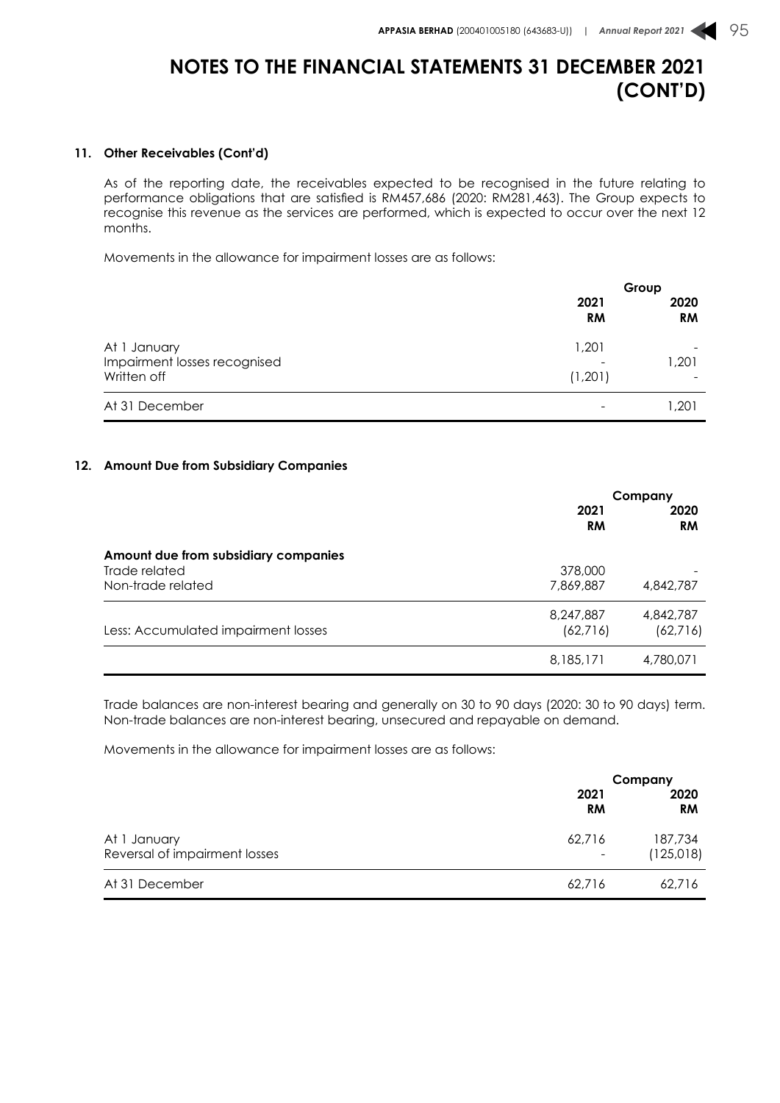### **11. Other Receivables (Cont'd)**

As of the reporting date, the receivables expected to be recognised in the future relating to performance obligations that are satisfied is RM457,686 (2020: RM281,463). The Group expects to recognise this revenue as the services are performed, which is expected to occur over the next 12 months.

Movements in the allowance for impairment losses are as follows:

|                                                             |                          | Group             |  |
|-------------------------------------------------------------|--------------------------|-------------------|--|
|                                                             | 2021<br><b>RM</b>        | 2020<br><b>RM</b> |  |
| At 1 January<br>Impairment losses recognised<br>Written off | 1,201<br>(1,201)         | 1,201             |  |
| At 31 December                                              | $\overline{\phantom{a}}$ | 201, ا            |  |

#### **12. Amount Due from Subsidiary Companies**

|                                                       | Company              |                   |
|-------------------------------------------------------|----------------------|-------------------|
|                                                       | 2021<br><b>RM</b>    | 2020<br><b>RM</b> |
| Amount due from subsidiary companies<br>Trade related |                      |                   |
| Non-trade related                                     | 378,000<br>7,869,887 | 4,842,787         |
|                                                       | 8,247,887            | 4,842,787         |
| Less: Accumulated impairment losses                   | (62, 716)            | (62, 716)         |
|                                                       | 8,185,171            | 4,780,071         |

Trade balances are non-interest bearing and generally on 30 to 90 days (2020: 30 to 90 days) term. Non-trade balances are non-interest bearing, unsecured and repayable on demand.

Movements in the allowance for impairment losses are as follows:

|                               |                          | Company           |
|-------------------------------|--------------------------|-------------------|
|                               | 2021<br><b>RM</b>        | 2020<br><b>RM</b> |
| At 1 January                  | 62,716                   | 187,734           |
| Reversal of impairment losses | $\overline{\phantom{a}}$ | (125, 018)        |
| At 31 December                | 62,716                   | 62,716            |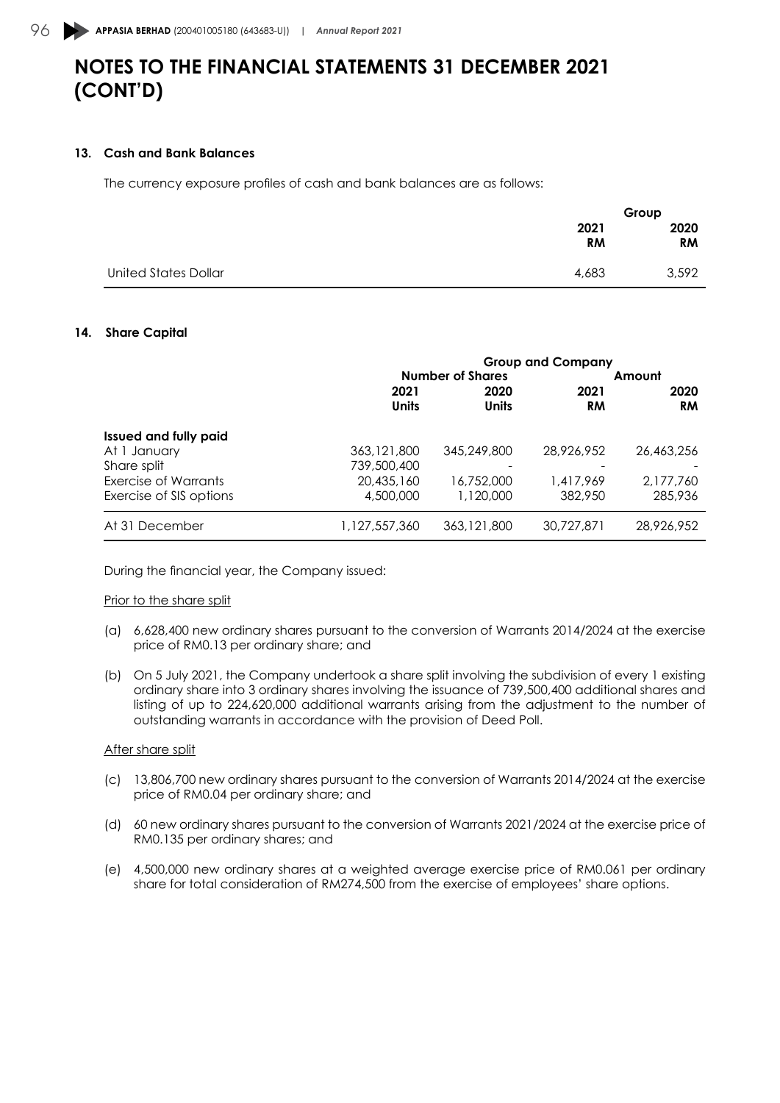#### **13. Cash and Bank Balances**

The currency exposure profiles of cash and bank balances are as follows:

|                             |                   | Group             |
|-----------------------------|-------------------|-------------------|
|                             | 2021<br><b>RM</b> | 2020<br><b>RM</b> |
| <b>United States Dollar</b> | 4,683             | 3,592             |

#### **14. Share Capital**

|                              | <b>Group and Company</b> |                      |                   |                   |  |
|------------------------------|--------------------------|----------------------|-------------------|-------------------|--|
|                              | <b>Number of Shares</b>  |                      |                   | Amount            |  |
|                              | 2021<br><b>Units</b>     | 2020<br><b>Units</b> | 2021<br><b>RM</b> | 2020<br><b>RM</b> |  |
| <b>Issued and fully paid</b> |                          |                      |                   |                   |  |
| At 1 January                 | 363, 121, 800            | 345,249,800          | 28,926,952        | 26,463,256        |  |
| Share split                  | 739,500,400              |                      |                   |                   |  |
| Exercise of Warrants         | 20,435,160               | 16,752,000           | 1,417,969         | 2,177,760         |  |
| Exercise of SIS options      | 4,500,000                | 1,120,000            | 382,950           | 285,936           |  |
| At 31 December               | 1,127,557,360            | 363,121,800          | 30.727.871        | 28,926,952        |  |

During the financial year, the Company issued:

### Prior to the share split

- (a) 6,628,400 new ordinary shares pursuant to the conversion of Warrants 2014/2024 at the exercise price of RM0.13 per ordinary share; and
- (b) On 5 July 2021, the Company undertook a share split involving the subdivision of every 1 existing ordinary share into 3 ordinary shares involving the issuance of 739,500,400 additional shares and listing of up to 224,620,000 additional warrants arising from the adjustment to the number of outstanding warrants in accordance with the provision of Deed Poll.

#### After share split

- (c) 13,806,700 new ordinary shares pursuant to the conversion of Warrants 2014/2024 at the exercise price of RM0.04 per ordinary share; and
- (d) 60 new ordinary shares pursuant to the conversion of Warrants 2021/2024 at the exercise price of RM0.135 per ordinary shares; and
- (e) 4,500,000 new ordinary shares at a weighted average exercise price of RM0.061 per ordinary share for total consideration of RM274,500 from the exercise of employees' share options.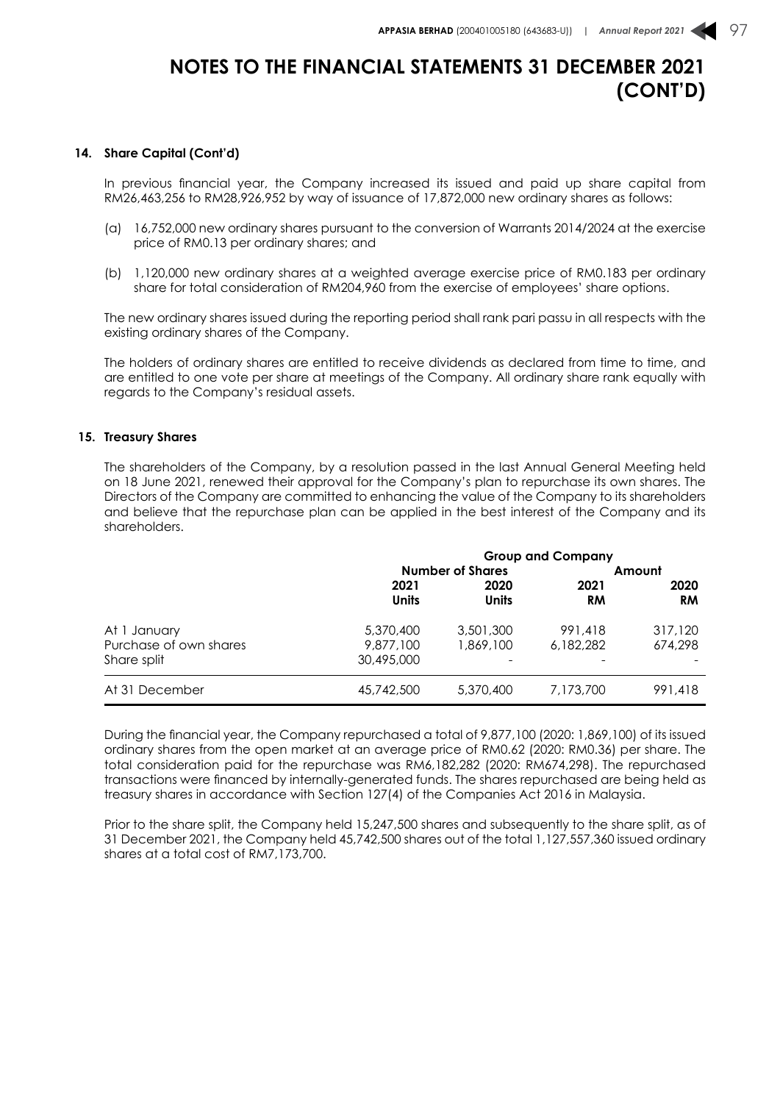#### **14. Share Capital (Cont'd)**

In previous financial year, the Company increased its issued and paid up share capital from RM26,463,256 to RM28,926,952 by way of issuance of 17,872,000 new ordinary shares as follows:

- (a) 16,752,000 new ordinary shares pursuant to the conversion of Warrants 2014/2024 at the exercise price of RM0.13 per ordinary shares; and
- (b) 1,120,000 new ordinary shares at a weighted average exercise price of RM0.183 per ordinary share for total consideration of RM204,960 from the exercise of employees' share options.

The new ordinary shares issued during the reporting period shall rank pari passu in all respects with the existing ordinary shares of the Company.

The holders of ordinary shares are entitled to receive dividends as declared from time to time, and are entitled to one vote per share at meetings of the Company. All ordinary share rank equally with regards to the Company's residual assets.

#### **15. Treasury Shares**

The shareholders of the Company, by a resolution passed in the last Annual General Meeting held on 18 June 2021, renewed their approval for the Company's plan to repurchase its own shares. The Directors of the Company are committed to enhancing the value of the Company to its shareholders and believe that the repurchase plan can be applied in the best interest of the Company and its shareholders.

|                        | <b>Group and Company</b> |                      |            |                   |  |
|------------------------|--------------------------|----------------------|------------|-------------------|--|
|                        | <b>Number of Shares</b>  |                      |            | Amount            |  |
|                        | 2021<br><b>Units</b>     | 2020<br><b>Units</b> | 2021<br>RM | 2020<br><b>RM</b> |  |
| At 1 January           | 5,370,400                | 3,501,300            | 991,418    | 317,120           |  |
| Purchase of own shares | 9,877,100                | 1,869,100            | 6,182,282  | 674.298           |  |
| Share split            | 30,495,000               |                      |            |                   |  |
| At 31 December         | 45,742,500               | 5,370,400            | 7,173,700  | 991,418           |  |

During the financial year, the Company repurchased a total of 9,877,100 (2020: 1,869,100) of its issued ordinary shares from the open market at an average price of RM0.62 (2020: RM0.36) per share. The total consideration paid for the repurchase was RM6,182,282 (2020: RM674,298). The repurchased transactions were financed by internally-generated funds. The shares repurchased are being held as treasury shares in accordance with Section 127(4) of the Companies Act 2016 in Malaysia.

Prior to the share split, the Company held 15,247,500 shares and subsequently to the share split, as of 31 December 2021, the Company held 45,742,500 shares out of the total 1,127,557,360 issued ordinary shares at a total cost of RM7,173,700.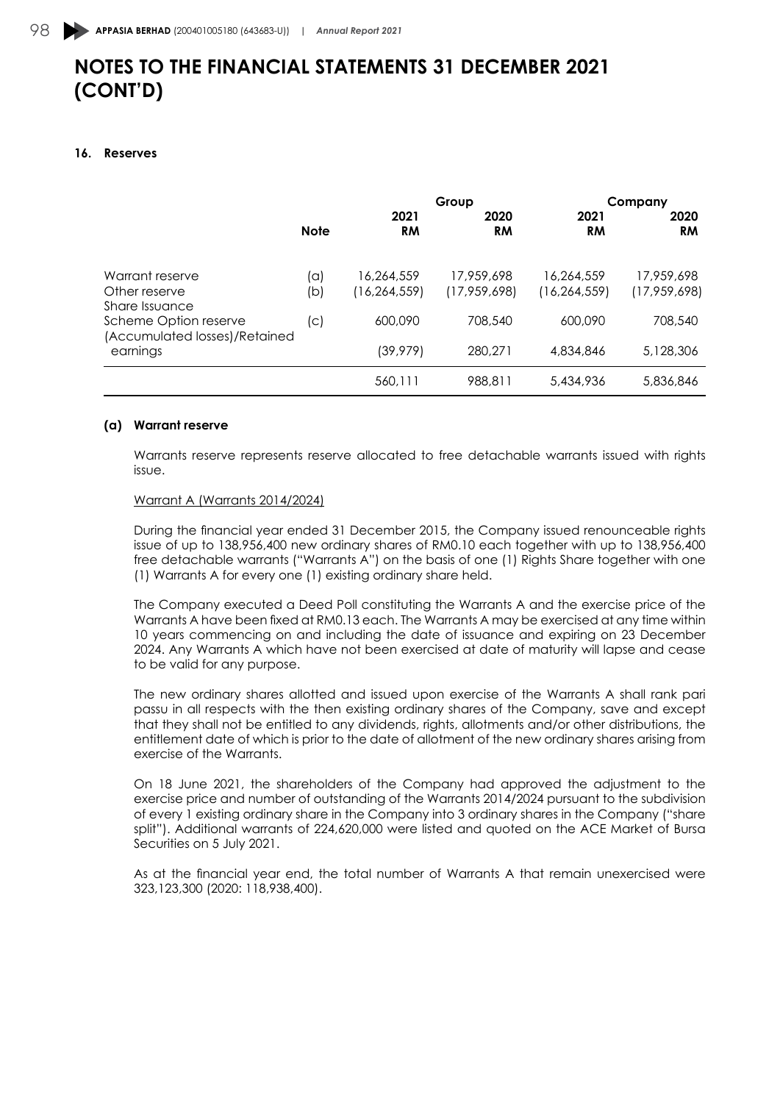#### **16. Reserves**

|                                                        |             |                   | Group             |                   | Company           |
|--------------------------------------------------------|-------------|-------------------|-------------------|-------------------|-------------------|
|                                                        | <b>Note</b> | 2021<br><b>RM</b> | 2020<br><b>RM</b> | 2021<br><b>RM</b> | 2020<br><b>RM</b> |
| Warrant reserve                                        | (a)         | 16,264,559        | 17,959,698        | 16,264,559        | 17,959,698        |
| Other reserve<br>Share Issuance                        | (b)         | (16, 264, 559)    | (17,959,698)      | (16, 264, 559)    | (17,959,698)      |
| Scheme Option reserve<br>(Accumulated losses)/Retained | (c)         | 600,090           | 708.540           | 600,090           | 708.540           |
| earnings                                               |             | (39, 979)         | 280,271           | 4,834,846         | 5,128,306         |
|                                                        |             | 560.111           | 988.811           | 5,434,936         | 5,836,846         |

#### **(a) Warrant reserve**

Warrants reserve represents reserve allocated to free detachable warrants issued with rights issue.

#### Warrant A (Warrants 2014/2024)

During the financial year ended 31 December 2015, the Company issued renounceable rights issue of up to 138,956,400 new ordinary shares of RM0.10 each together with up to 138,956,400 free detachable warrants ("Warrants A") on the basis of one (1) Rights Share together with one (1) Warrants A for every one (1) existing ordinary share held.

The Company executed a Deed Poll constituting the Warrants A and the exercise price of the Warrants A have been fixed at RM0.13 each. The Warrants A may be exercised at any time within 10 years commencing on and including the date of issuance and expiring on 23 December 2024. Any Warrants A which have not been exercised at date of maturity will lapse and cease to be valid for any purpose.

The new ordinary shares allotted and issued upon exercise of the Warrants A shall rank pari passu in all respects with the then existing ordinary shares of the Company, save and except that they shall not be entitled to any dividends, rights, allotments and/or other distributions, the entitlement date of which is prior to the date of allotment of the new ordinary shares arising from exercise of the Warrants.

On 18 June 2021, the shareholders of the Company had approved the adjustment to the exercise price and number of outstanding of the Warrants 2014/2024 pursuant to the subdivision of every 1 existing ordinary share in the Company into 3 ordinary shares in the Company ("share split"). Additional warrants of 224,620,000 were listed and quoted on the ACE Market of Bursa Securities on 5 July 2021.

As at the financial year end, the total number of Warrants A that remain unexercised were 323,123,300 (2020: 118,938,400).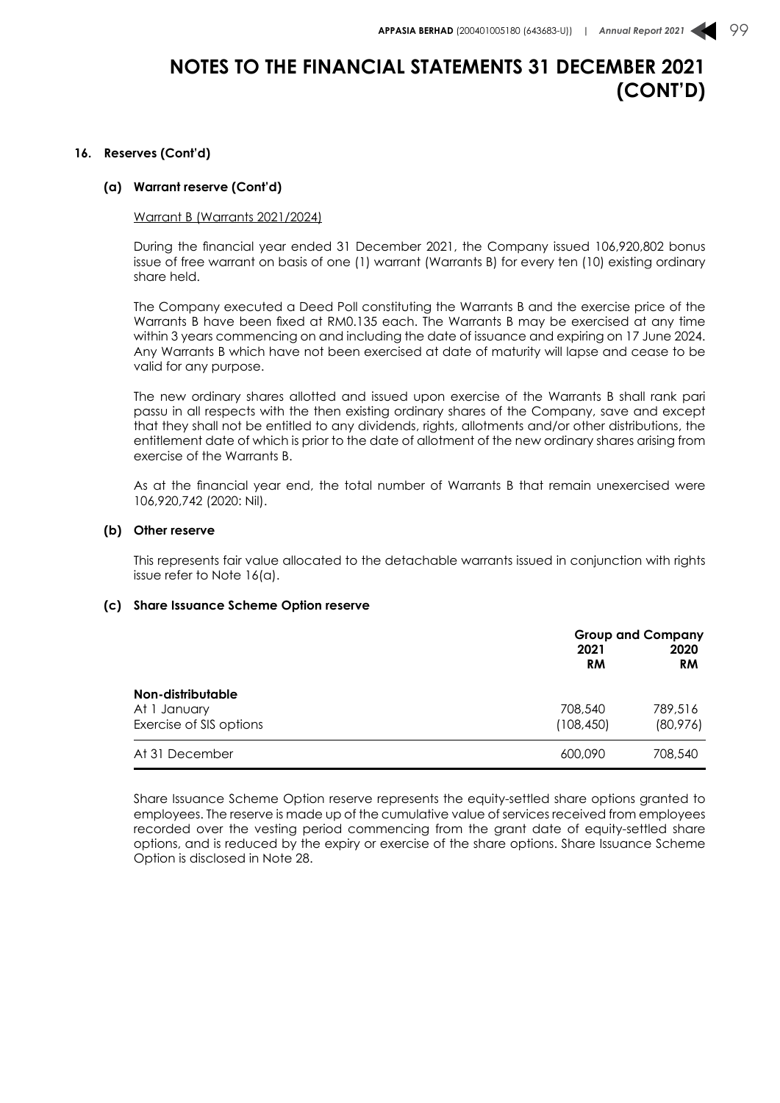#### **16. Reserves (Cont'd)**

#### **(a) Warrant reserve (Cont'd)**

#### Warrant B (Warrants 2021/2024)

During the financial year ended 31 December 2021, the Company issued 106,920,802 bonus issue of free warrant on basis of one (1) warrant (Warrants B) for every ten (10) existing ordinary share held.

The Company executed a Deed Poll constituting the Warrants B and the exercise price of the Warrants B have been fixed at RM0.135 each. The Warrants B may be exercised at any time within 3 years commencing on and including the date of issuance and expiring on 17 June 2024. Any Warrants B which have not been exercised at date of maturity will lapse and cease to be valid for any purpose.

The new ordinary shares allotted and issued upon exercise of the Warrants B shall rank pari passu in all respects with the then existing ordinary shares of the Company, save and except that they shall not be entitled to any dividends, rights, allotments and/or other distributions, the entitlement date of which is prior to the date of allotment of the new ordinary shares arising from exercise of the Warrants B.

As at the financial year end, the total number of Warrants B that remain unexercised were 106,920,742 (2020: Nil).

#### **(b) Other reserve**

This represents fair value allocated to the detachable warrants issued in conjunction with rights issue refer to Note 16(a).

#### **(c) Share Issuance Scheme Option reserve**

|                                                              | 2021<br><b>RM</b>     | <b>Group and Company</b><br>2020<br><b>RM</b> |
|--------------------------------------------------------------|-----------------------|-----------------------------------------------|
| Non-distributable<br>At 1 January<br>Exercise of SIS options | 708,540<br>(108, 450) | 789,516<br>(80, 976)                          |
| At 31 December                                               | 600,090               | 708,540                                       |

Share Issuance Scheme Option reserve represents the equity-settled share options granted to employees. The reserve is made up of the cumulative value of services received from employees recorded over the vesting period commencing from the grant date of equity-settled share options, and is reduced by the expiry or exercise of the share options. Share Issuance Scheme Option is disclosed in Note 28.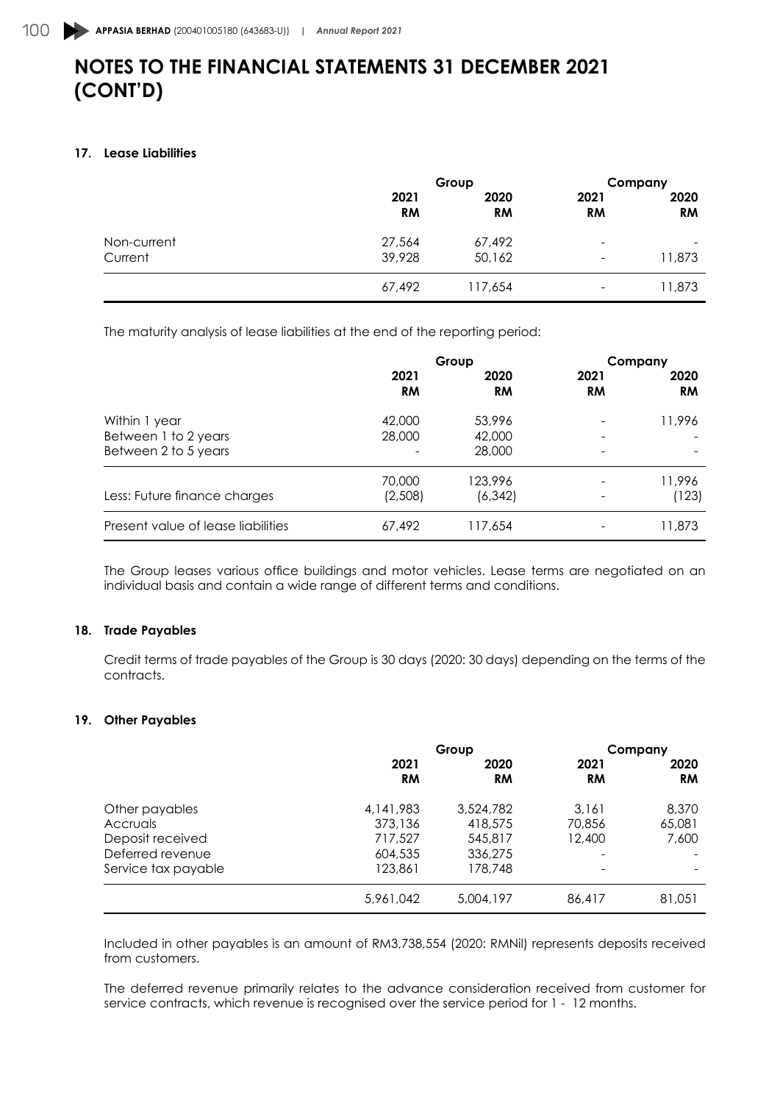### **17. Lease Liabilities**

|             | Group             |                   | Company                  |                          |
|-------------|-------------------|-------------------|--------------------------|--------------------------|
|             | 2021<br><b>RM</b> | 2020<br><b>RM</b> | 2021<br><b>RM</b>        | 2020<br><b>RM</b>        |
| Non-current | 27,564            | 67,492            | -                        | $\overline{\phantom{a}}$ |
| Current     | 39,928            | 50,162            | -                        | 11,873                   |
|             | 67,492            | 117,654           | $\overline{\phantom{a}}$ | 11,873                   |

The maturity analysis of lease liabilities at the end of the reporting period:

|                                    | Group     |           | Company   |           |      |
|------------------------------------|-----------|-----------|-----------|-----------|------|
|                                    | 2021      | 2020      | 2021      |           | 2020 |
|                                    | <b>RM</b> | <b>RM</b> | <b>RM</b> | <b>RM</b> |      |
| Within 1 year                      | 42,000    | 53,996    |           | 11,996    |      |
| Between 1 to 2 years               | 28,000    | 42,000    | ٠         |           |      |
| Between 2 to 5 years               |           | 28,000    | ٠         |           |      |
|                                    | 70,000    | 123,996   |           | 11,996    |      |
| Less: Future finance charges       | (2,508)   | (6, 342)  |           | (123)     |      |
| Present value of lease liabilities | 67,492    | 117,654   |           | 11,873    |      |

The Group leases various office buildings and motor vehicles. Lease terms are negotiated on an individual basis and contain a wide range of different terms and conditions.

### **18. Trade Payables**

Credit terms of trade payables of the Group is 30 days (2020: 30 days) depending on the terms of the contracts.

### **19. Other Payables**

|                     | Group     |           | Company   |           |
|---------------------|-----------|-----------|-----------|-----------|
|                     | 2021      | 2020      | 2021      | 2020      |
|                     | <b>RM</b> | <b>RM</b> | <b>RM</b> | <b>RM</b> |
| Other payables      | 4.141.983 | 3,524,782 | 3.161     | 8,370     |
| Accruals            | 373,136   | 418,575   | 70,856    | 65,081    |
| Deposit received    | 717,527   | 545,817   | 12,400    | 7,600     |
| Deferred revenue    | 604,535   | 336,275   |           |           |
| Service tax payable | 123,861   | 178,748   |           |           |
|                     | 5,961,042 | 5,004,197 | 86,417    | 81,051    |

Included in other payables is an amount of RM3,738,554 (2020: RMNil) represents deposits received from customers.

The deferred revenue primarily relates to the advance consideration received from customer for service contracts, which revenue is recognised over the service period for 1 - 12 months.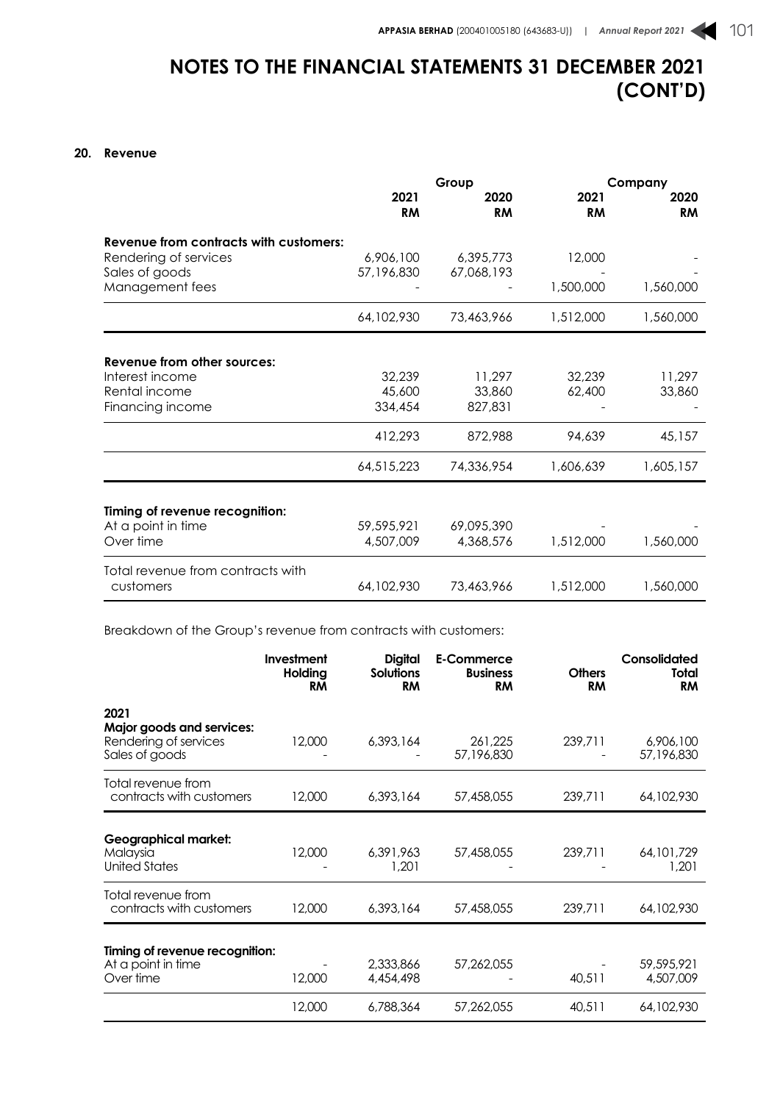### **20. Revenue**

|                                                                                     | Group                       |                             |                   | Company           |  |
|-------------------------------------------------------------------------------------|-----------------------------|-----------------------------|-------------------|-------------------|--|
|                                                                                     | 2021<br><b>RM</b>           | 2020<br><b>RM</b>           | 2021<br><b>RM</b> | 2020<br><b>RM</b> |  |
| Revenue from contracts with customers:<br>Rendering of services                     | 6,906,100                   | 6,395,773                   | 12,000            |                   |  |
| Sales of goods<br>Management fees                                                   | 57,196,830                  | 67,068,193                  | 1,500,000         | 1,560,000         |  |
|                                                                                     | 64,102,930                  | 73,463,966                  | 1,512,000         | 1,560,000         |  |
| Revenue from other sources:<br>Interest income<br>Rental income<br>Financing income | 32,239<br>45,600<br>334,454 | 11,297<br>33,860<br>827,831 | 32,239<br>62,400  | 11,297<br>33,860  |  |
|                                                                                     | 412,293                     | 872,988                     | 94,639            | 45,157            |  |
|                                                                                     | 64,515,223                  | 74,336,954                  | 1,606,639         | 1,605,157         |  |
| Timing of revenue recognition:<br>At a point in time                                | 59,595,921                  | 69,095,390                  |                   |                   |  |
| Over time                                                                           | 4,507,009                   | 4,368,576                   | 1,512,000         | 1,560,000         |  |
| Total revenue from contracts with<br>customers                                      | 64,102,930                  | 73,463,966                  | 1,512,000         | 1,560,000         |  |

Breakdown of the Group's revenue from contracts with customers:

|                                                                              | <b>Investment</b><br>Holding<br>RM | <b>Digital</b><br><b>Solutions</b><br><b>RM</b> | <b>E-Commerce</b><br><b>Business</b><br><b>RM</b> | <b>Others</b><br><b>RM</b> | Consolidated<br>Total<br><b>RM</b> |
|------------------------------------------------------------------------------|------------------------------------|-------------------------------------------------|---------------------------------------------------|----------------------------|------------------------------------|
| 2021<br>Major goods and services:<br>Rendering of services<br>Sales of goods | 12,000                             | 6,393,164                                       | 261,225<br>57,196,830                             | 239,711                    | 6,906,100<br>57,196,830            |
| Total revenue from<br>contracts with customers                               | 12,000                             | 6,393,164                                       | 57,458,055                                        | 239,711                    | 64,102,930                         |
| <b>Geographical market:</b><br>Malaysia<br><b>United States</b>              | 12,000                             | 6,391,963<br>1,201                              | 57,458,055                                        | 239,711                    | 64, 101, 729<br>1,201              |
| Total revenue from<br>contracts with customers                               | 12,000                             | 6,393,164                                       | 57,458,055                                        | 239,711                    | 64,102,930                         |
| Timing of revenue recognition:<br>At a point in time<br>Over time            | 12,000                             | 2,333,866<br>4,454,498                          | 57,262,055                                        | 40,511                     | 59,595,921<br>4,507,009            |
|                                                                              | 12,000                             | 6.788.364                                       | 57.262.055                                        | 40,511                     | 64,102,930                         |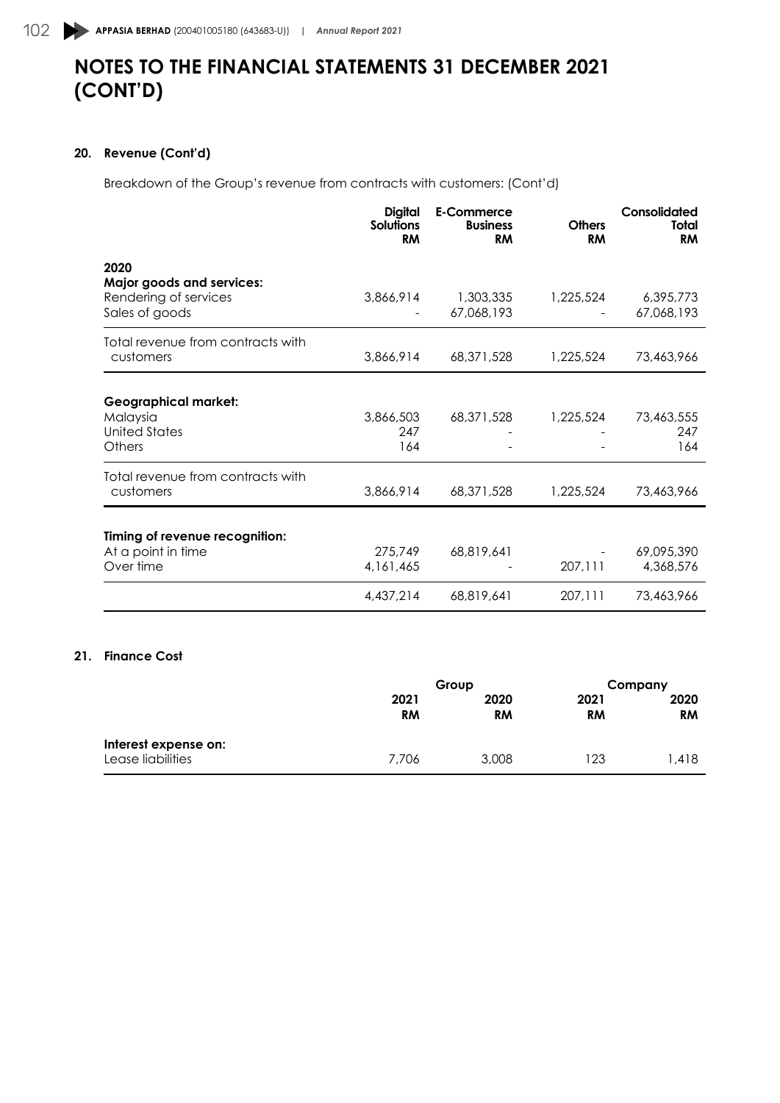### **20. Revenue (Cont'd)**

Breakdown of the Group's revenue from contracts with customers: (Cont'd)

|                                                                   | <b>Digital</b><br>Solutions<br><b>RM</b> | E-Commerce<br><b>Business</b><br><b>RM</b> | <b>Others</b><br><b>RM</b> | Consolidated<br><b>Total</b><br><b>RM</b> |
|-------------------------------------------------------------------|------------------------------------------|--------------------------------------------|----------------------------|-------------------------------------------|
| 2020<br><b>Major goods and services:</b><br>Rendering of services | 3,866,914                                | 1,303,335                                  | 1,225,524                  | 6,395,773                                 |
| Sales of goods                                                    |                                          | 67,068,193                                 |                            | 67,068,193                                |
| Total revenue from contracts with<br>customers                    | 3,866,914                                | 68,371,528                                 | 1,225,524                  | 73,463,966                                |
|                                                                   |                                          |                                            |                            |                                           |
| <b>Geographical market:</b>                                       |                                          |                                            |                            |                                           |
| Malaysia<br><b>United States</b>                                  | 3,866,503<br>247                         | 68, 371, 528                               | 1,225,524                  | 73,463,555<br>247                         |
| Others                                                            | 164                                      |                                            |                            | 164                                       |
| Total revenue from contracts with                                 |                                          |                                            |                            |                                           |
| customers                                                         | 3,866,914                                | 68, 371, 528                               | 1,225,524                  | 73,463,966                                |
| Timing of revenue recognition:                                    |                                          |                                            |                            |                                           |
| At a point in time                                                | 275,749                                  | 68,819,641                                 |                            | 69,095,390                                |
| Over time                                                         | 4,161,465                                |                                            | 207,111                    | 4,368,576                                 |
|                                                                   | 4,437,214                                | 68,819,641                                 | 207,111                    | 73,463,966                                |
|                                                                   |                                          |                                            |                            |                                           |

### **21. Finance Cost**

|                                           | Group             |                   |                   | Company           |  |
|-------------------------------------------|-------------------|-------------------|-------------------|-------------------|--|
|                                           | 2021<br><b>RM</b> | 2020<br><b>RM</b> | 2021<br><b>RM</b> | 2020<br><b>RM</b> |  |
| Interest expense on:<br>Lease liabilities | 7.706             | 3,008             | 123               | l.418             |  |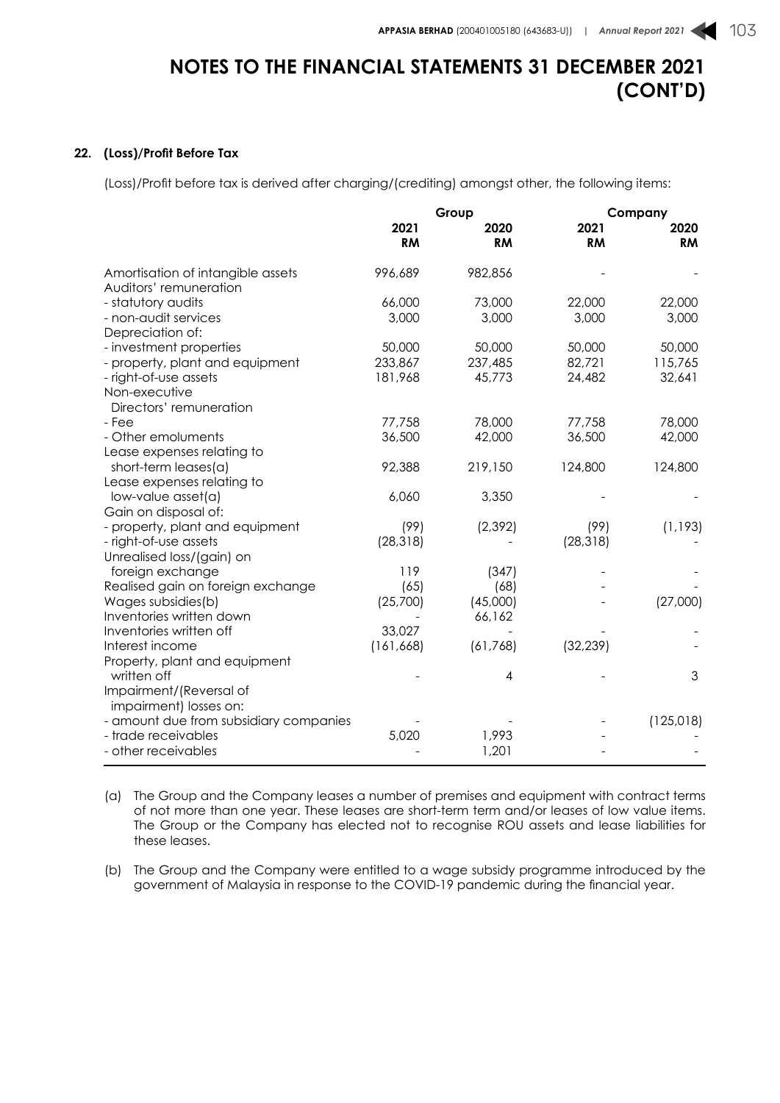#### **22. (Loss)/Profit Before Tax**

(Loss)/Profit before tax is derived after charging/(crediting) amongst other, the following items:

|                                                             |                   | Group             | Company           |                   |
|-------------------------------------------------------------|-------------------|-------------------|-------------------|-------------------|
|                                                             | 2021<br><b>RM</b> | 2020<br><b>RM</b> | 2021<br><b>RM</b> | 2020<br><b>RM</b> |
| Amortisation of intangible assets<br>Auditors' remuneration | 996,689           | 982,856           |                   |                   |
| - statutory audits                                          | 66,000            | 73,000            | 22,000            | 22,000            |
| - non-audit services                                        | 3,000             | 3,000             | 3,000             | 3,000             |
| Depreciation of:                                            |                   |                   |                   |                   |
| - investment properties                                     | 50,000            | 50,000            | 50,000            | 50,000            |
| - property, plant and equipment                             | 233,867           | 237,485           | 82,721            | 115,765           |
| - right-of-use assets                                       | 181,968           | 45,773            | 24,482            | 32,641            |
| Non-executive                                               |                   |                   |                   |                   |
| Directors' remuneration                                     |                   |                   |                   |                   |
| - Fee                                                       | 77,758            | 78,000            | 77,758            | 78,000            |
| - Other emoluments                                          | 36,500            | 42,000            | 36,500            | 42,000            |
| Lease expenses relating to                                  |                   |                   |                   |                   |
| short-term leases(a)                                        | 92,388            | 219,150           | 124,800           | 124,800           |
| Lease expenses relating to                                  |                   |                   |                   |                   |
| low-value asset(a)                                          | 6,060             | 3,350             |                   |                   |
| Gain on disposal of:                                        |                   |                   |                   |                   |
| - property, plant and equipment                             | (99)              | (2, 392)          | (99)              | (1, 193)          |
| - right-of-use assets                                       | (28, 318)         |                   | (28, 318)         |                   |
| Unrealised loss/(gain) on                                   |                   |                   |                   |                   |
| foreign exchange                                            | 119               | (347)             |                   |                   |
| Realised gain on foreign exchange                           | (65)              | (68)              |                   |                   |
| Wages subsidies(b)                                          | (25,700)          | (45,000)          |                   | (27,000)          |
| Inventories written down                                    |                   | 66,162            |                   |                   |
| Inventories written off                                     | 33,027            |                   |                   |                   |
| Interest income                                             | (161, 668)        | (61, 768)         | (32, 239)         |                   |
| Property, plant and equipment                               |                   |                   |                   |                   |
| written off                                                 |                   | 4                 |                   | 3                 |
| Impairment/(Reversal of                                     |                   |                   |                   |                   |
| impairment) losses on:                                      |                   |                   |                   |                   |
| - amount due from subsidiary companies                      |                   |                   |                   | (125, 018)        |
| - trade receivables                                         | 5,020             | 1,993             |                   |                   |
| - other receivables                                         |                   | 1,201             |                   |                   |

(a) The Group and the Company leases a number of premises and equipment with contract terms of not more than one year. These leases are short-term term and/or leases of low value items. The Group or the Company has elected not to recognise ROU assets and lease liabilities for these leases.

(b) The Group and the Company were entitled to a wage subsidy programme introduced by the government of Malaysia in response to the COVID-19 pandemic during the financial year.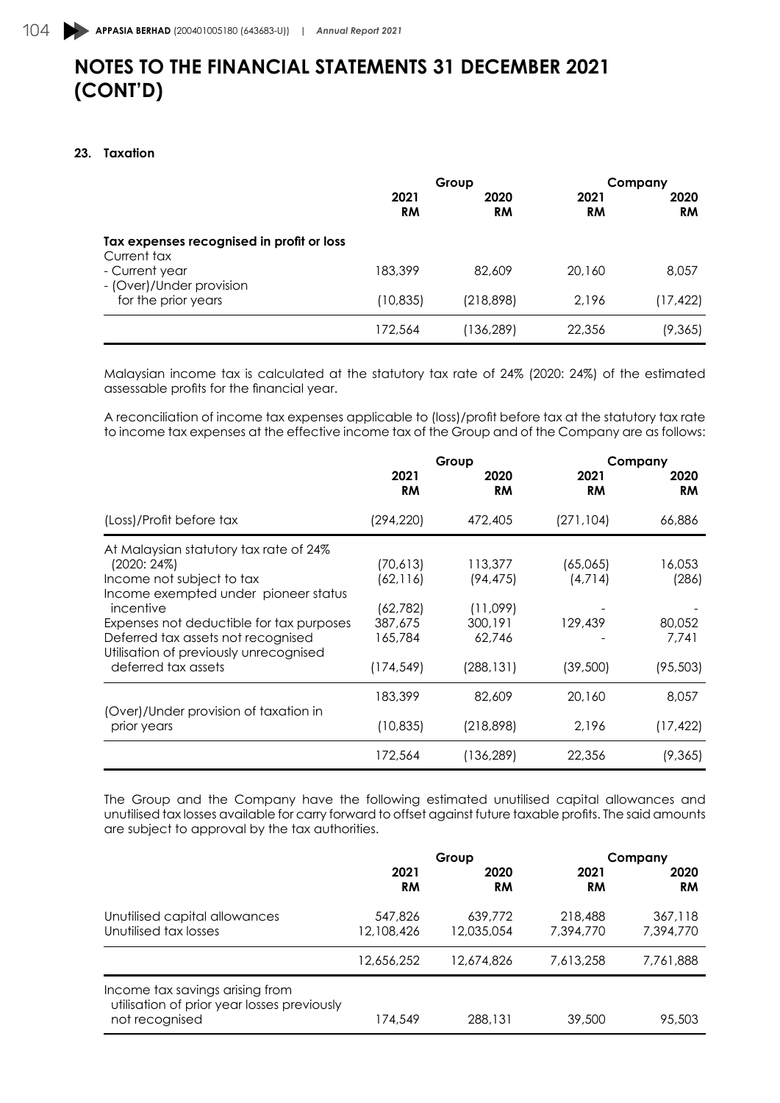### **23. Taxation**

|                                                          | Group             |            | Company    |                   |
|----------------------------------------------------------|-------------------|------------|------------|-------------------|
|                                                          | 2021<br><b>RM</b> | 2020<br>RM | 2021<br>RM | 2020<br><b>RM</b> |
| Tax expenses recognised in profit or loss<br>Current tax |                   |            |            |                   |
| - Current year                                           | 183,399           | 82.609     | 20,160     | 8,057             |
| - (Over)/Under provision<br>for the prior years          | (10, 835)         | (218, 898) | 2.196      | (17, 422)         |
|                                                          | 172,564           | (136,289)  | 22,356     | (9,365)           |

Malaysian income tax is calculated at the statutory tax rate of 24% (2020: 24%) of the estimated assessable profits for the financial year.

A reconciliation of income tax expenses applicable to (loss)/profit before tax at the statutory tax rate to income tax expenses at the effective income tax of the Group and of the Company are as follows:

|                                                                              | Group             |            | Company           |                   |
|------------------------------------------------------------------------------|-------------------|------------|-------------------|-------------------|
|                                                                              | 2021<br><b>RM</b> | 2020<br>RM | 2021<br><b>RM</b> | 2020<br><b>RM</b> |
| (Loss)/Profit before tax                                                     | (294, 220)        | 472,405    | (271,104)         | 66,886            |
| At Malaysian statutory tax rate of 24%                                       |                   |            |                   |                   |
| (2020: 24%)                                                                  | (70,613)          | 113,377    | (65,065)          | 16,053            |
| Income not subject to tax                                                    | (62, 116)         | (94, 475)  | (4,714)           | (286)             |
| Income exempted under pioneer status                                         |                   |            |                   |                   |
| incentive                                                                    | (62, 782)         | (11,099)   |                   |                   |
| Expenses not deductible for tax purposes                                     | 387,675           | 300,191    | 129,439           | 80,052            |
| Deferred tax assets not recognised<br>Utilisation of previously unrecognised | 165,784           | 62.746     |                   | 7.741             |
| deferred tax assets                                                          | (174, 549)        | (288, 131) | (39,500)          | (95, 503)         |
|                                                                              | 183,399           | 82,609     | 20,160            | 8.057             |
| (Over)/Under provision of taxation in<br>prior years                         | (10, 835)         | (218,898)  | 2,196             | (17, 422)         |
|                                                                              | 172,564           | (136,289)  | 22,356            | (9,365)           |

The Group and the Company have the following estimated unutilised capital allowances and unutilised tax losses available for carry forward to offset against future taxable profits. The said amounts are subject to approval by the tax authorities.

|                                                                                                  | Group                 |                       |                      | Company              |  |
|--------------------------------------------------------------------------------------------------|-----------------------|-----------------------|----------------------|----------------------|--|
|                                                                                                  | 2021<br><b>RM</b>     | 2020<br><b>RM</b>     | 2021<br><b>RM</b>    | 2020<br><b>RM</b>    |  |
| Unutilised capital allowances<br>Unutilised tax losses                                           | 547,826<br>12,108,426 | 639,772<br>12,035,054 | 218,488<br>7,394,770 | 367,118<br>7.394.770 |  |
|                                                                                                  | 12,656,252            | 12,674,826            | 7.613.258            | 7.761.888            |  |
| Income tax savings arising from<br>utilisation of prior year losses previously<br>not recognised | 174,549               | 288,131               | 39,500               | 95,503               |  |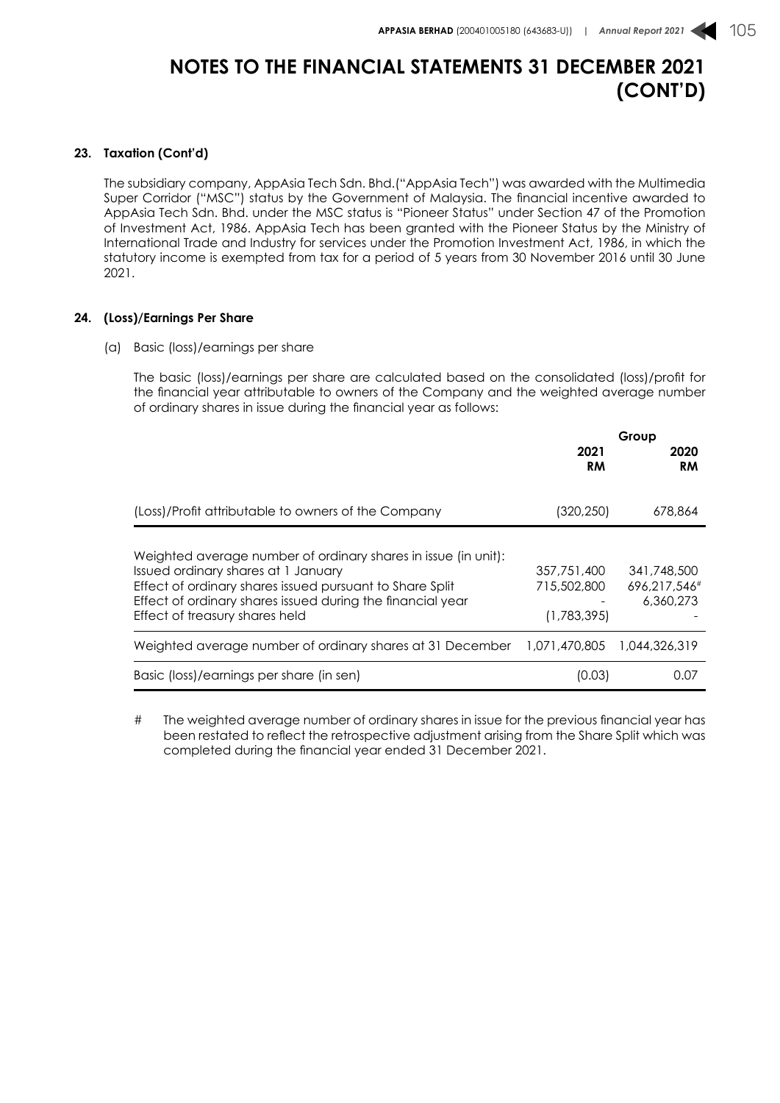#### **23. Taxation (Cont'd)**

The subsidiary company, AppAsia Tech Sdn. Bhd.("AppAsia Tech") was awarded with the Multimedia Super Corridor ("MSC") status by the Government of Malaysia. The financial incentive awarded to AppAsia Tech Sdn. Bhd. under the MSC status is "Pioneer Status" under Section 47 of the Promotion of Investment Act, 1986. AppAsia Tech has been granted with the Pioneer Status by the Ministry of International Trade and Industry for services under the Promotion Investment Act, 1986, in which the statutory income is exempted from tax for a period of 5 years from 30 November 2016 until 30 June 2021.

### **24. (Loss)/Earnings Per Share**

(a) Basic (loss)/earnings per share

The basic (loss)/earnings per share are calculated based on the consolidated (loss)/profit for the financial year attributable to owners of the Company and the weighted average number of ordinary shares in issue during the financial year as follows:

|                                                                                                                                                                                                                                                                   | Group                                     |                                          |
|-------------------------------------------------------------------------------------------------------------------------------------------------------------------------------------------------------------------------------------------------------------------|-------------------------------------------|------------------------------------------|
|                                                                                                                                                                                                                                                                   | 2021<br>RM                                | 2020<br><b>RM</b>                        |
| (Loss)/Profit attributable to owners of the Company                                                                                                                                                                                                               | (320,250)                                 | 678.864                                  |
| Weighted average number of ordinary shares in issue (in unit):<br>Issued ordinary shares at 1 January<br>Effect of ordinary shares issued pursuant to Share Split<br>Effect of ordinary shares issued during the financial year<br>Effect of treasury shares held | 357,751,400<br>715,502,800<br>(1,783,395) | 341,748,500<br>696.217.546#<br>6,360,273 |
| Weighted average number of ordinary shares at 31 December                                                                                                                                                                                                         | 1.071.470.805                             | 1,044,326,319                            |
| Basic (loss)/earnings per share (in sen)                                                                                                                                                                                                                          | (0.03)                                    | 0.07                                     |

# The weighted average number of ordinary shares in issue for the previous financial year has been restated to reflect the retrospective adjustment arising from the Share Split which was completed during the financial year ended 31 December 2021.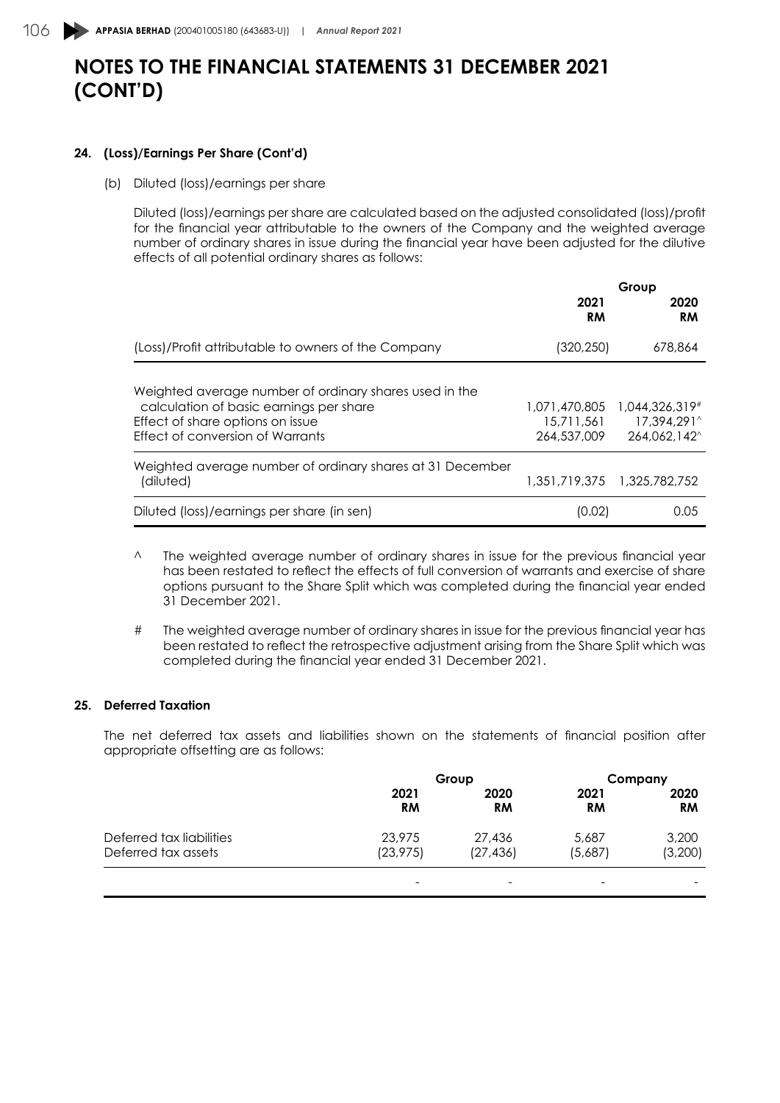### **24. (Loss)/Earnings Per Share (Cont'd)**

(b) Diluted (loss)/earnings per share

Diluted (loss)/earnings per share are calculated based on the adjusted consolidated (loss)/profit for the financial year attributable to the owners of the Company and the weighted average number of ordinary shares in issue during the financial year have been adjusted for the dilutive effects of all potential ordinary shares as follows:

|                                                                                                                                                                           | Group                                      |                                               |
|---------------------------------------------------------------------------------------------------------------------------------------------------------------------------|--------------------------------------------|-----------------------------------------------|
|                                                                                                                                                                           | 2021<br><b>RM</b>                          | 2020<br><b>RM</b>                             |
| (Loss)/Profit attributable to owners of the Company                                                                                                                       | (320, 250)                                 | 678,864                                       |
| Weighted average number of ordinary shares used in the<br>calculation of basic earnings per share<br>Effect of share options on issue<br>Effect of conversion of Warrants | 1,071,470,805<br>15,711,561<br>264,537,009 | 1,044,326,319#<br>17,394,291^<br>264.062.142^ |
| Weighted average number of ordinary shares at 31 December<br>(diluted)                                                                                                    |                                            | 1.351.719.375 1.325.782.752                   |
| Diluted (loss)/earnings per share (in sen)                                                                                                                                | (0.02)                                     | 0.05                                          |

- ^ The weighted average number of ordinary shares in issue for the previous financial year has been restated to reflect the effects of full conversion of warrants and exercise of share options pursuant to the Share Split which was completed during the financial year ended 31 December 2021.
- # The weighted average number of ordinary shares in issue for the previous financial year has been restated to reflect the retrospective adjustment arising from the Share Split which was completed during the financial year ended 31 December 2021.

### **25. Deferred Taxation**

The net deferred tax assets and liabilities shown on the statements of financial position after appropriate offsetting are as follows:

|                          | Group      |                   | Company           |                   |
|--------------------------|------------|-------------------|-------------------|-------------------|
|                          | 2021<br>RM | 2020<br><b>RM</b> | 2021<br><b>RM</b> | 2020<br><b>RM</b> |
| Deferred tax liabilities | 23,975     | 27,436            | 5,687             | 3,200             |
| Deferred tax assets      | (23, 975)  | (27, 436)         | (5,687)           | (3,200)           |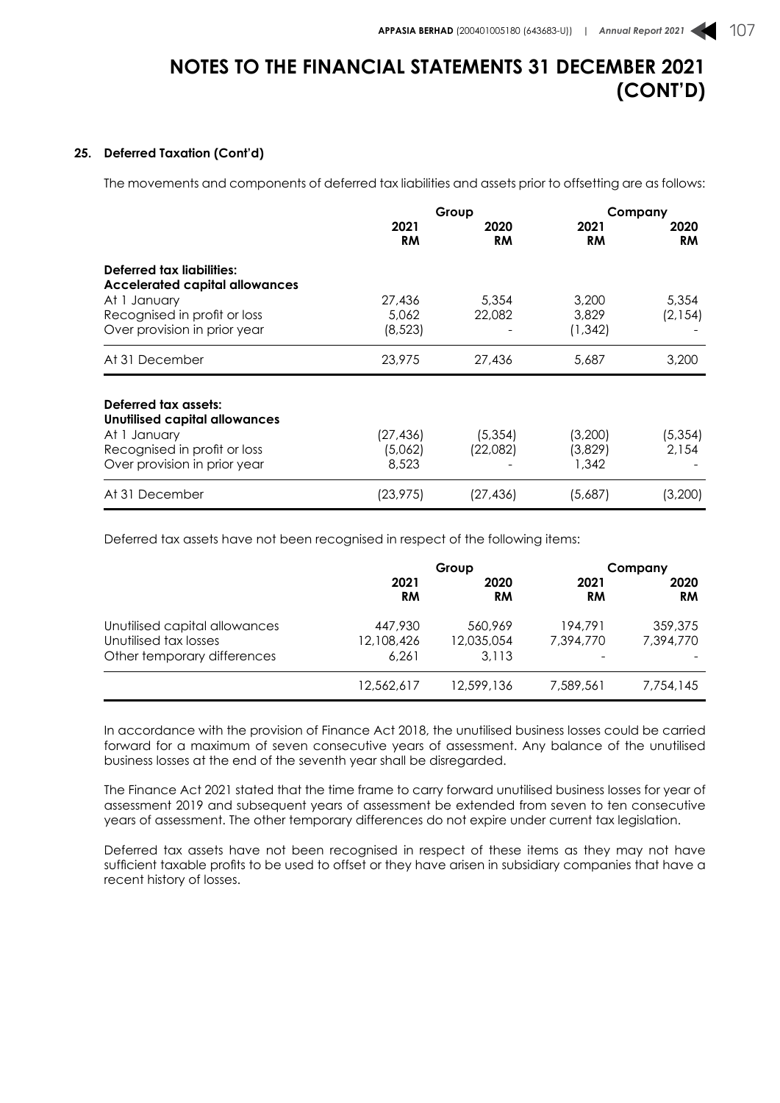### **25. Deferred Taxation (Cont'd)**

The movements and components of deferred tax liabilities and assets prior to offsetting are as follows:

|                                |           | Group     | Company   |           |
|--------------------------------|-----------|-----------|-----------|-----------|
|                                | 2021      | 2020      | 2021      | 2020      |
|                                | <b>RM</b> | <b>RM</b> | <b>RM</b> | <b>RM</b> |
| Deferred tax liabilities:      |           |           |           |           |
| Accelerated capital allowances |           |           |           |           |
| At 1 January                   | 27,436    | 5,354     | 3,200     | 5,354     |
| Recognised in profit or loss   | 5.062     | 22,082    | 3,829     | (2, 154)  |
| Over provision in prior year   | (8, 523)  |           | (1, 342)  |           |
| At 31 December                 | 23,975    | 27,436    | 5,687     | 3,200     |
| Deferred tax assets:           |           |           |           |           |
| Unutilised capital allowances  |           |           |           |           |
| At 1 January                   | (27,436)  | (5,354)   | (3,200)   | (5, 354)  |
| Recognised in profit or loss   | (5,062)   | (22,082)  | (3,829)   | 2.154     |
| Over provision in prior year   | 8,523     |           | 1,342     |           |
|                                |           |           |           |           |

Deferred tax assets have not been recognised in respect of the following items:

|                                                                                       | Group                          |                                | Company              |                      |
|---------------------------------------------------------------------------------------|--------------------------------|--------------------------------|----------------------|----------------------|
|                                                                                       | 2021<br>RM                     | 2020<br>RM                     | 2021<br><b>RM</b>    | 2020<br><b>RM</b>    |
| Unutilised capital allowances<br>Unutilised tax losses<br>Other temporary differences | 447,930<br>12,108,426<br>6.261 | 560.969<br>12,035,054<br>3.113 | 194,791<br>7,394,770 | 359,375<br>7.394.770 |
|                                                                                       | 12,562,617                     | 12.599.136                     | 7.589.561            | 7.754.145            |

In accordance with the provision of Finance Act 2018, the unutilised business losses could be carried forward for a maximum of seven consecutive years of assessment. Any balance of the unutilised business losses at the end of the seventh year shall be disregarded.

The Finance Act 2021 stated that the time frame to carry forward unutilised business losses for year of assessment 2019 and subsequent years of assessment be extended from seven to ten consecutive years of assessment. The other temporary differences do not expire under current tax legislation.

Deferred tax assets have not been recognised in respect of these items as they may not have sufficient taxable profits to be used to offset or they have arisen in subsidiary companies that have a recent history of losses.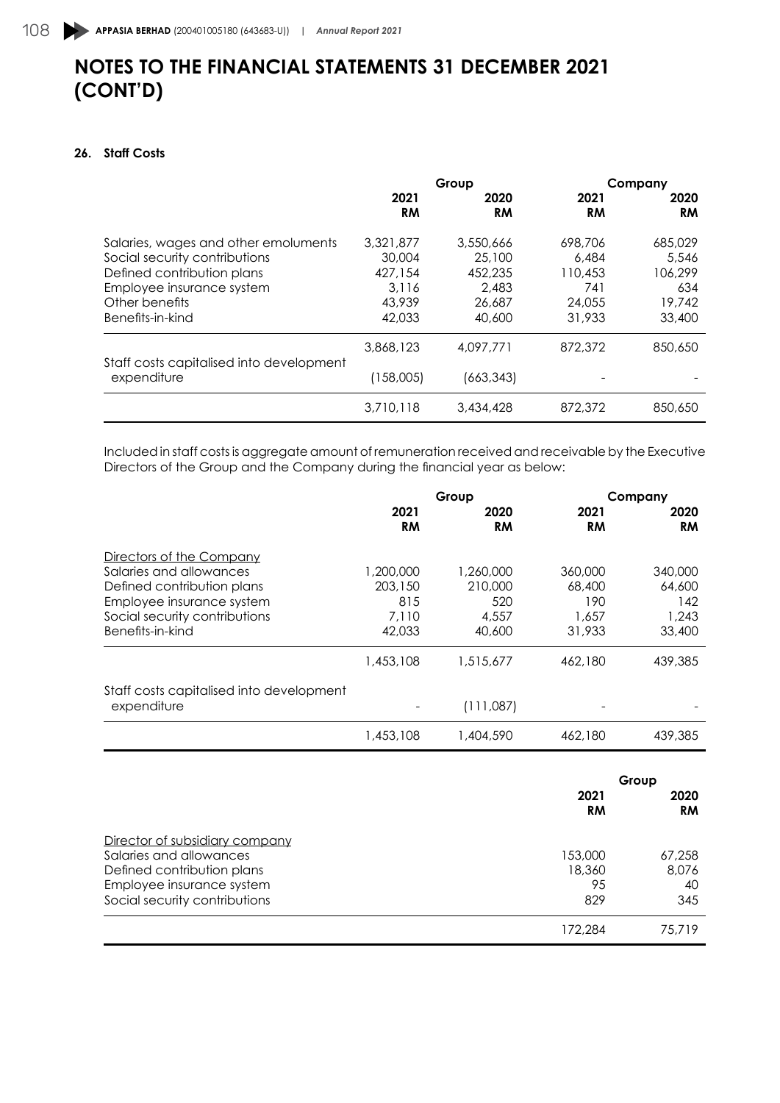### **26. Staff Costs**

|                                                         | Group             |            | Company    |                   |
|---------------------------------------------------------|-------------------|------------|------------|-------------------|
|                                                         | 2021<br><b>RM</b> | 2020<br>RM | 2021<br>RM | 2020<br><b>RM</b> |
| Salaries, wages and other emoluments                    | 3,321,877         | 3,550,666  | 698,706    | 685,029           |
| Social security contributions                           | 30,004            | 25,100     | 6,484      | 5.546             |
| Defined contribution plans                              | 427,154           | 452.235    | 110,453    | 106.299           |
| Employee insurance system                               | 3.116             | 2.483      | 741        | 634               |
| Other benefits                                          | 43,939            | 26,687     | 24,055     | 19,742            |
| Benefits-in-kind                                        | 42,033            | 40,600     | 31,933     | 33,400            |
|                                                         | 3,868,123         | 4,097,771  | 872,372    | 850,650           |
| Staff costs capitalised into development<br>expenditure | (158,005)         | (663, 343) |            |                   |
|                                                         | 3,710,118         | 3,434,428  | 872,372    | 850,650           |

Included in staff costs is aggregate amount of remuneration received and receivable by the Executive Directors of the Group and the Company during the financial year as below:

|                                          | Group             |                   | Company           |                   |
|------------------------------------------|-------------------|-------------------|-------------------|-------------------|
|                                          | 2021<br><b>RM</b> | 2020<br><b>RM</b> | 2021<br><b>RM</b> | 2020<br><b>RM</b> |
| Directors of the Company                 |                   |                   |                   |                   |
| Salaries and allowances                  | 1.200.000         | 1,260,000         | 360,000           | 340,000           |
| Defined contribution plans               | 203,150           | 210,000           | 68,400            | 64,600            |
| Employee insurance system                | 815               | 520               | 190               | 142               |
| Social security contributions            | 7.110             | 4,557             | 1,657             | 1,243             |
| Benefits-in-kind                         | 42,033            | 40,600            | 31,933            | 33,400            |
|                                          | 1,453,108         | 1.515.677         | 462,180           | 439,385           |
| Staff costs capitalised into development |                   |                   |                   |                   |
| expenditure                              |                   | (111,087)         |                   |                   |
|                                          | 1,453,108         | 1,404,590         | 462,180           | 439,385           |

|                                | Group      |                   |
|--------------------------------|------------|-------------------|
|                                | 2021<br>RM | 2020<br><b>RM</b> |
| Director of subsidiary company |            |                   |
| Salaries and allowances        | 153,000    | 67,258            |
| Defined contribution plans     | 18,360     | 8,076             |
| Employee insurance system      | 95         | 40                |
| Social security contributions  | 829        | 345               |
|                                | 172.284    | 75,719            |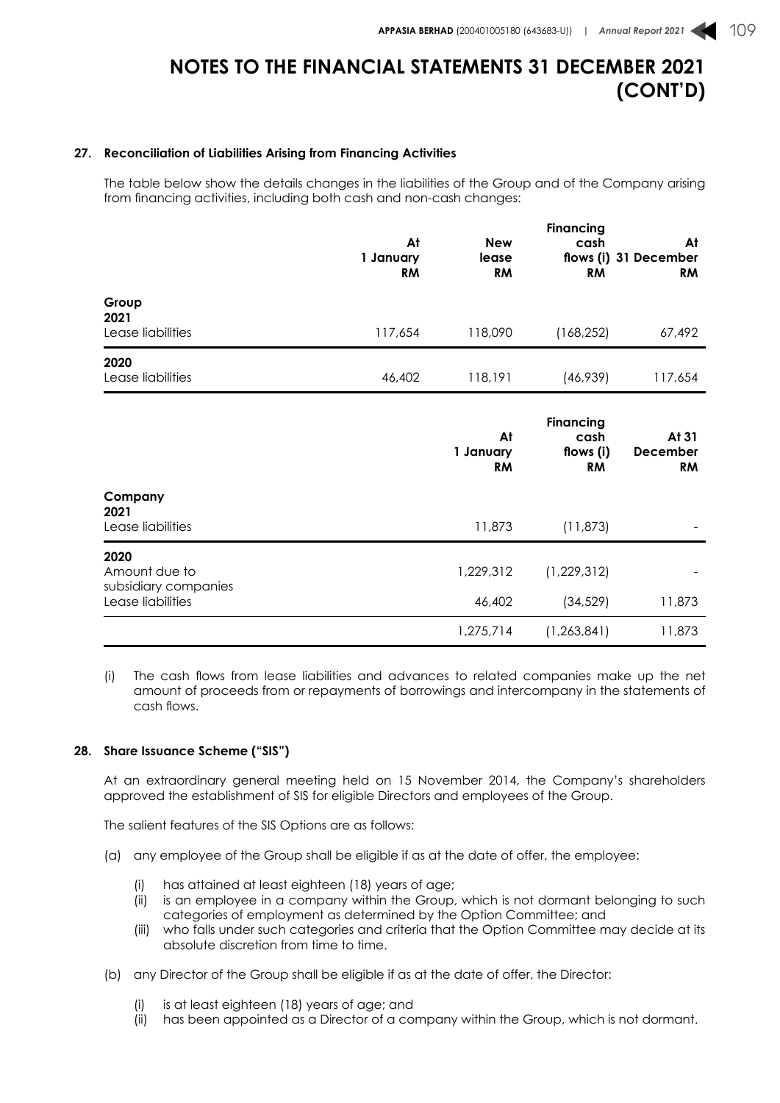#### **27. Reconciliation of Liabilities Arising from Financing Activities**

The table below show the details changes in the liabilities of the Group and of the Company arising from financing activities, including both cash and non-cash changes:

|                                               | At<br>1 January<br><b>RM</b> | <b>New</b><br>lease<br><b>RM</b> | <b>Financing</b><br>cash<br><b>RM</b>              | At<br>flows (i) 31 December<br><b>RM</b> |
|-----------------------------------------------|------------------------------|----------------------------------|----------------------------------------------------|------------------------------------------|
| Group<br>2021<br>Lease liabilities            | 117,654                      | 118,090                          | (168, 252)                                         | 67,492                                   |
| 2020<br>Lease liabilities                     | 46,402                       | 118,191                          | (46, 939)                                          | 117,654                                  |
|                                               |                              | At<br>1 January<br><b>RM</b>     | <b>Financing</b><br>cash<br>flows (i)<br><b>RM</b> | At 31<br>December<br><b>RM</b>           |
| Company<br>2021<br>Lease liabilities          |                              | 11,873                           | (11, 873)                                          |                                          |
| 2020<br>Amount due to<br>subsidiary companies |                              | 1,229,312                        | (1, 229, 312)                                      |                                          |
| Lease liabilities                             |                              | 46,402                           | (34, 529)                                          | 11,873                                   |
|                                               |                              | 1,275,714                        | (1, 263, 841)                                      | 11,873                                   |

(i) The cash flows from lease liabilities and advances to related companies make up the net amount of proceeds from or repayments of borrowings and intercompany in the statements of cash flows.

#### **28. Share Issuance Scheme ("SIS")**

At an extraordinary general meeting held on 15 November 2014, the Company's shareholders approved the establishment of SIS for eligible Directors and employees of the Group.

The salient features of the SIS Options are as follows:

- (a) any employee of the Group shall be eligible if as at the date of offer, the employee:
	- (i) has attained at least eighteen (18) years of age;
	- (ii) is an employee in a company within the Group, which is not dormant belonging to such categories of employment as determined by the Option Committee; and
	- (iii) who falls under such categories and criteria that the Option Committee may decide at its absolute discretion from time to time.
- (b) any Director of the Group shall be eligible if as at the date of offer, the Director:
	- (i) is at least eighteen (18) years of age; and
	- (ii) has been appointed as a Director of a company within the Group, which is not dormant.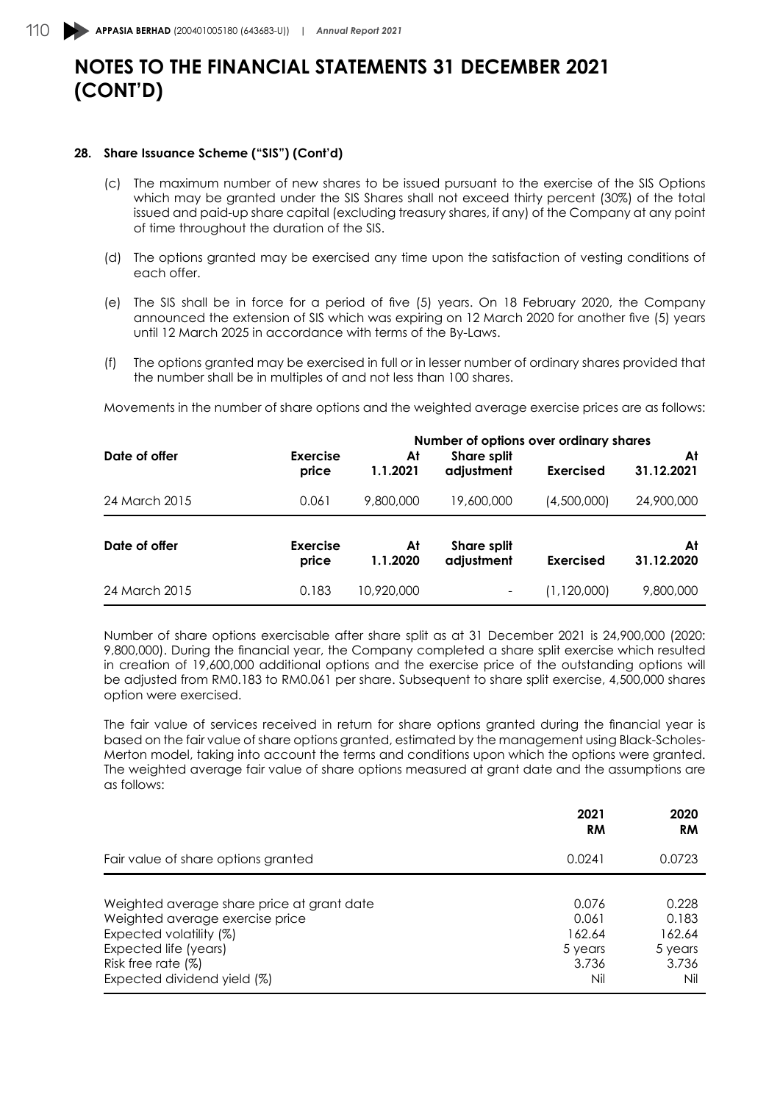#### **28. Share Issuance Scheme ("SIS") (Cont'd)**

- (c) The maximum number of new shares to be issued pursuant to the exercise of the SIS Options which may be granted under the SIS Shares shall not exceed thirty percent (30%) of the total issued and paid-up share capital (excluding treasury shares, if any) of the Company at any point of time throughout the duration of the SIS.
- (d) The options granted may be exercised any time upon the satisfaction of vesting conditions of each offer.
- (e) The SIS shall be in force for a period of five (5) years. On 18 February 2020, the Company announced the extension of SIS which was expiring on 12 March 2020 for another five (5) years until 12 March 2025 in accordance with terms of the By-Laws.
- (f) The options granted may be exercised in full or in lesser number of ordinary shares provided that the number shall be in multiples of and not less than 100 shares.

Movements in the number of share options and the weighted average exercise prices are as follows:

|               |                          |                | Number of options over ordinary shares |                  |                  |
|---------------|--------------------------|----------------|----------------------------------------|------------------|------------------|
| Date of offer | <b>Exercise</b><br>price | At<br>1.1.2021 | <b>Share split</b><br>adjustment       | Exercised        | At<br>31.12.2021 |
| 24 March 2015 | 0.061                    | 9,800,000      | 19,600,000                             | (4,500,000)      | 24,900,000       |
| Date of offer | <b>Exercise</b><br>price | At<br>1.1.2020 | <b>Share split</b><br>adjustment       | <b>Exercised</b> | At<br>31.12.2020 |
| 24 March 2015 | 0.183                    | 10,920,000     | -                                      | (1,120,000)      | 9,800,000        |

Number of share options exercisable after share split as at 31 December 2021 is 24,900,000 (2020: 9,800,000). During the financial year, the Company completed a share split exercise which resulted in creation of 19,600,000 additional options and the exercise price of the outstanding options will be adjusted from RM0.183 to RM0.061 per share. Subsequent to share split exercise, 4,500,000 shares option were exercised.

The fair value of services received in return for share options granted during the financial year is based on the fair value of share options granted, estimated by the management using Black-Scholes-Merton model, taking into account the terms and conditions upon which the options were granted. The weighted average fair value of share options measured at grant date and the assumptions are as follows:

|                                                                                                                                                                                        | 2021<br><b>RM</b>                                   | 2020<br><b>RM</b>                                   |
|----------------------------------------------------------------------------------------------------------------------------------------------------------------------------------------|-----------------------------------------------------|-----------------------------------------------------|
| Fair value of share options granted                                                                                                                                                    | 0.0241                                              | 0.0723                                              |
| Weighted average share price at grant date<br>Weighted average exercise price<br>Expected volatility (%)<br>Expected life (years)<br>Risk free rate (%)<br>Expected dividend yield (%) | 0.076<br>0.061<br>162.64<br>5 years<br>3.736<br>Nil | 0.228<br>0.183<br>162.64<br>5 years<br>3.736<br>Nil |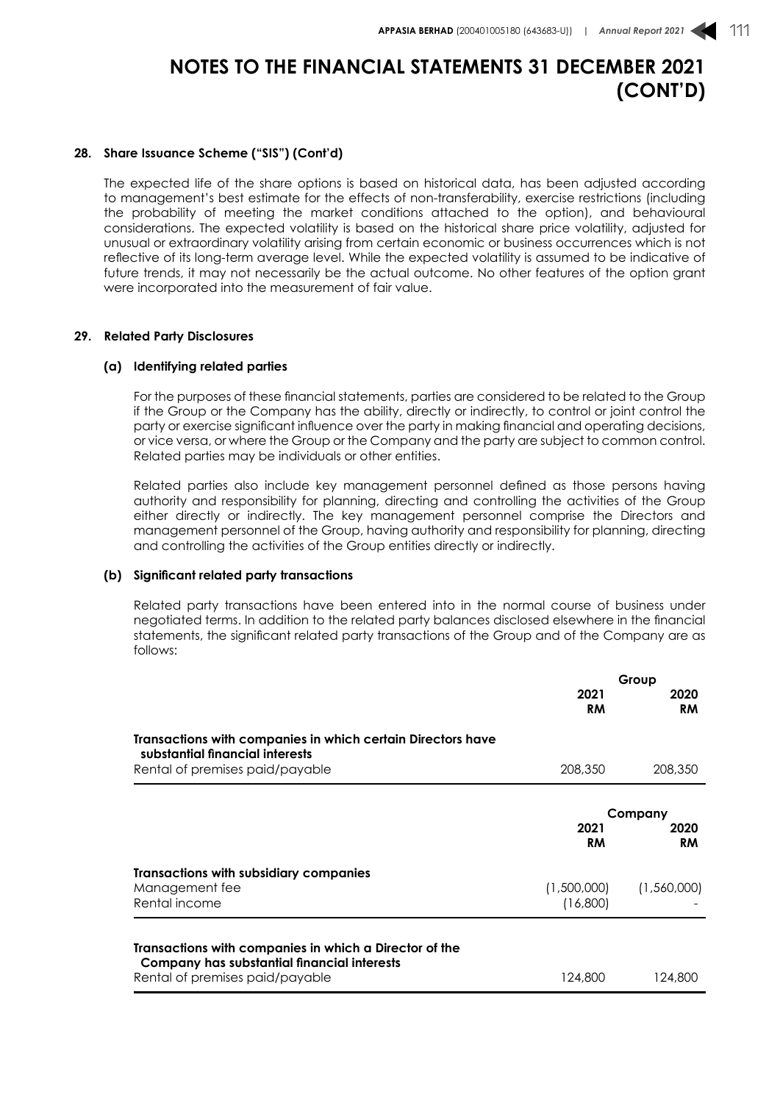#### **28. Share Issuance Scheme ("SIS") (Cont'd)**

The expected life of the share options is based on historical data, has been adjusted according to management's best estimate for the effects of non-transferability, exercise restrictions (including the probability of meeting the market conditions attached to the option), and behavioural considerations. The expected volatility is based on the historical share price volatility, adjusted for unusual or extraordinary volatility arising from certain economic or business occurrences which is not reflective of its long-term average level. While the expected volatility is assumed to be indicative of future trends, it may not necessarily be the actual outcome. No other features of the option grant were incorporated into the measurement of fair value.

#### **29. Related Party Disclosures**

#### **(a) Identifying related parties**

For the purposes of these financial statements, parties are considered to be related to the Group if the Group or the Company has the ability, directly or indirectly, to control or joint control the party or exercise significant influence over the party in making financial and operating decisions, or vice versa, or where the Group or the Company and the party are subject to common control. Related parties may be individuals or other entities.

Related parties also include key management personnel defined as those persons having authority and responsibility for planning, directing and controlling the activities of the Group either directly or indirectly. The key management personnel comprise the Directors and management personnel of the Group, having authority and responsibility for planning, directing and controlling the activities of the Group entities directly or indirectly.

#### **(b) Significant related party transactions**

Related party transactions have been entered into in the normal course of business under negotiated terms. In addition to the related party balances disclosed elsewhere in the financial statements, the significant related party transactions of the Group and of the Company are as follows:

|                                                                                                                                          | 2021<br><b>RM</b>       | Group<br>2020<br><b>RM</b>   |
|------------------------------------------------------------------------------------------------------------------------------------------|-------------------------|------------------------------|
| Transactions with companies in which certain Directors have<br>substantial financial interests<br>Rental of premises paid/payable        | 208,350                 | 208,350                      |
|                                                                                                                                          | 2021<br><b>RM</b>       | Company<br>2020<br><b>RM</b> |
| Transactions with subsidiary companies<br>Management fee<br>Rental income                                                                | (1,500,000)<br>(16,800) | (1,560,000)                  |
| Transactions with companies in which a Director of the<br>Company has substantial financial interests<br>Rental of premises paid/payable | 124,800                 | 124,800                      |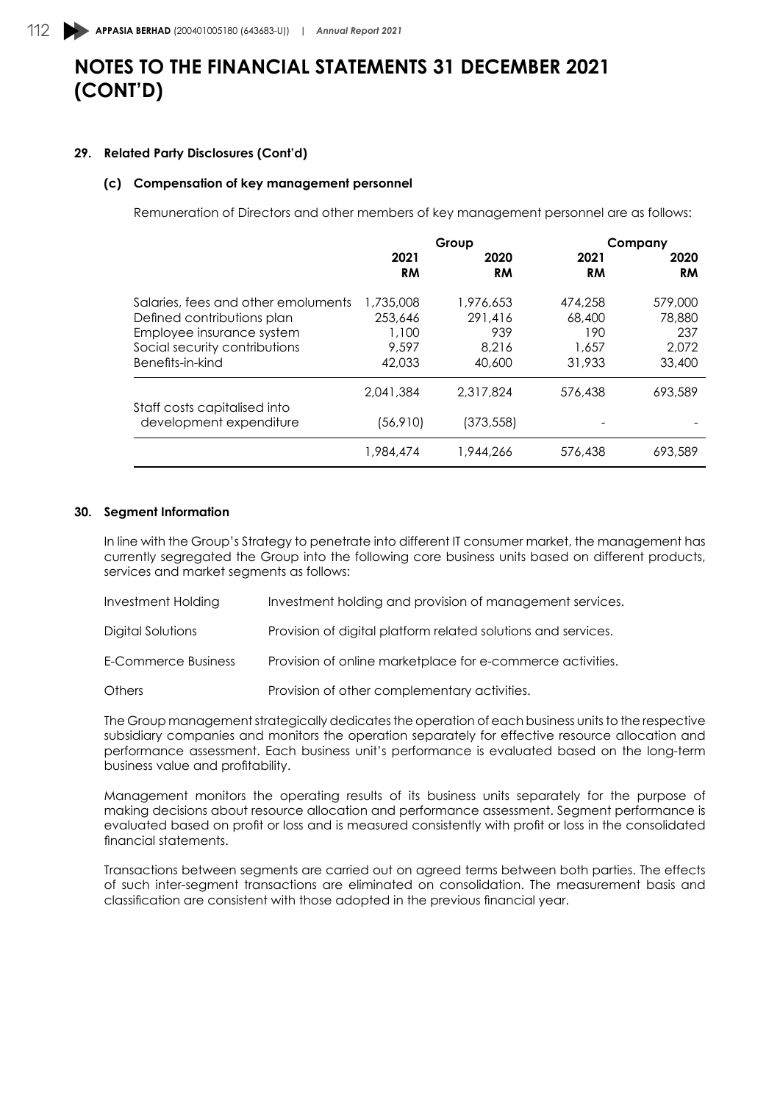#### **29. Related Party Disclosures (Cont'd)**

#### **(c) Compensation of key management personnel**

Remuneration of Directors and other members of key management personnel are as follows:

|                                     |                   | Group             |                   | Company           |
|-------------------------------------|-------------------|-------------------|-------------------|-------------------|
|                                     | 2021<br><b>RM</b> | 2020<br><b>RM</b> | 2021<br><b>RM</b> | 2020<br><b>RM</b> |
| Salaries, fees and other emoluments | 1,735,008         | 1,976,653         | 474,258           | 579,000           |
| Defined contributions plan          | 253,646           | 291,416           | 68,400            | 78,880            |
| Employee insurance system           | 1,100             | 939               | 190               | 237               |
| Social security contributions       | 9.597             | 8.216             | 1,657             | 2,072             |
| Benefits-in-kind                    | 42,033            | 40,600            | 31,933            | 33,400            |
| Staff costs capitalised into        | 2.041.384         | 2,317,824         | 576,438           | 693,589           |
| development expenditure             | (56, 910)         | (373, 558)        |                   |                   |
|                                     | 1,984,474         | 1,944,266         | 576,438           | 693.589           |

#### **30. Segment Information**

In line with the Group's Strategy to penetrate into different IT consumer market, the management has currently segregated the Group into the following core business units based on different products, services and market segments as follows:

| <b>Investment Holding</b> | Investment holding and provision of management services.      |
|---------------------------|---------------------------------------------------------------|
| Digital Solutions         | Provision of digital platform related solutions and services. |
| E-Commerce Business       | Provision of online marketplace for e-commerce activities.    |
| <b>Others</b>             | Provision of other complementary activities.                  |

The Group management strategically dedicates the operation of each business units to the respective subsidiary companies and monitors the operation separately for effective resource allocation and performance assessment. Each business unit's performance is evaluated based on the long-term business value and profitability.

Management monitors the operating results of its business units separately for the purpose of making decisions about resource allocation and performance assessment. Segment performance is evaluated based on profit or loss and is measured consistently with profit or loss in the consolidated financial statements.

Transactions between segments are carried out on agreed terms between both parties. The effects of such inter-segment transactions are eliminated on consolidation. The measurement basis and classification are consistent with those adopted in the previous financial year.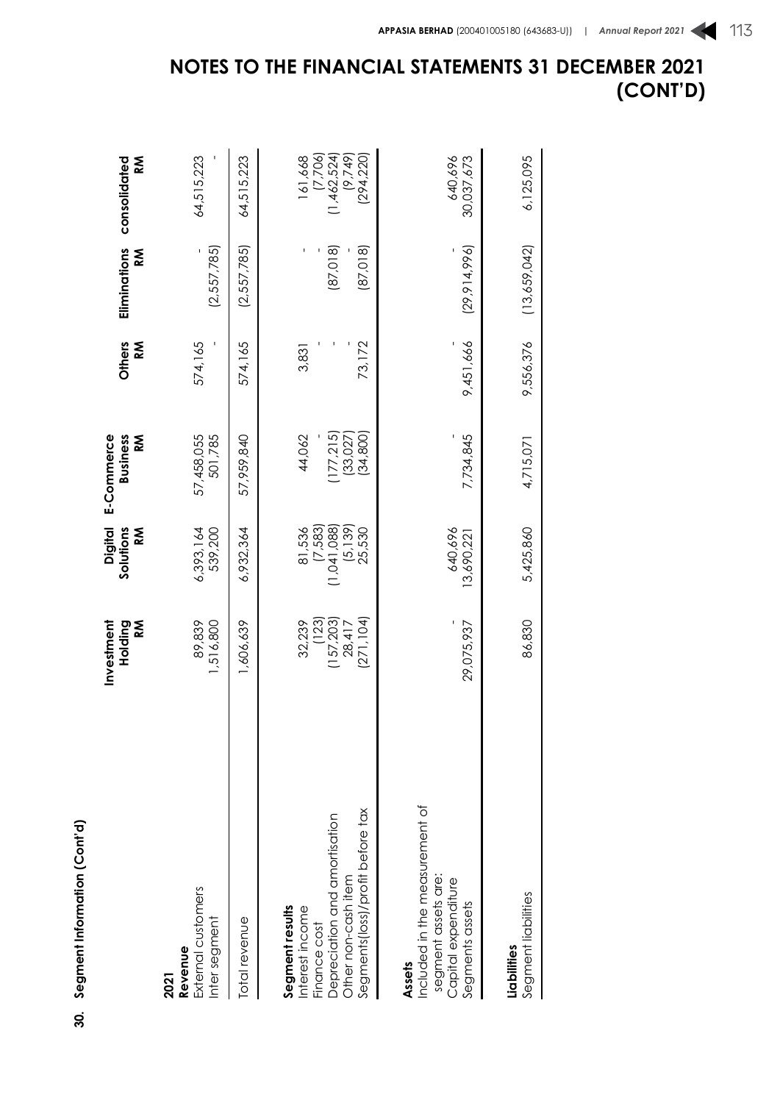| ļ |   |
|---|---|
|   | ٦ |
|   |   |
|   |   |
|   |   |
|   |   |
|   |   |
|   |   |
|   |   |
|   |   |
|   |   |
|   |   |
|   |   |
|   |   |
|   |   |
|   |   |
|   |   |
|   |   |
|   |   |
|   |   |
|   |   |
|   |   |
|   |   |
|   |   |
|   |   |
|   |   |
|   |   |
|   |   |
|   |   |
|   |   |
|   |   |
|   |   |
|   |   |
|   |   |
|   |   |
|   |   |
|   |   |
|   |   |
|   |   |
|   | ١ |
|   |   |
|   |   |
|   |   |
|   |   |
|   |   |
|   |   |
|   |   |
|   |   |
|   | ļ |
| š |   |
|   |   |
|   |   |

|                                                                                                                                                | Investment<br>Holding<br>ΚÑ                          | <b>Digital</b><br>Solutions<br>ΚÑ                          | E-Commerce<br><b>Business</b><br>Š          | Others<br>K     | Eliminations<br>Κ    | <b>M</b><br>consolidated                                     |
|------------------------------------------------------------------------------------------------------------------------------------------------|------------------------------------------------------|------------------------------------------------------------|---------------------------------------------|-----------------|----------------------|--------------------------------------------------------------|
| External customers<br>Inter segment<br>Revenue<br>2021                                                                                         | 1,516,800<br>89,839                                  | 6,393,164<br>539,200                                       | 57,458,055<br>501,785                       | 574,165         | (2,557,785)          | 64,515,223                                                   |
| Total revenue                                                                                                                                  | 1,606,639                                            | 6,932,364                                                  | 57,959,840                                  | 574,165         | (2,557,785)          | 64,515,223                                                   |
| Segments(loss)/profit before tax<br>Depreciation and amortisation<br>Other non-cash item<br>Segment results<br>Interest income<br>Finance cost | (271, 104)<br>(123)<br>(157,203)<br>32,239<br>28,417 | (5, 139)<br>$(7,583)$<br>$(1,041,088)$<br>81,536<br>25,530 | 177,215<br>44,062<br>(33, 027)<br>(34, 800) | 73,172<br>3,831 | (87,018)<br>(87,018) | (9,749)<br>$(7,706)$<br>(1,462,524)<br>(294, 220)<br>161,668 |
| Included in the measurement of<br>segment assets are:<br>Capital expenditure<br>Segments assets<br>Assets                                      | 29,075,937                                           | 640,696<br>3,690,22                                        | 7,734,845                                   | 9,451,666       | (29, 914, 996)       | 640,696<br>30,037,673                                        |
| Segment liabilities<br>Liabilities                                                                                                             | 86,830                                               | 5,425,860                                                  | 4,715,071                                   | 9,556,376       | (13,659,042)         | 6,125,095                                                    |

**NOTES TO THE FINANCIAL STATEMENTS 31 DECEMBER 2021**

**(CONT'D)**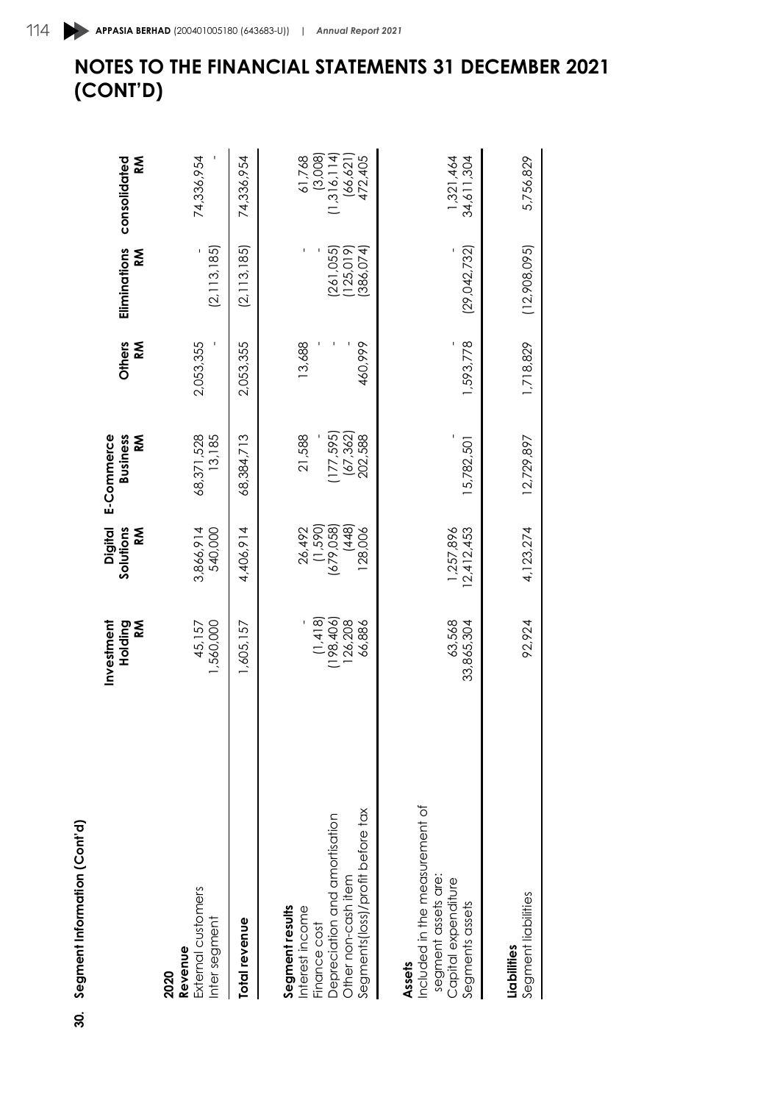|        | ı |
|--------|---|
|        |   |
|        |   |
|        |   |
|        |   |
|        | l |
|        |   |
|        |   |
|        |   |
|        |   |
|        |   |
|        |   |
|        |   |
|        |   |
|        |   |
| ť<br>Ę |   |

| 30. Segment Information (Cont'd)                                                                                                               |                                               |                                                      |                                            |                   |                                 |                                                                                                     |
|------------------------------------------------------------------------------------------------------------------------------------------------|-----------------------------------------------|------------------------------------------------------|--------------------------------------------|-------------------|---------------------------------|-----------------------------------------------------------------------------------------------------|
|                                                                                                                                                | Investment<br>Holding<br>Š                    | <b>Digital</b><br>Solutions<br>Š                     | E-Commerce<br><b>Business</b><br>M         | Others<br>≅<br>&  | Eliminations<br>⋚               | k<br>≪<br>consolidated                                                                              |
| External customers<br>Inter segment<br>Revenue<br>2020                                                                                         | 1,560,000<br>45,157                           | 540,000<br>3,866,914                                 | 68,371,528<br>13,185                       | 2,053,355         | (2, 113, 185)                   | 74,336,954                                                                                          |
| Total revenue                                                                                                                                  | 1,605,157                                     | 4,406,914                                            | 68,384,713                                 | 2,053,355         | (2, 113, 185)                   | 74,336,954                                                                                          |
| Segments(loss)/profit before tax<br>Depreciation and amortisation<br>Other non-cash item<br>Segment results<br>Interest income<br>Finance cost | $(1,418)$<br>$(198,406)$<br>126,208<br>66,886 | $(1,590)$<br>(679,058)<br>(448)<br>26,492<br>128,006 | 177,595)<br>(67, 362)<br>21,588<br>202,588 | 13,688<br>460,999 | (261,055)<br>386,074<br>125,019 | $\begin{array}{c} (3,008) \\ (1,316,114) \\ (66,621) \\ (66,621) \\ (72,405) \end{array}$<br>61,768 |
| Included in the measurement of<br>segment assets are:<br>Capital expenditure<br>Segments assets<br>Assets                                      | 63,568<br>33,865,304                          | 1,257,896<br>12,412,453                              | 15,782,501                                 | 1,593,778         | (29, 042, 732)                  | 1,321,464<br>34,611,304                                                                             |
| Segment liabilities<br>Liabilities                                                                                                             | 92,924                                        | 4, 123, 274                                          | 12,729,897                                 | 1,718,829         | (12,908,095)                    | 5,756,829                                                                                           |

## 114 **APPASIA BERHAD** (200401005180 (643683-U)) | *Annual Report 2021*

**(CONT'D)**

**NOTES TO THE FINANCIAL STATEMENTS 31 DECEMBER 2021**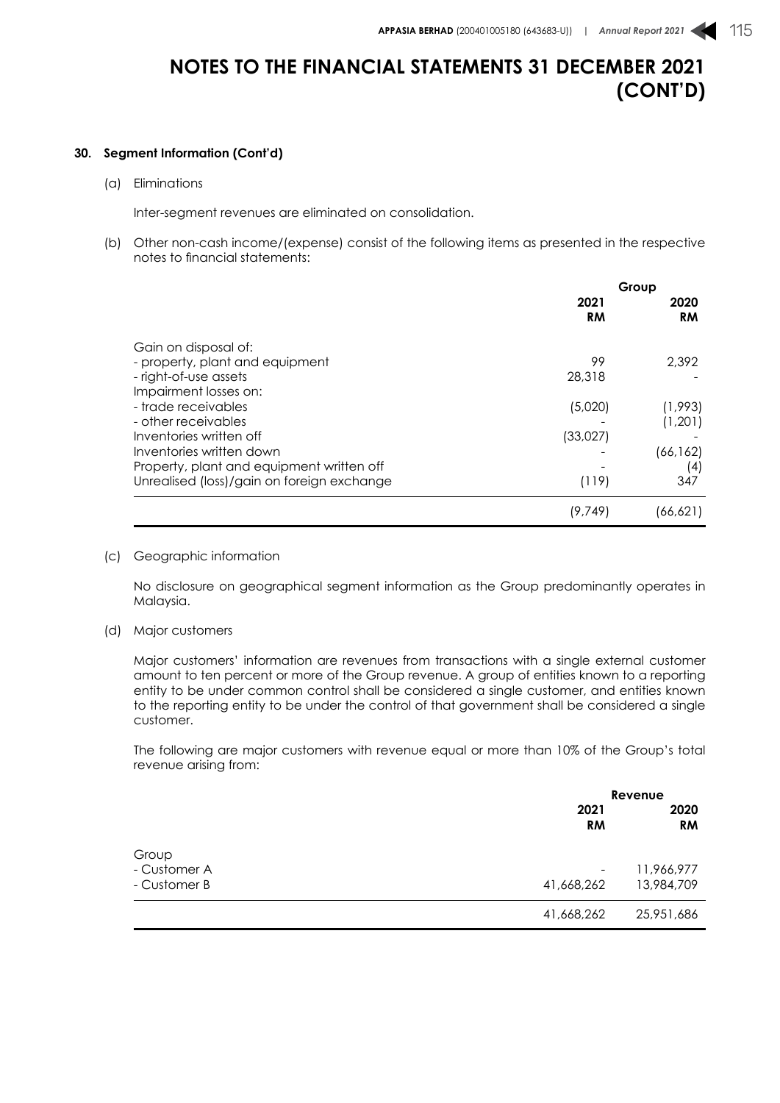### **30. Segment Information (Cont'd)**

(a) Eliminations

Inter-segment revenues are eliminated on consolidation.

(b) Other non-cash income/(expense) consist of the following items as presented in the respective notes to financial statements:

|                                            | Group      |                   |
|--------------------------------------------|------------|-------------------|
|                                            | 2021<br>RM | 2020<br><b>RM</b> |
| Gain on disposal of:                       |            |                   |
| - property, plant and equipment            | 99         | 2,392             |
| - right-of-use assets                      | 28,318     |                   |
| Impairment losses on:                      |            |                   |
| - trade receivables                        | (5,020)    | (1,993)           |
| - other receivables                        |            | (1,201)           |
| Inventories written off                    | (33,027)   |                   |
| Inventories written down                   |            | (66, 162)         |
| Property, plant and equipment written off  |            | (4)               |
| Unrealised (loss)/gain on foreign exchange | (119)      | 347               |
|                                            | (9, 749)   | (66,621)          |

(c) Geographic information

No disclosure on geographical segment information as the Group predominantly operates in Malaysia.

(d) Major customers

Major customers' information are revenues from transactions with a single external customer amount to ten percent or more of the Group revenue. A group of entities known to a reporting entity to be under common control shall be considered a single customer, and entities known to the reporting entity to be under the control of that government shall be considered a single customer.

The following are major customers with revenue equal or more than 10% of the Group's total revenue arising from:

|              |                          | Revenue           |  |
|--------------|--------------------------|-------------------|--|
|              | 2021<br><b>RM</b>        | 2020<br><b>RM</b> |  |
| Group        |                          |                   |  |
| - Customer A | $\overline{\phantom{a}}$ | 11,966,977        |  |
| - Customer B | 41,668,262               | 13,984,709        |  |
|              | 41,668,262               | 25,951,686        |  |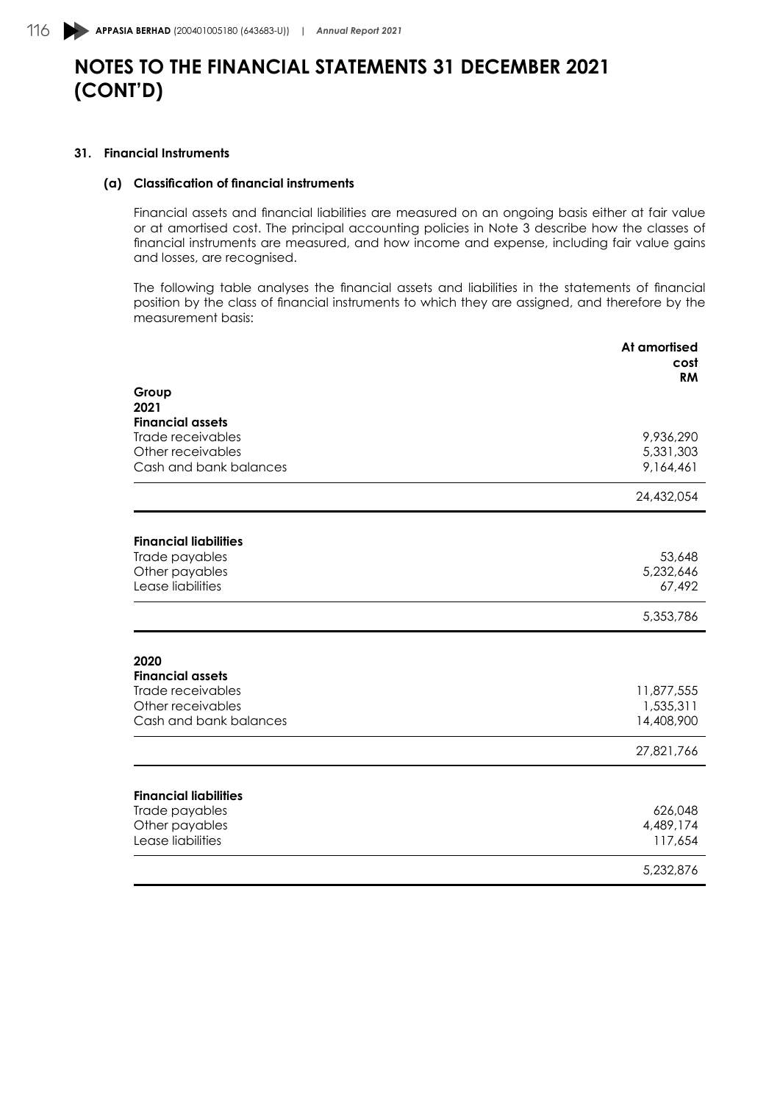### **31. Financial Instruments**

### **(a) Classification of financial instruments**

Financial assets and financial liabilities are measured on an ongoing basis either at fair value or at amortised cost. The principal accounting policies in Note 3 describe how the classes of financial instruments are measured, and how income and expense, including fair value gains and losses, are recognised.

The following table analyses the financial assets and liabilities in the statements of financial position by the class of financial instruments to which they are assigned, and therefore by the measurement basis:

|                                              | At amortised<br>cost |
|----------------------------------------------|----------------------|
|                                              | <b>RM</b>            |
| Group                                        |                      |
| 2021                                         |                      |
| <b>Financial assets</b><br>Trade receivables | 9,936,290            |
| Other receivables                            | 5,331,303            |
| Cash and bank balances                       | 9,164,461            |
|                                              | 24,432,054           |
| <b>Financial liabilities</b>                 |                      |
| Trade payables                               | 53,648               |
| Other payables                               | 5,232,646            |
| Lease liabilities                            | 67,492               |
|                                              | 5,353,786            |
|                                              |                      |
| 2020<br><b>Financial assets</b>              |                      |
| Trade receivables                            | 11,877,555           |
| Other receivables                            | 1,535,311            |
| Cash and bank balances                       | 14,408,900           |
|                                              | 27,821,766           |
|                                              |                      |
| <b>Financial liabilities</b>                 |                      |
| Trade payables<br>Other payables             | 626,048<br>4,489,174 |
| Lease liabilities                            | 117,654              |
|                                              | 5,232,876            |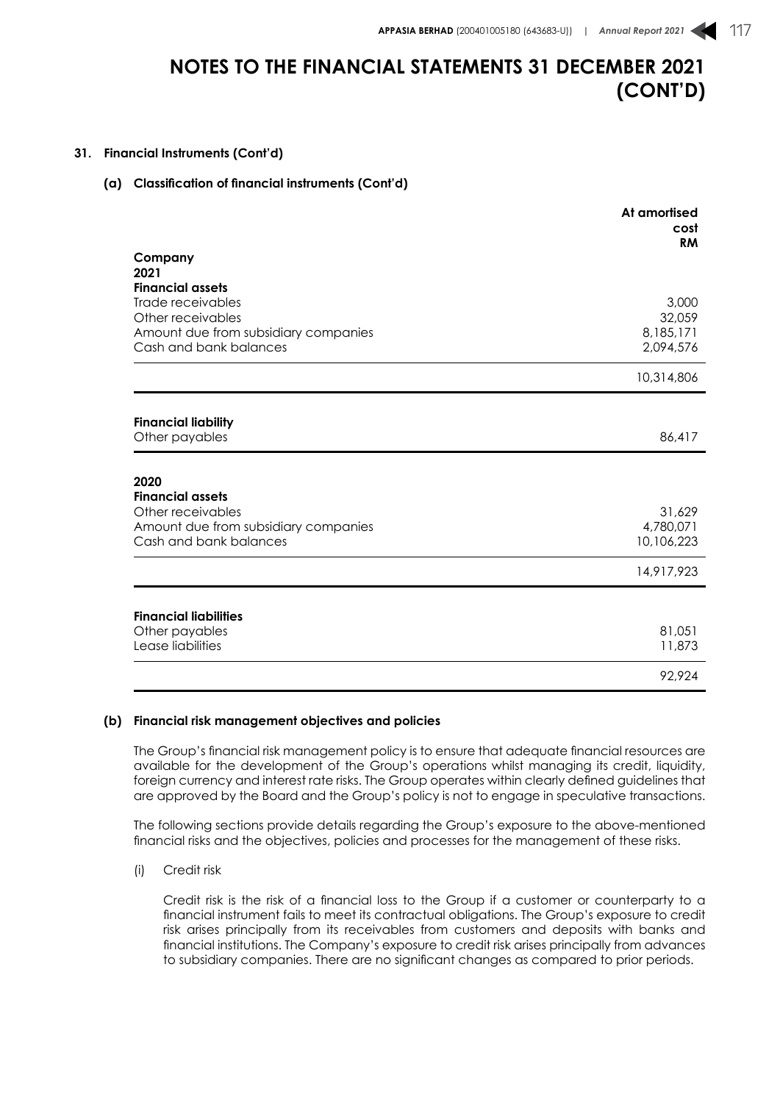### **31. Financial Instruments (Cont'd)**

### **(a) Classification of financial instruments (Cont'd)**

|                                      | At amortised<br>cost<br><b>RM</b> |
|--------------------------------------|-----------------------------------|
| Company<br>2021                      |                                   |
| <b>Financial assets</b>              |                                   |
| Trade receivables                    | 3,000                             |
| Other receivables                    | 32,059                            |
| Amount due from subsidiary companies | 8,185,171                         |
| Cash and bank balances               | 2,094,576                         |
|                                      | 10,314,806                        |
|                                      |                                   |
| <b>Financial liability</b>           |                                   |
| Other payables                       | 86,417                            |
|                                      |                                   |
| 2020<br><b>Financial assets</b>      |                                   |
| Other receivables                    | 31,629                            |
| Amount due from subsidiary companies | 4,780,071                         |
| Cash and bank balances               | 10,106,223                        |
|                                      | 14,917,923                        |
|                                      |                                   |
| <b>Financial liabilities</b>         |                                   |
| Other payables                       | 81,051                            |
| Lease liabilities                    | 11,873                            |
|                                      | 92,924                            |

#### **(b) Financial risk management objectives and policies**

The Group's financial risk management policy is to ensure that adequate financial resources are available for the development of the Group's operations whilst managing its credit, liquidity, foreign currency and interest rate risks. The Group operates within clearly defined guidelines that are approved by the Board and the Group's policy is not to engage in speculative transactions.

The following sections provide details regarding the Group's exposure to the above-mentioned financial risks and the objectives, policies and processes for the management of these risks.

(i) Credit risk

Credit risk is the risk of a financial loss to the Group if a customer or counterparty to a financial instrument fails to meet its contractual obligations. The Group's exposure to credit risk arises principally from its receivables from customers and deposits with banks and financial institutions. The Company's exposure to credit risk arises principally from advances to subsidiary companies. There are no significant changes as compared to prior periods.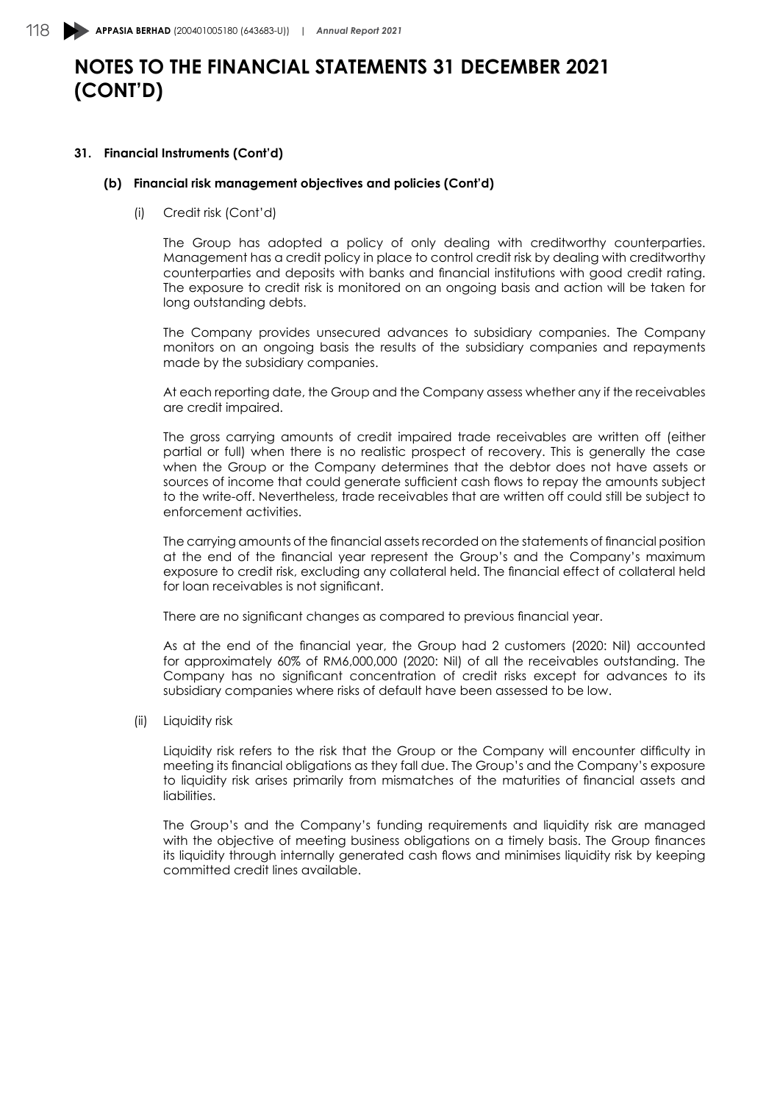### **31. Financial Instruments (Cont'd)**

### **(b) Financial risk management objectives and policies (Cont'd)**

(i) Credit risk (Cont'd)

The Group has adopted a policy of only dealing with creditworthy counterparties. Management has a credit policy in place to control credit risk by dealing with creditworthy counterparties and deposits with banks and financial institutions with good credit rating. The exposure to credit risk is monitored on an ongoing basis and action will be taken for long outstanding debts.

The Company provides unsecured advances to subsidiary companies. The Company monitors on an ongoing basis the results of the subsidiary companies and repayments made by the subsidiary companies.

At each reporting date, the Group and the Company assess whether any if the receivables are credit impaired.

The gross carrying amounts of credit impaired trade receivables are written off (either partial or full) when there is no realistic prospect of recovery. This is generally the case when the Group or the Company determines that the debtor does not have assets or sources of income that could generate sufficient cash flows to repay the amounts subject to the write-off. Nevertheless, trade receivables that are written off could still be subject to enforcement activities.

The carrying amounts of the financial assets recorded on the statements of financial position at the end of the financial year represent the Group's and the Company's maximum exposure to credit risk, excluding any collateral held. The financial effect of collateral held for loan receivables is not significant.

There are no significant changes as compared to previous financial year.

As at the end of the financial year, the Group had 2 customers (2020: Nil) accounted for approximately 60% of RM6,000,000 (2020: Nil) of all the receivables outstanding. The Company has no significant concentration of credit risks except for advances to its subsidiary companies where risks of default have been assessed to be low.

(ii) Liquidity risk

Liquidity risk refers to the risk that the Group or the Company will encounter difficulty in meeting its financial obligations as they fall due. The Group's and the Company's exposure to liquidity risk arises primarily from mismatches of the maturities of financial assets and liabilities.

The Group's and the Company's funding requirements and liquidity risk are managed with the objective of meeting business obligations on a timely basis. The Group finances its liquidity through internally generated cash flows and minimises liquidity risk by keeping committed credit lines available.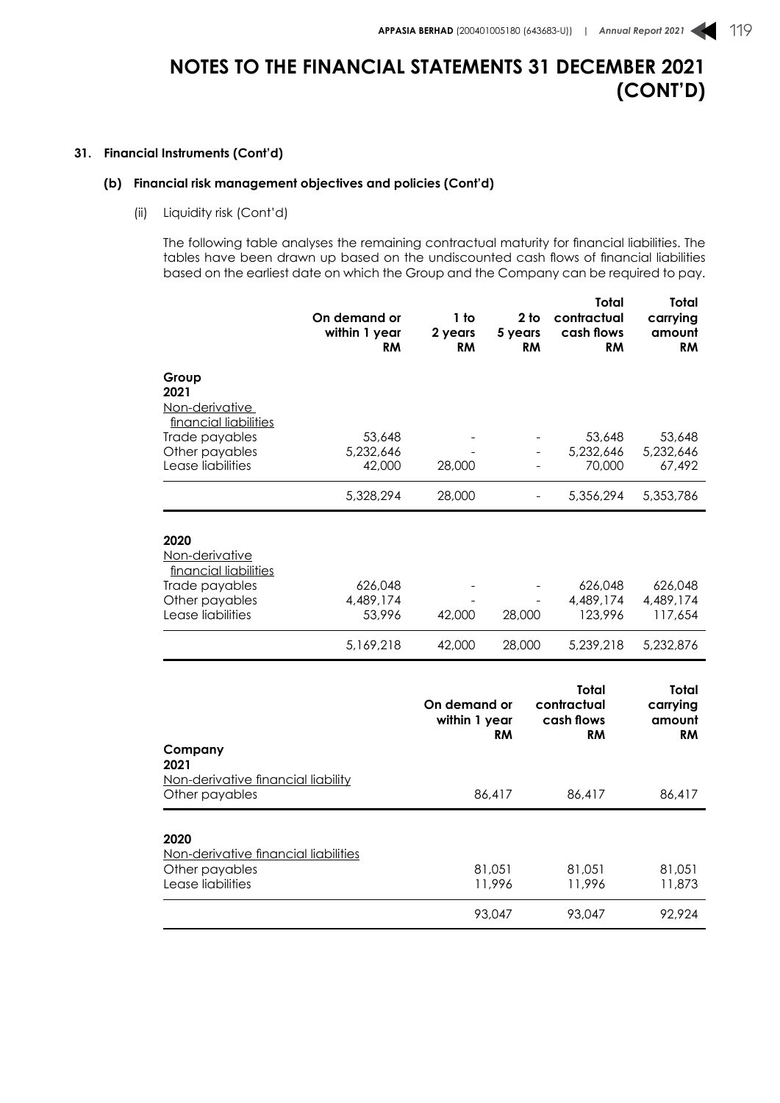### **31. Financial Instruments (Cont'd)**

## **(b) Financial risk management objectives and policies (Cont'd)**

(ii) Liquidity risk (Cont'd)

The following table analyses the remaining contractual maturity for financial liabilities. The tables have been drawn up based on the undiscounted cash flows of financial liabilities based on the earliest date on which the Group and the Company can be required to pay.

|                                         | On demand or<br>within 1 year<br><b>RM</b> | 1 to<br>2 years<br><b>RM</b>  | 2 <sub>to</sub><br>5 years<br><b>RM</b> | Total<br>contractual<br>cash flows<br><b>RM</b> | Total<br>carrying<br>amount<br><b>RM</b> |
|-----------------------------------------|--------------------------------------------|-------------------------------|-----------------------------------------|-------------------------------------------------|------------------------------------------|
| Group<br>2021                           |                                            |                               |                                         |                                                 |                                          |
| Non-derivative                          |                                            |                               |                                         |                                                 |                                          |
| financial liabilities<br>Trade payables | 53,648                                     |                               |                                         | 53,648                                          | 53,648                                   |
| Other payables                          | 5,232,646                                  |                               |                                         | 5,232,646                                       | 5,232,646                                |
| Lease liabilities                       | 42,000                                     | 28,000                        |                                         | 70,000                                          | 67,492                                   |
|                                         | 5,328,294                                  | 28,000                        |                                         | 5,356,294                                       | 5,353,786                                |
| 2020                                    |                                            |                               |                                         |                                                 |                                          |
| Non-derivative                          |                                            |                               |                                         |                                                 |                                          |
| financial liabilities                   |                                            |                               |                                         |                                                 |                                          |
| Trade payables                          | 626,048                                    |                               |                                         | 626,048                                         | 626,048                                  |
| Other payables<br>Lease liabilities     | 4,489,174<br>53,996                        | 42,000                        | 28,000                                  | 4,489,174<br>123,996                            | 4,489,174<br>117,654                     |
|                                         |                                            |                               |                                         |                                                 |                                          |
|                                         | 5,169,218                                  | 42,000                        | 28,000                                  | 5,239,218                                       | 5,232,876                                |
|                                         |                                            |                               |                                         | Total                                           | Total                                    |
|                                         |                                            | On demand or<br>within 1 year | <b>RM</b>                               | contractual<br>cash flows<br><b>RM</b>          | carrying<br>amount<br><b>RM</b>          |
| Company<br>2021                         |                                            |                               |                                         |                                                 |                                          |
| Non-derivative financial liability      |                                            |                               |                                         |                                                 |                                          |
| Other payables                          |                                            |                               | 86,417                                  | 86,417                                          | 86,417                                   |
| 2020                                    |                                            |                               |                                         |                                                 |                                          |
| Non-derivative financial liabilities    |                                            |                               |                                         |                                                 |                                          |
| Other payables                          |                                            |                               | 81,051                                  | 81,051                                          | 81,051                                   |
| Lease liabilities                       |                                            |                               | 11,996                                  | 11,996                                          | 11,873                                   |

93,047 93,047 92,924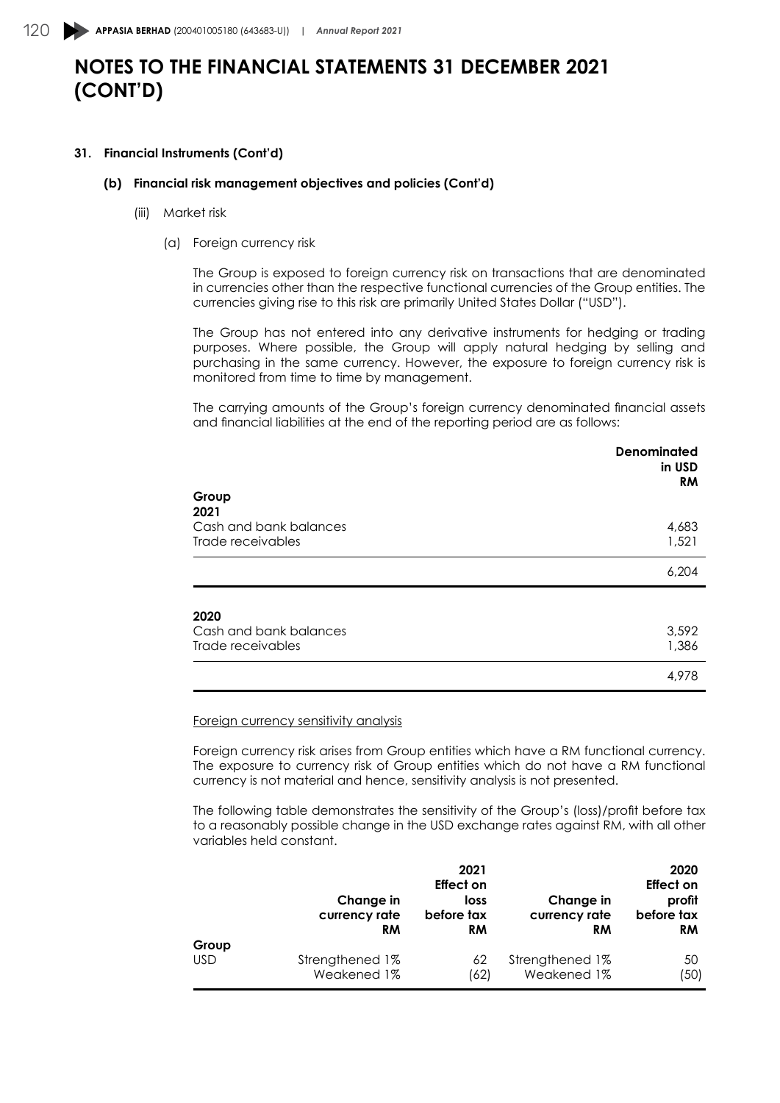### **31. Financial Instruments (Cont'd)**

### **(b) Financial risk management objectives and policies (Cont'd)**

- (iii) Market risk
	- (a) Foreign currency risk

The Group is exposed to foreign currency risk on transactions that are denominated in currencies other than the respective functional currencies of the Group entities. The currencies giving rise to this risk are primarily United States Dollar ("USD").

The Group has not entered into any derivative instruments for hedging or trading purposes. Where possible, the Group will apply natural hedging by selling and purchasing in the same currency. However, the exposure to foreign currency risk is monitored from time to time by management.

The carrying amounts of the Group's foreign currency denominated financial assets and financial liabilities at the end of the reporting period are as follows:

|                                             | <b>Denominated</b><br>in USD<br><b>RM</b> |
|---------------------------------------------|-------------------------------------------|
| Group<br>2021                               |                                           |
| Cash and bank balances<br>Trade receivables | 4,683<br>1,521                            |
|                                             | 6,204                                     |
| 2020                                        |                                           |
| Cash and bank balances<br>Trade receivables | 3,592<br>1,386                            |
|                                             | 4,978                                     |

#### Foreign currency sensitivity analysis

Foreign currency risk arises from Group entities which have a RM functional currency. The exposure to currency risk of Group entities which do not have a RM functional currency is not material and hence, sensitivity analysis is not presented.

The following table demonstrates the sensitivity of the Group's (loss)/profit before tax to a reasonably possible change in the USD exchange rates against RM, with all other variables held constant.

|            | 2021<br>Effect on<br>Change in<br>loss<br>currency rate<br>before tax<br><b>RM</b><br><b>RM</b> |      | Change in<br>currency rate<br><b>RM</b> | 2020<br>Effect on<br>profit<br>before tax<br><b>RM</b> |
|------------|-------------------------------------------------------------------------------------------------|------|-----------------------------------------|--------------------------------------------------------|
| Group      | Strengthened 1%                                                                                 | 62   | Strengthened 1%                         | 50                                                     |
| <b>USD</b> | Weakened 1%                                                                                     | (62) | Weakened 1%                             | (50)                                                   |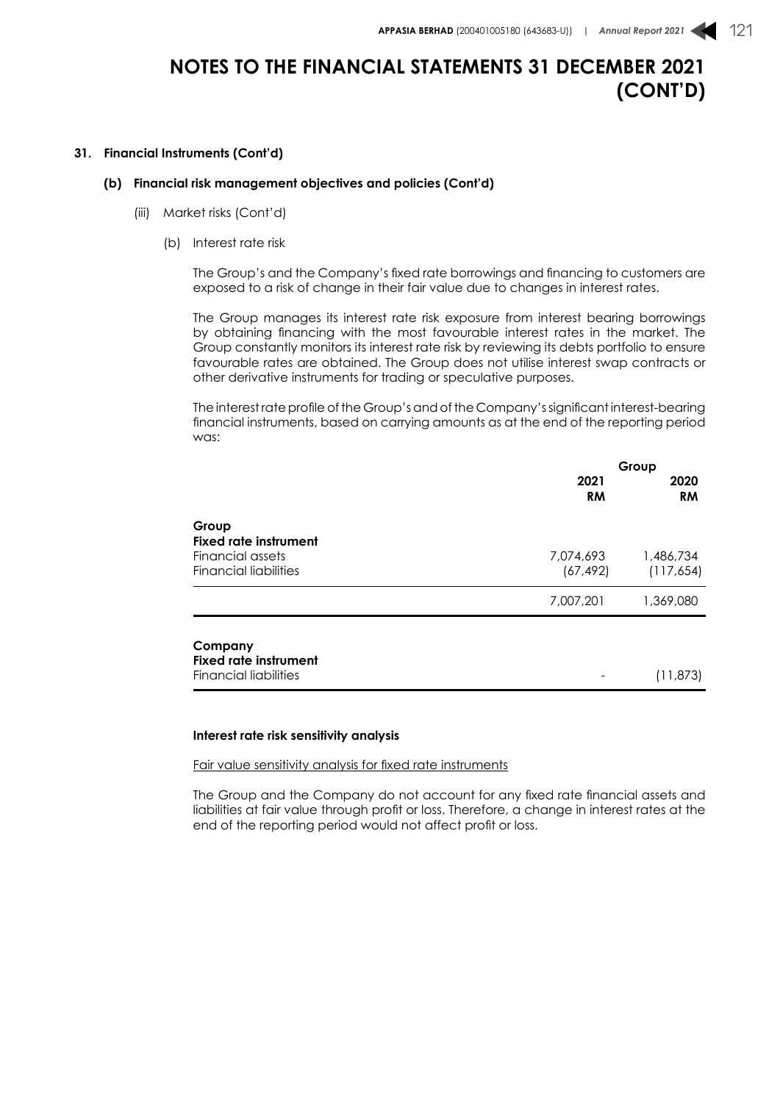### **31. Financial Instruments (Cont'd)**

### **(b) Financial risk management objectives and policies (Cont'd)**

- (iii) Market risks (Cont'd)
	- (b) Interest rate risk

The Group's and the Company's fixed rate borrowings and financing to customers are exposed to a risk of change in their fair value due to changes in interest rates.

The Group manages its interest rate risk exposure from interest bearing borrowings by obtaining financing with the most favourable interest rates in the market. The Group constantly monitors its interest rate risk by reviewing its debts portfolio to ensure favourable rates are obtained. The Group does not utilise interest swap contracts or other derivative instruments for trading or speculative purposes.

The interest rate profile of the Group's and of the Company's significant interest-bearing financial instruments, based on carrying amounts as at the end of the reporting period was:

|                                                  | Group                  |                         |
|--------------------------------------------------|------------------------|-------------------------|
|                                                  | 2021<br><b>RM</b>      | 2020<br><b>RM</b>       |
| Group<br>Fixed rate instrument                   |                        |                         |
| Financial assets<br><b>Financial liabilities</b> | 7,074,693<br>(67, 492) | 1,486,734<br>(117, 654) |
|                                                  | 7,007,201              | 1,369,080               |
| Company<br><b>Fixed rate instrument</b>          |                        |                         |
| <b>Financial liabilities</b>                     |                        | (11, 873)               |

#### **Interest rate risk sensitivity analysis**

Fair value sensitivity analysis for fixed rate instruments

The Group and the Company do not account for any fixed rate financial assets and liabilities at fair value through profit or loss. Therefore, a change in interest rates at the end of the reporting period would not affect profit or loss.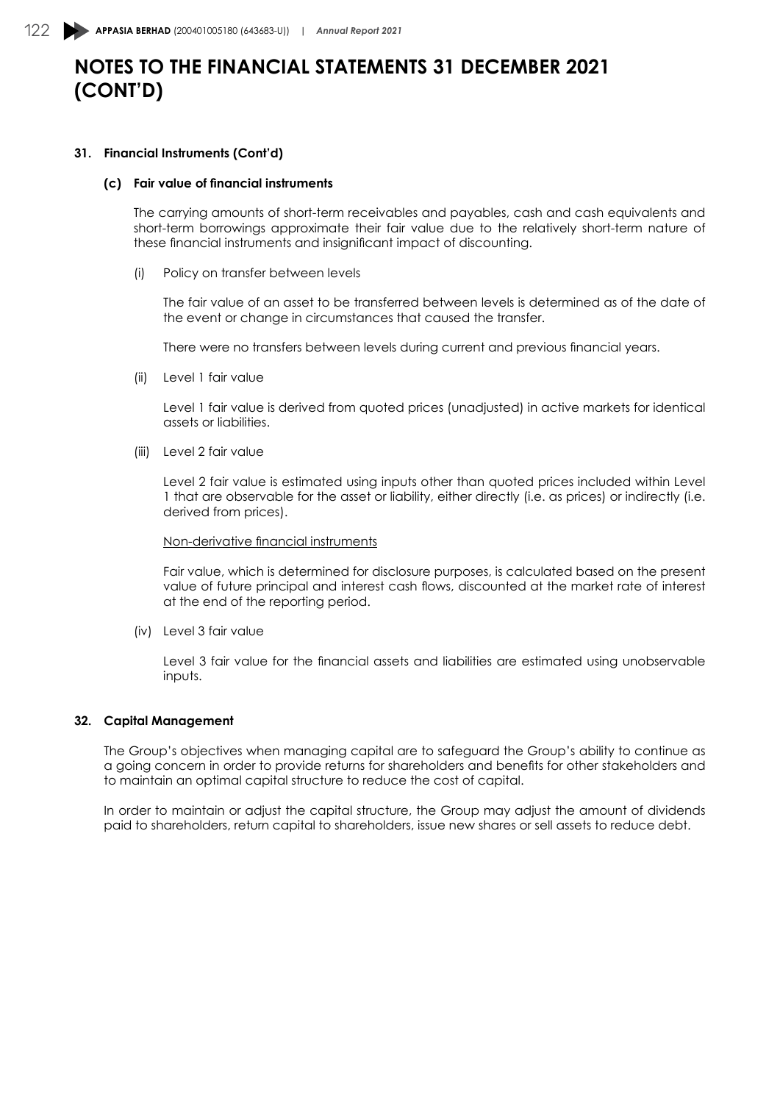### **31. Financial Instruments (Cont'd)**

#### **(c) Fair value of financial instruments**

The carrying amounts of short-term receivables and payables, cash and cash equivalents and short-term borrowings approximate their fair value due to the relatively short-term nature of these financial instruments and insignificant impact of discounting.

(i) Policy on transfer between levels

The fair value of an asset to be transferred between levels is determined as of the date of the event or change in circumstances that caused the transfer.

There were no transfers between levels during current and previous financial years.

(ii) Level 1 fair value

Level 1 fair value is derived from quoted prices (unadjusted) in active markets for identical assets or liabilities.

(iii) Level 2 fair value

Level 2 fair value is estimated using inputs other than quoted prices included within Level 1 that are observable for the asset or liability, either directly (i.e. as prices) or indirectly (i.e. derived from prices).

### Non-derivative financial instruments

Fair value, which is determined for disclosure purposes, is calculated based on the present value of future principal and interest cash flows, discounted at the market rate of interest at the end of the reporting period.

(iv) Level 3 fair value

Level 3 fair value for the financial assets and liabilities are estimated using unobservable inputs.

### **32. Capital Management**

The Group's objectives when managing capital are to safeguard the Group's ability to continue as a going concern in order to provide returns for shareholders and benefits for other stakeholders and to maintain an optimal capital structure to reduce the cost of capital.

In order to maintain or adjust the capital structure, the Group may adjust the amount of dividends paid to shareholders, return capital to shareholders, issue new shares or sell assets to reduce debt.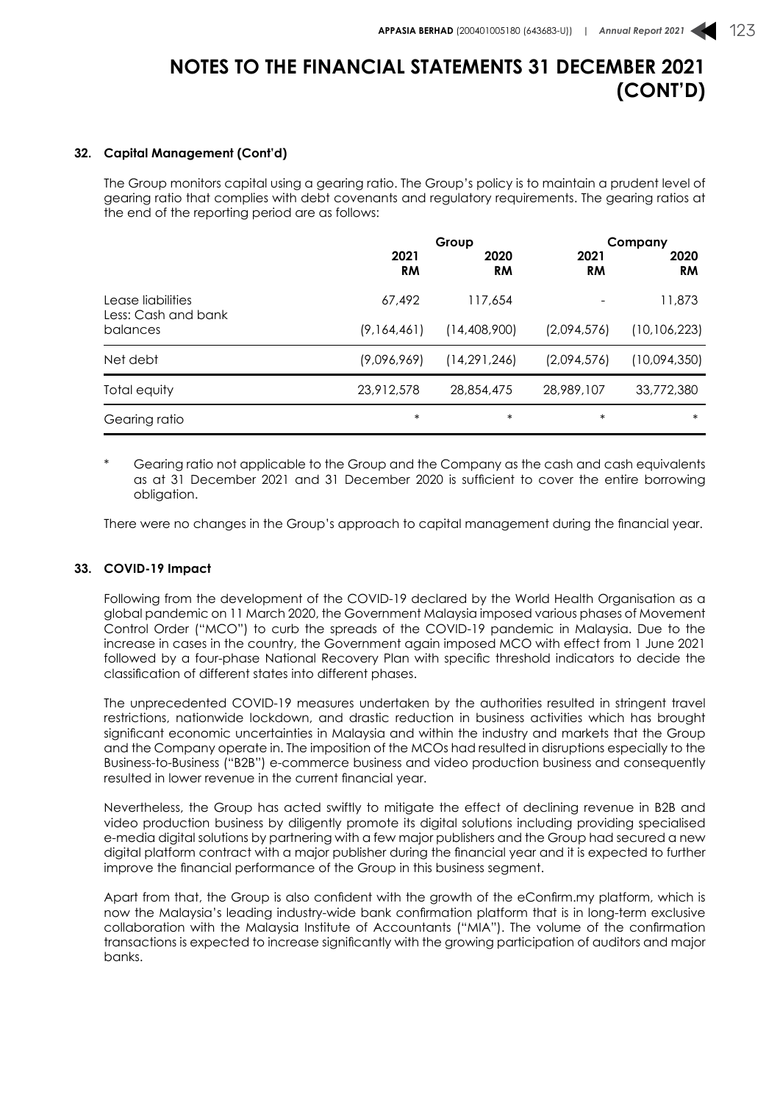### **32. Capital Management (Cont'd)**

The Group monitors capital using a gearing ratio. The Group's policy is to maintain a prudent level of gearing ratio that complies with debt covenants and regulatory requirements. The gearing ratios at the end of the reporting period are as follows:

|                                          | Group             |                   |                   | Company           |  |
|------------------------------------------|-------------------|-------------------|-------------------|-------------------|--|
|                                          | 2021<br><b>RM</b> | 2020<br><b>RM</b> | 2021<br><b>RM</b> | 2020<br><b>RM</b> |  |
| Lease liabilities<br>Less: Cash and bank | 67,492            | 117,654           |                   | 11,873            |  |
| balances                                 | (9,164,461)       | (14,408,900)      | (2,094,576)       | (10, 106, 223)    |  |
| Net debt                                 | (9,096,969)       | (14, 291, 246)    | (2,094,576)       | (10,094,350)      |  |
| Total equity                             | 23,912,578        | 28,854,475        | 28,989,107        | 33,772,380        |  |
| Gearing ratio                            | $\ast$            | $\ast$            | $\ast$            | $\ast$            |  |

Gearing ratio not applicable to the Group and the Company as the cash and cash equivalents as at 31 December 2021 and 31 December 2020 is sufficient to cover the entire borrowing obligation.

There were no changes in the Group's approach to capital management during the financial year.

## **33. COVID-19 Impact**

Following from the development of the COVID-19 declared by the World Health Organisation as a global pandemic on 11 March 2020, the Government Malaysia imposed various phases of Movement Control Order ("MCO") to curb the spreads of the COVID-19 pandemic in Malaysia. Due to the increase in cases in the country, the Government again imposed MCO with effect from 1 June 2021 followed by a four-phase National Recovery Plan with specific threshold indicators to decide the classification of different states into different phases.

The unprecedented COVID-19 measures undertaken by the authorities resulted in stringent travel restrictions, nationwide lockdown, and drastic reduction in business activities which has brought significant economic uncertainties in Malaysia and within the industry and markets that the Group and the Company operate in. The imposition of the MCOs had resulted in disruptions especially to the Business-to-Business ("B2B") e-commerce business and video production business and consequently resulted in lower revenue in the current financial year.

Nevertheless, the Group has acted swiftly to mitigate the effect of declining revenue in B2B and video production business by diligently promote its digital solutions including providing specialised e-media digital solutions by partnering with a few major publishers and the Group had secured a new digital platform contract with a major publisher during the financial year and it is expected to further improve the financial performance of the Group in this business segment.

Apart from that, the Group is also confident with the growth of the eConfirm.my platform, which is now the Malaysia's leading industry-wide bank confirmation platform that is in long-term exclusive collaboration with the Malaysia Institute of Accountants ("MIA"). The volume of the confirmation transactions is expected to increase significantly with the growing participation of auditors and major banks.